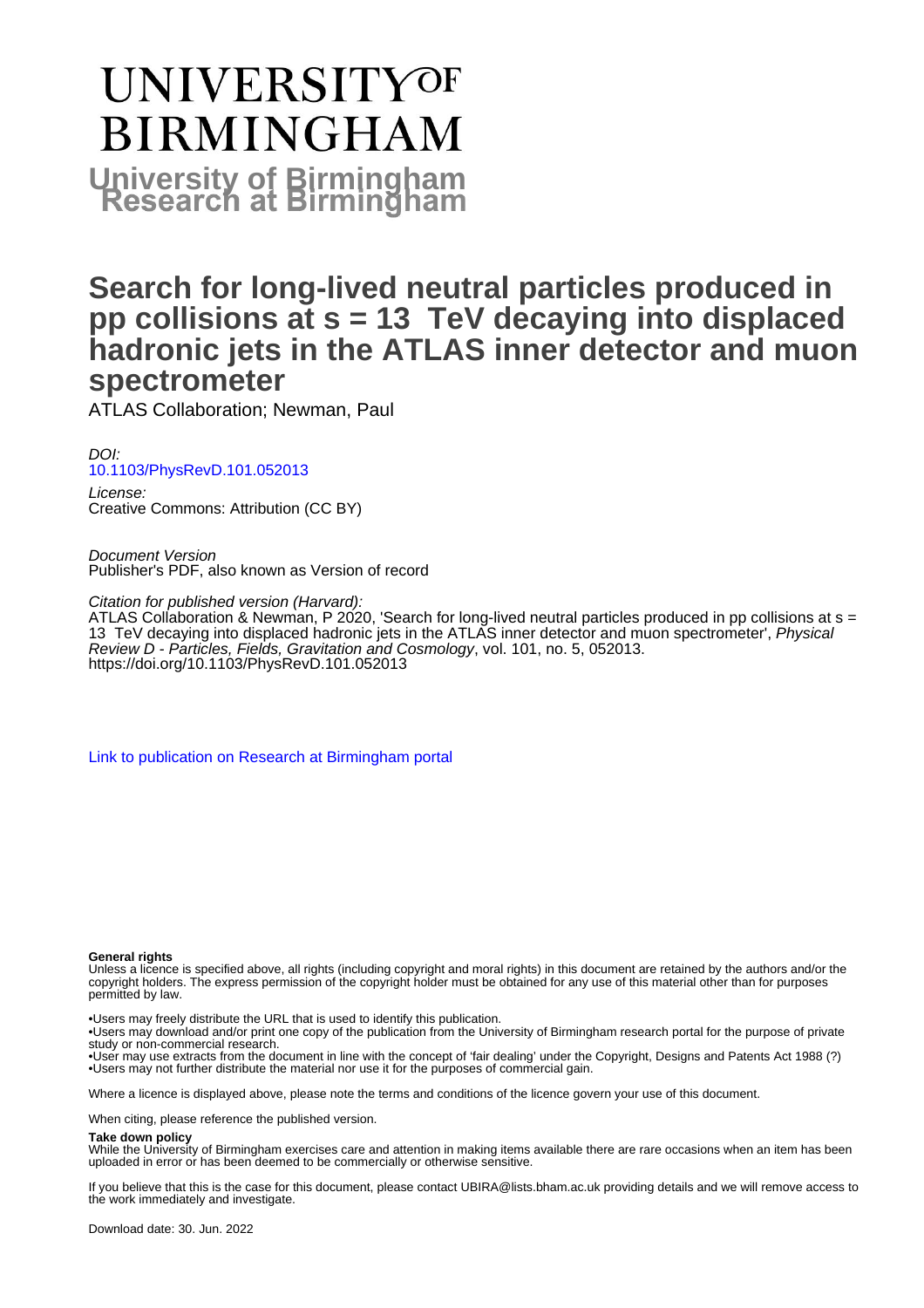# **UNIVERSITYOF BIRMINGHAM University of Birmingham**

# **Search for long-lived neutral particles produced in pp collisions at s = 13 TeV decaying into displaced hadronic jets in the ATLAS inner detector and muon spectrometer**

ATLAS Collaboration; Newman, Paul

DOI: [10.1103/PhysRevD.101.052013](https://doi.org/10.1103/PhysRevD.101.052013)

License: Creative Commons: Attribution (CC BY)

Document Version Publisher's PDF, also known as Version of record

Citation for published version (Harvard):

ATLAS Collaboration & Newman, P 2020, 'Search for long-lived neutral particles produced in pp collisions at  $s =$ 13 TeV decaying into displaced hadronic jets in the ATLAS inner detector and muon spectrometer', Physical Review D - Particles, Fields, Gravitation and Cosmology, vol. 101, no. 5, 052013. <https://doi.org/10.1103/PhysRevD.101.052013>

[Link to publication on Research at Birmingham portal](https://birmingham.elsevierpure.com/en/publications/072ce61a-6fd3-4192-9da2-ef50eeff0883)

#### **General rights**

Unless a licence is specified above, all rights (including copyright and moral rights) in this document are retained by the authors and/or the copyright holders. The express permission of the copyright holder must be obtained for any use of this material other than for purposes permitted by law.

• Users may freely distribute the URL that is used to identify this publication.

• Users may download and/or print one copy of the publication from the University of Birmingham research portal for the purpose of private study or non-commercial research.

• User may use extracts from the document in line with the concept of 'fair dealing' under the Copyright, Designs and Patents Act 1988 (?) • Users may not further distribute the material nor use it for the purposes of commercial gain.

Where a licence is displayed above, please note the terms and conditions of the licence govern your use of this document.

When citing, please reference the published version.

#### **Take down policy**

While the University of Birmingham exercises care and attention in making items available there are rare occasions when an item has been uploaded in error or has been deemed to be commercially or otherwise sensitive.

If you believe that this is the case for this document, please contact UBIRA@lists.bham.ac.uk providing details and we will remove access to the work immediately and investigate.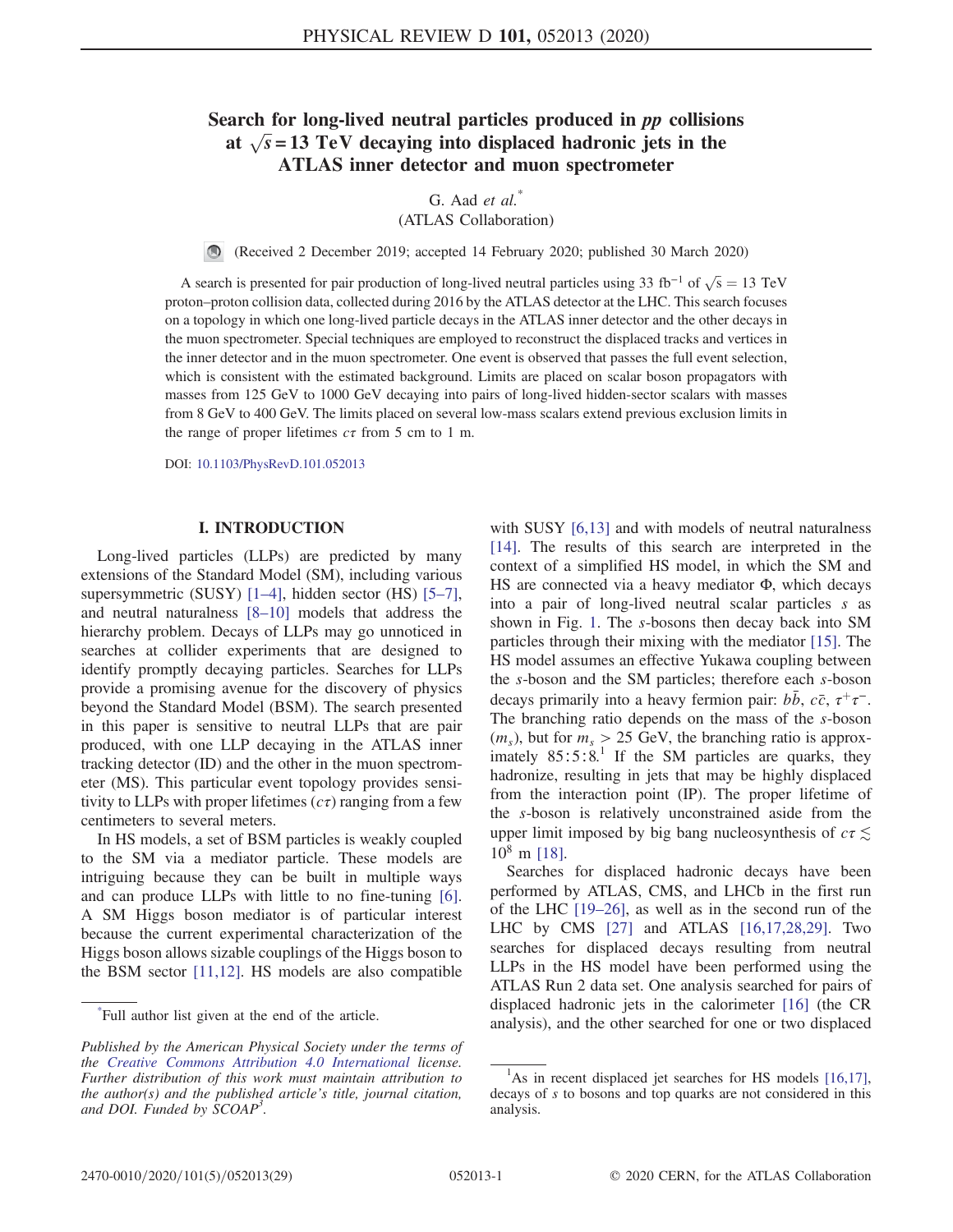# Search for long-lived neutral particles produced in pp collisions at  $\sqrt{s}$  = 13 TeV decaying into displaced hadronic jets in the ATLAS inner detector and muon spectrometer

G. Aad  $et \ al.^*$ (ATLAS Collaboration)

 $\bigcirc$ (Received 2 December 2019; accepted 14 February 2020; published 30 March 2020)

A search is presented for pair production of long-lived neutral particles using 33 fb<sup>-1</sup> of  $\sqrt{s} = 13$  TeV proton–proton collision data, collected during 2016 by the ATLAS detector at the LHC. This search focuses on a topology in which one long-lived particle decays in the ATLAS inner detector and the other decays in the muon spectrometer. Special techniques are employed to reconstruct the displaced tracks and vertices in the inner detector and in the muon spectrometer. One event is observed that passes the full event selection, which is consistent with the estimated background. Limits are placed on scalar boson propagators with masses from 125 GeV to 1000 GeV decaying into pairs of long-lived hidden-sector scalars with masses from 8 GeV to 400 GeV. The limits placed on several low-mass scalars extend previous exclusion limits in the range of proper lifetimes  $c\tau$  from 5 cm to 1 m.

DOI: [10.1103/PhysRevD.101.052013](https://doi.org/10.1103/PhysRevD.101.052013)

# I. INTRODUCTION

Long-lived particles (LLPs) are predicted by many extensions of the Standard Model (SM), including various supersymmetric (SUSY) [\[1](#page-14-0)–4], hidden sector (HS) [\[5](#page-14-1)–7], and neutral naturalness [8–[10\]](#page-14-2) models that address the hierarchy problem. Decays of LLPs may go unnoticed in searches at collider experiments that are designed to identify promptly decaying particles. Searches for LLPs provide a promising avenue for the discovery of physics beyond the Standard Model (BSM). The search presented in this paper is sensitive to neutral LLPs that are pair produced, with one LLP decaying in the ATLAS inner tracking detector (ID) and the other in the muon spectrometer (MS). This particular event topology provides sensitivity to LLPs with proper lifetimes  $(c\tau)$  ranging from a few centimeters to several meters.

In HS models, a set of BSM particles is weakly coupled to the SM via a mediator particle. These models are intriguing because they can be built in multiple ways and can produce LLPs with little to no fine-tuning [\[6\]](#page-14-3). A SM Higgs boson mediator is of particular interest because the current experimental characterization of the Higgs boson allows sizable couplings of the Higgs boson to the BSM sector [\[11,12\]](#page-15-0). HS models are also compatible with SUSY [\[6,13\]](#page-14-3) and with models of neutral naturalness [\[14\]](#page-15-1). The results of this search are interpreted in the context of a simplified HS model, in which the SM and HS are connected via a heavy mediator Φ, which decays into a pair of long-lived neutral scalar particles s as shown in Fig. [1.](#page-2-0) The s-bosons then decay back into SM particles through their mixing with the mediator [\[15\]](#page-15-2). The HS model assumes an effective Yukawa coupling between the s-boson and the SM particles; therefore each s-boson decays primarily into a heavy fermion pair:  $b\bar{b}$ ,  $c\bar{c}$ ,  $\tau^+\tau^-$ . The branching ratio depends on the mass of the s-boson  $(m<sub>s</sub>)$ , but for  $m<sub>s</sub> > 25$  GeV, the branching ratio is approximately 85∶5∶8. <sup>1</sup> If the SM particles are quarks, they hadronize, resulting in jets that may be highly displaced from the interaction point (IP). The proper lifetime of the s-boson is relatively unconstrained aside from the upper limit imposed by big bang nucleosynthesis of  $c\tau \lesssim$  $10^8$  m [\[18\]](#page-15-3).

Searches for displaced hadronic decays have been performed by ATLAS, CMS, and LHCb in the first run of the LHC [19–[26\],](#page-15-4) as well as in the second run of the LHC by CMS [\[27\]](#page-15-5) and ATLAS [\[16,17,28,29\]](#page-15-6). Two searches for displaced decays resulting from neutral LLPs in the HS model have been performed using the ATLAS Run 2 data set. One analysis searched for pairs of displaced hadronic jets in the calorimeter [\[16\]](#page-15-6) (the CR analysis), and the other searched for one or two displaced \*

Full author list given at the end of the article.

Published by the American Physical Society under the terms of the [Creative Commons Attribution 4.0 International](https://creativecommons.org/licenses/by/4.0/) license. Further distribution of this work must maintain attribution to the author(s) and the published article's title, journal citation, and DOI. Funded by SCOAP<sup>3</sup>.

<sup>&</sup>lt;sup>1</sup>As in recent displaced jet searches for HS models [\[16,17\],](#page-15-6) decays of s to bosons and top quarks are not considered in this analysis.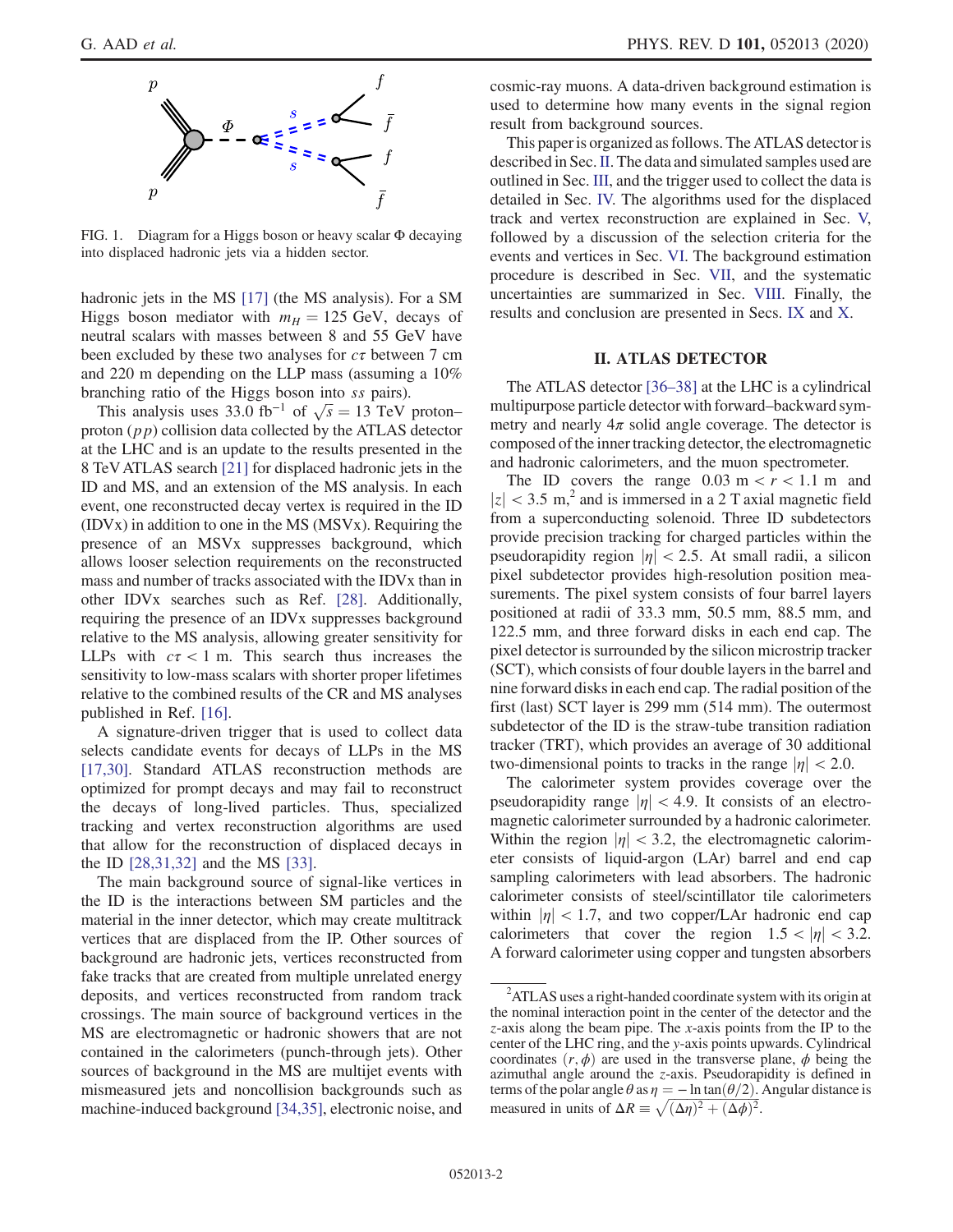<span id="page-2-0"></span>

FIG. 1. Diagram for a Higgs boson or heavy scalar Φ decaying into displaced hadronic jets via a hidden sector.

hadronic jets in the MS [\[17\]](#page-15-7) (the MS analysis). For a SM Higgs boson mediator with  $m<sub>H</sub> = 125$  GeV, decays of neutral scalars with masses between 8 and 55 GeV have been excluded by these two analyses for  $c\tau$  between 7 cm and 220 m depending on the LLP mass (assuming a 10% branching ratio of the Higgs boson into ss pairs).

This analysis uses 33.0 fb<sup>-1</sup> of  $\sqrt{s} = 13$  TeV proton– proton  $(pp)$  collision data collected by the ATLAS detector at the LHC and is an update to the results presented in the 8 TeVATLAS search [\[21\]](#page-15-8) for displaced hadronic jets in the ID and MS, and an extension of the MS analysis. In each event, one reconstructed decay vertex is required in the ID (IDVx) in addition to one in the MS (MSVx). Requiring the presence of an MSVx suppresses background, which allows looser selection requirements on the reconstructed mass and number of tracks associated with the IDVx than in other IDVx searches such as Ref. [\[28\]](#page-15-9). Additionally, requiring the presence of an IDVx suppresses background relative to the MS analysis, allowing greater sensitivity for LLPs with  $c\tau < 1$  m. This search thus increases the sensitivity to low-mass scalars with shorter proper lifetimes relative to the combined results of the CR and MS analyses published in Ref. [\[16\]](#page-15-6).

A signature-driven trigger that is used to collect data selects candidate events for decays of LLPs in the MS [\[17,30\]](#page-15-7). Standard ATLAS reconstruction methods are optimized for prompt decays and may fail to reconstruct the decays of long-lived particles. Thus, specialized tracking and vertex reconstruction algorithms are used that allow for the reconstruction of displaced decays in the ID [\[28,31,32\]](#page-15-9) and the MS [\[33\]](#page-15-10).

The main background source of signal-like vertices in the ID is the interactions between SM particles and the material in the inner detector, which may create multitrack vertices that are displaced from the IP. Other sources of background are hadronic jets, vertices reconstructed from fake tracks that are created from multiple unrelated energy deposits, and vertices reconstructed from random track crossings. The main source of background vertices in the MS are electromagnetic or hadronic showers that are not contained in the calorimeters (punch-through jets). Other sources of background in the MS are multijet events with mismeasured jets and noncollision backgrounds such as machine-induced background [\[34,35\]](#page-15-11), electronic noise, and cosmic-ray muons. A data-driven background estimation is used to determine how many events in the signal region result from background sources.

This paper is organized as follows. The ATLAS detector is described in Sec.[II](#page-2-1). The data and simulated samples used are outlined in Sec. [III](#page-3-0), and the trigger used to collect the data is detailed in Sec. [IV.](#page-3-1) The algorithms used for the displaced track and vertex reconstruction are explained in Sec. [V,](#page-4-0) followed by a discussion of the selection criteria for the events and vertices in Sec. [VI.](#page-5-0) The background estimation procedure is described in Sec. [VII,](#page-8-0) and the systematic uncertainties are summarized in Sec. [VIII](#page-10-0). Finally, the results and conclusion are presented in Secs. [IX](#page-11-0) and [X.](#page-14-4)

# II. ATLAS DETECTOR

<span id="page-2-1"></span>The ATLAS detector [\[36](#page-15-12)–38] at the LHC is a cylindrical multipurpose particle detector with forward–backward symmetry and nearly  $4\pi$  solid angle coverage. The detector is composed of the inner tracking detector, the electromagnetic and hadronic calorimeters, and the muon spectrometer.

The ID covers the range  $0.03 \text{ m} < r < 1.1 \text{ m}$  and  $|z| < 3.5$  m,<sup>2</sup> and is immersed in a 2 T axial magnetic field from a superconducting solenoid. Three ID subdetectors provide precision tracking for charged particles within the pseudorapidity region  $|\eta|$  < 2.5. At small radii, a silicon pixel subdetector provides high-resolution position measurements. The pixel system consists of four barrel layers positioned at radii of 33.3 mm, 50.5 mm, 88.5 mm, and 122.5 mm, and three forward disks in each end cap. The pixel detector is surrounded by the silicon microstrip tracker (SCT), which consists of four double layers in the barrel and nine forward disks in each end cap. The radial position of the first (last) SCT layer is 299 mm (514 mm). The outermost subdetector of the ID is the straw-tube transition radiation tracker (TRT), which provides an average of 30 additional two-dimensional points to tracks in the range  $|\eta| < 2.0$ .

The calorimeter system provides coverage over the pseudorapidity range  $|\eta| < 4.9$ . It consists of an electromagnetic calorimeter surrounded by a hadronic calorimeter. Within the region  $|\eta| < 3.2$ , the electromagnetic calorimeter consists of liquid-argon (LAr) barrel and end cap sampling calorimeters with lead absorbers. The hadronic calorimeter consists of steel/scintillator tile calorimeters within  $|\eta|$  < 1.7, and two copper/LAr hadronic end cap calorimeters that cover the region  $1.5 < |\eta| < 3.2$ . A forward calorimeter using copper and tungsten absorbers

 $2$ ATLAS uses a right-handed coordinate system with its origin at the nominal interaction point in the center of the detector and the  $z$ -axis along the beam pipe. The  $x$ -axis points from the IP to the center of the LHC ring, and the y-axis points upwards. Cylindrical coordinates  $(r, \phi)$  are used in the transverse plane,  $\phi$  being the azimuthal angle around the z-axis. Pseudorapidity is defined in terms of the polar angle  $\theta$  as  $\eta = -\ln \tan(\theta/2)$ . Angular distance is measured in units of  $\Delta R \equiv \sqrt{(\Delta \eta)^2 + (\Delta \phi)^2}$ .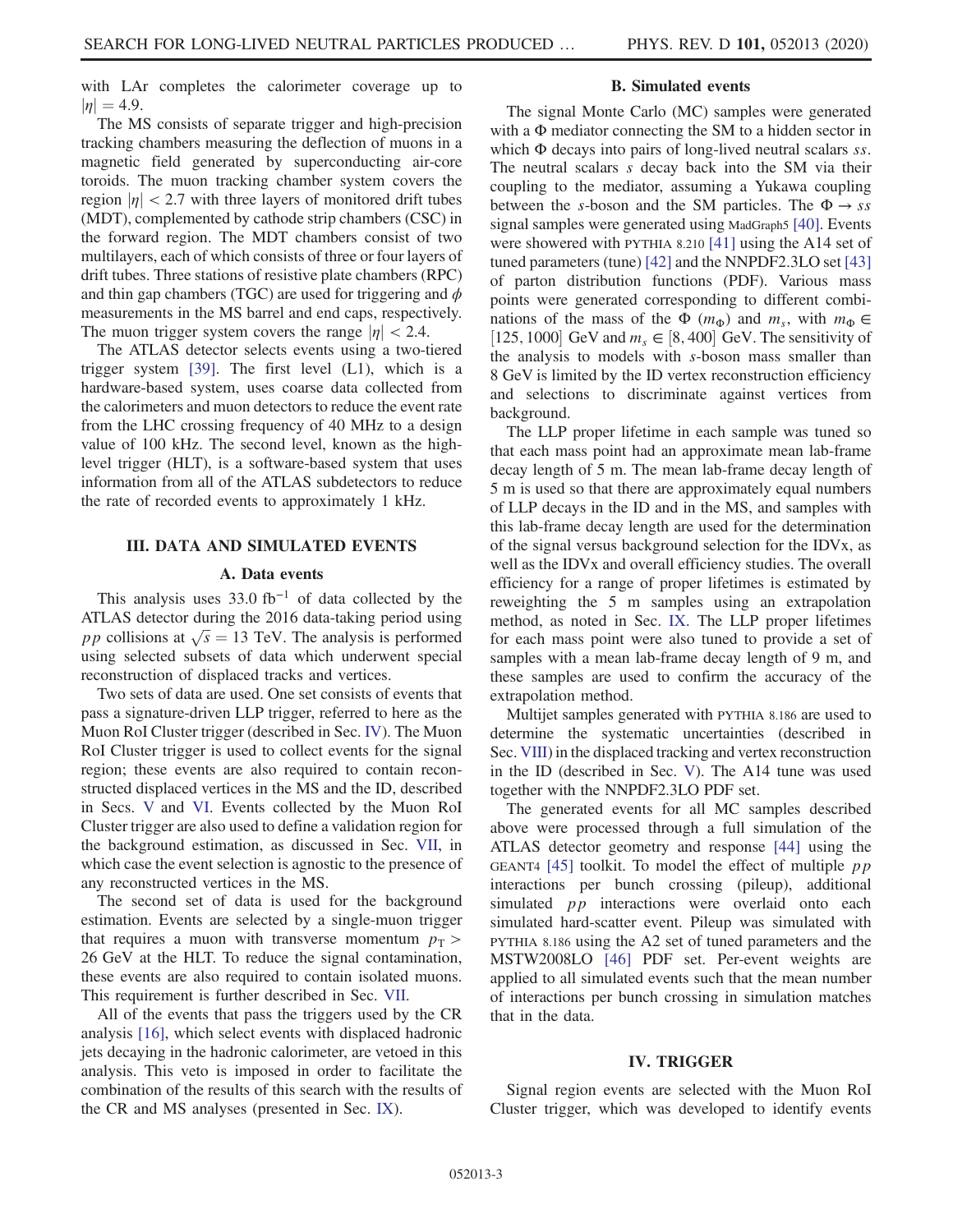with LAr completes the calorimeter coverage up to  $|\eta| = 4.9.$ 

The MS consists of separate trigger and high-precision tracking chambers measuring the deflection of muons in a magnetic field generated by superconducting air-core toroids. The muon tracking chamber system covers the region  $|\eta|$  < 2.7 with three layers of monitored drift tubes (MDT), complemented by cathode strip chambers (CSC) in the forward region. The MDT chambers consist of two multilayers, each of which consists of three or four layers of drift tubes. Three stations of resistive plate chambers (RPC) and thin gap chambers (TGC) are used for triggering and  $\phi$ measurements in the MS barrel and end caps, respectively. The muon trigger system covers the range  $|\eta| < 2.4$ .

The ATLAS detector selects events using a two-tiered trigger system [\[39\].](#page-15-13) The first level (L1), which is a hardware-based system, uses coarse data collected from the calorimeters and muon detectors to reduce the event rate from the LHC crossing frequency of 40 MHz to a design value of 100 kHz. The second level, known as the highlevel trigger (HLT), is a software-based system that uses information from all of the ATLAS subdetectors to reduce the rate of recorded events to approximately 1 kHz.

# <span id="page-3-0"></span>III. DATA AND SIMULATED EVENTS

## A. Data events

This analysis uses  $33.0$  fb<sup>-1</sup> of data collected by the ATLAS detector during the 2016 data-taking period using pp collisions at  $\sqrt{s} = 13$  TeV. The analysis is performed using selected subsets of data which underwent special reconstruction of displaced tracks and vertices.

Two sets of data are used. One set consists of events that pass a signature-driven LLP trigger, referred to here as the Muon RoI Cluster trigger (described in Sec. [IV](#page-3-1)). The Muon RoI Cluster trigger is used to collect events for the signal region; these events are also required to contain reconstructed displaced vertices in the MS and the ID, described in Secs. [V](#page-4-0) and [VI.](#page-5-0) Events collected by the Muon RoI Cluster trigger are also used to define a validation region for the background estimation, as discussed in Sec. [VII,](#page-8-0) in which case the event selection is agnostic to the presence of any reconstructed vertices in the MS.

The second set of data is used for the background estimation. Events are selected by a single-muon trigger that requires a muon with transverse momentum  $p_T$  > 26 GeV at the HLT. To reduce the signal contamination, these events are also required to contain isolated muons. This requirement is further described in Sec. [VII.](#page-8-0)

All of the events that pass the triggers used by the CR analysis [\[16\],](#page-15-6) which select events with displaced hadronic jets decaying in the hadronic calorimeter, are vetoed in this analysis. This veto is imposed in order to facilitate the combination of the results of this search with the results of the CR and MS analyses (presented in Sec. [IX](#page-11-0)).

#### B. Simulated events

The signal Monte Carlo (MC) samples were generated with a Φ mediator connecting the SM to a hidden sector in which  $\Phi$  decays into pairs of long-lived neutral scalars ss. The neutral scalars s decay back into the SM via their coupling to the mediator, assuming a Yukawa coupling between the s-boson and the SM particles. The  $\Phi \rightarrow ss$ signal samples were generated using MadGraph5 [\[40\].](#page-15-14) Events were showered with PYTHIA 8.210 [\[41\]](#page-15-15) using the A14 set of tuned parameters (tune) [\[42\]](#page-15-16) and the NNPDF2.3LO set [\[43\]](#page-15-17) of parton distribution functions (PDF). Various mass points were generated corresponding to different combinations of the mass of the  $\Phi$  ( $m_{\Phi}$ ) and  $m_s$ , with  $m_{\Phi} \in$ [125, 1000] GeV and  $m_s \in [8, 400]$  GeV. The sensitivity of the analysis to models with s-boson mass smaller than 8 GeV is limited by the ID vertex reconstruction efficiency and selections to discriminate against vertices from background.

The LLP proper lifetime in each sample was tuned so that each mass point had an approximate mean lab-frame decay length of 5 m. The mean lab-frame decay length of 5 m is used so that there are approximately equal numbers of LLP decays in the ID and in the MS, and samples with this lab-frame decay length are used for the determination of the signal versus background selection for the IDVx, as well as the IDVx and overall efficiency studies. The overall efficiency for a range of proper lifetimes is estimated by reweighting the 5 m samples using an extrapolation method, as noted in Sec. [IX.](#page-11-0) The LLP proper lifetimes for each mass point were also tuned to provide a set of samples with a mean lab-frame decay length of 9 m, and these samples are used to confirm the accuracy of the extrapolation method.

Multijet samples generated with PYTHIA 8.186 are used to determine the systematic uncertainties (described in Sec. [VIII\)](#page-10-0) in the displaced tracking and vertex reconstruction in the ID (described in Sec. [V\)](#page-4-0). The A14 tune was used together with the NNPDF2.3LO PDF set.

The generated events for all MC samples described above were processed through a full simulation of the ATLAS detector geometry and response [\[44\]](#page-15-18) using the GEANT4 [\[45\]](#page-15-19) toolkit. To model the effect of multiple  $pp$ interactions per bunch crossing (pileup), additional simulated *pp* interactions were overlaid onto each simulated hard-scatter event. Pileup was simulated with PYTHIA 8.186 using the A2 set of tuned parameters and the MSTW2008LO [\[46\]](#page-16-0) PDF set. Per-event weights are applied to all simulated events such that the mean number of interactions per bunch crossing in simulation matches that in the data.

#### IV. TRIGGER

<span id="page-3-1"></span>Signal region events are selected with the Muon RoI Cluster trigger, which was developed to identify events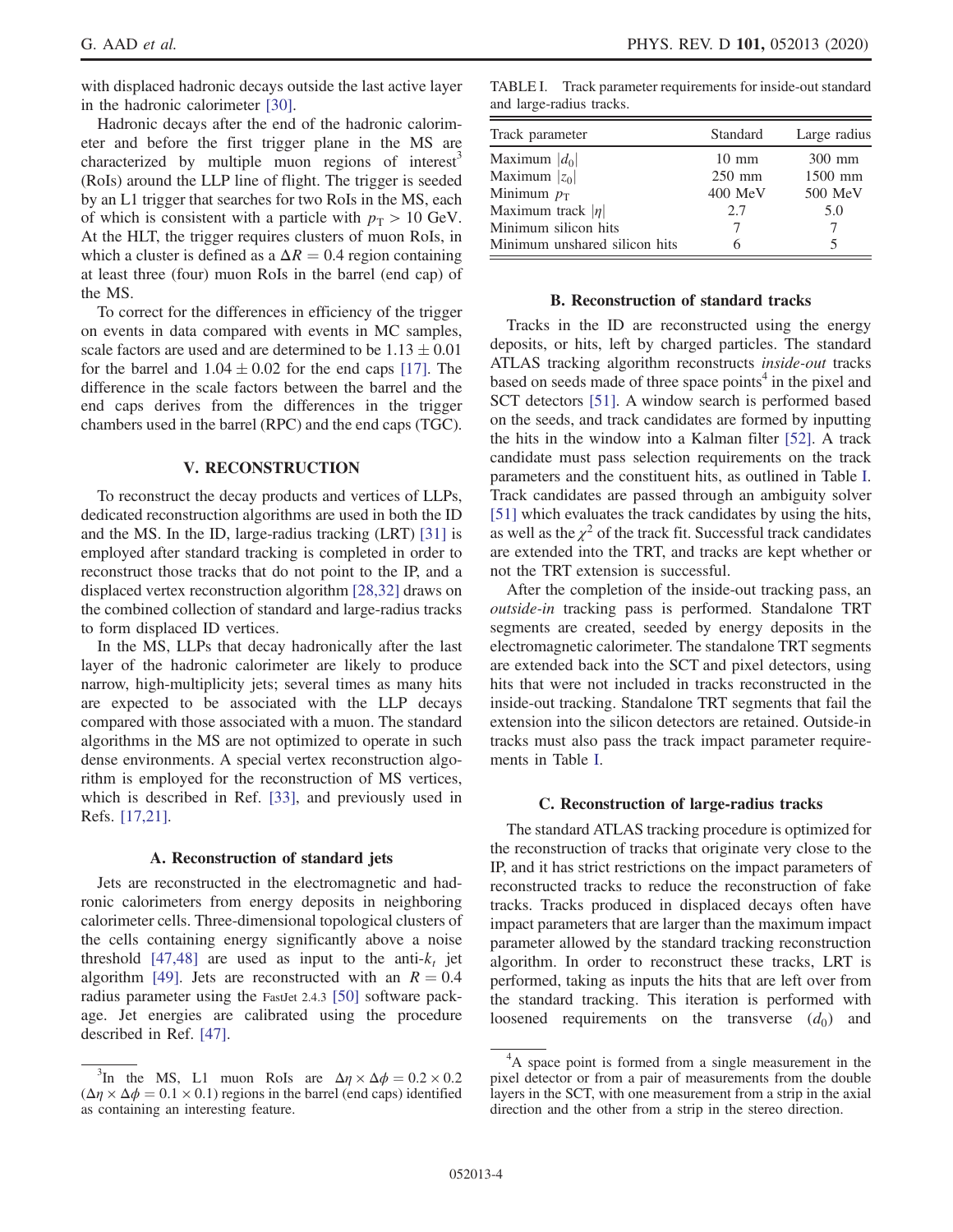with displaced hadronic decays outside the last active layer in the hadronic calorimeter [\[30\].](#page-15-20)

Hadronic decays after the end of the hadronic calorimeter and before the first trigger plane in the MS are characterized by multiple muon regions of interest<sup>3</sup> (RoIs) around the LLP line of flight. The trigger is seeded by an L1 trigger that searches for two RoIs in the MS, each of which is consistent with a particle with  $p_T > 10$  GeV. At the HLT, the trigger requires clusters of muon RoIs, in which a cluster is defined as a  $\Delta R = 0.4$  region containing at least three (four) muon RoIs in the barrel (end cap) of the MS.

To correct for the differences in efficiency of the trigger on events in data compared with events in MC samples, scale factors are used and are determined to be  $1.13 \pm 0.01$ for the barrel and  $1.04 \pm 0.02$  for the end caps [\[17\].](#page-15-7) The difference in the scale factors between the barrel and the end caps derives from the differences in the trigger chambers used in the barrel (RPC) and the end caps (TGC).

#### V. RECONSTRUCTION

<span id="page-4-0"></span>To reconstruct the decay products and vertices of LLPs, dedicated reconstruction algorithms are used in both the ID and the MS. In the ID, large-radius tracking (LRT) [\[31\]](#page-15-21) is employed after standard tracking is completed in order to reconstruct those tracks that do not point to the IP, and a displaced vertex reconstruction algorithm [\[28,32\]](#page-15-9) draws on the combined collection of standard and large-radius tracks to form displaced ID vertices.

In the MS, LLPs that decay hadronically after the last layer of the hadronic calorimeter are likely to produce narrow, high-multiplicity jets; several times as many hits are expected to be associated with the LLP decays compared with those associated with a muon. The standard algorithms in the MS are not optimized to operate in such dense environments. A special vertex reconstruction algorithm is employed for the reconstruction of MS vertices, which is described in Ref. [\[33\]](#page-15-10), and previously used in Refs. [\[17,21\].](#page-15-7)

#### A. Reconstruction of standard jets

Jets are reconstructed in the electromagnetic and hadronic calorimeters from energy deposits in neighboring calorimeter cells. Three-dimensional topological clusters of the cells containing energy significantly above a noise threshold [\[47,48\]](#page-16-1) are used as input to the anti- $k_t$  jet algorithm [\[49\]](#page-16-2). Jets are reconstructed with an  $R = 0.4$ radius parameter using the FastJet 2.4.3 [\[50\]](#page-16-3) software package. Jet energies are calibrated using the procedure described in Ref. [\[47\].](#page-16-1)

<span id="page-4-1"></span>TABLE I. Track parameter requirements for inside-out standard and large-radius tracks.

| Track parameter               | Standard        | Large radius |
|-------------------------------|-----------------|--------------|
| Maximum $ d_0 $               | $10 \text{ mm}$ | $300$ mm     |
| Maximum $ z_0 $               | $250$ mm        | 1500 mm      |
| Minimum $p_T$                 | $400$ MeV       | 500 MeV      |
| Maximum track $ \eta $        | 2.7             | 5.0          |
| Minimum silicon hits          |                 |              |
| Minimum unshared silicon hits |                 |              |

#### B. Reconstruction of standard tracks

Tracks in the ID are reconstructed using the energy deposits, or hits, left by charged particles. The standard ATLAS tracking algorithm reconstructs inside-out tracks based on seeds made of three space points<sup>4</sup> in the pixel and SCT detectors [\[51\].](#page-16-4) A window search is performed based on the seeds, and track candidates are formed by inputting the hits in the window into a Kalman filter [\[52\].](#page-16-5) A track candidate must pass selection requirements on the track parameters and the constituent hits, as outlined in Table [I](#page-4-1). Track candidates are passed through an ambiguity solver [\[51\]](#page-16-4) which evaluates the track candidates by using the hits, as well as the  $\chi^2$  of the track fit. Successful track candidates are extended into the TRT, and tracks are kept whether or not the TRT extension is successful.

After the completion of the inside-out tracking pass, an outside-in tracking pass is performed. Standalone TRT segments are created, seeded by energy deposits in the electromagnetic calorimeter. The standalone TRT segments are extended back into the SCT and pixel detectors, using hits that were not included in tracks reconstructed in the inside-out tracking. Standalone TRT segments that fail the extension into the silicon detectors are retained. Outside-in tracks must also pass the track impact parameter requirements in Table [I](#page-4-1).

#### C. Reconstruction of large-radius tracks

The standard ATLAS tracking procedure is optimized for the reconstruction of tracks that originate very close to the IP, and it has strict restrictions on the impact parameters of reconstructed tracks to reduce the reconstruction of fake tracks. Tracks produced in displaced decays often have impact parameters that are larger than the maximum impact parameter allowed by the standard tracking reconstruction algorithm. In order to reconstruct these tracks, LRT is performed, taking as inputs the hits that are left over from the standard tracking. This iteration is performed with loosened requirements on the transverse  $(d_0)$  and

<sup>&</sup>lt;sup>3</sup>In the MS, L1 muon RoIs are  $\Delta \eta \times \Delta \phi = 0.2 \times 0.2$  $(\Delta \eta \times \Delta \phi = 0.1 \times 0.1)$  regions in the barrel (end caps) identified as containing an interesting feature.

<sup>&</sup>lt;sup>4</sup>A space point is formed from a single measurement in the pixel detector or from a pair of measurements from the double layers in the SCT, with one measurement from a strip in the axial direction and the other from a strip in the stereo direction.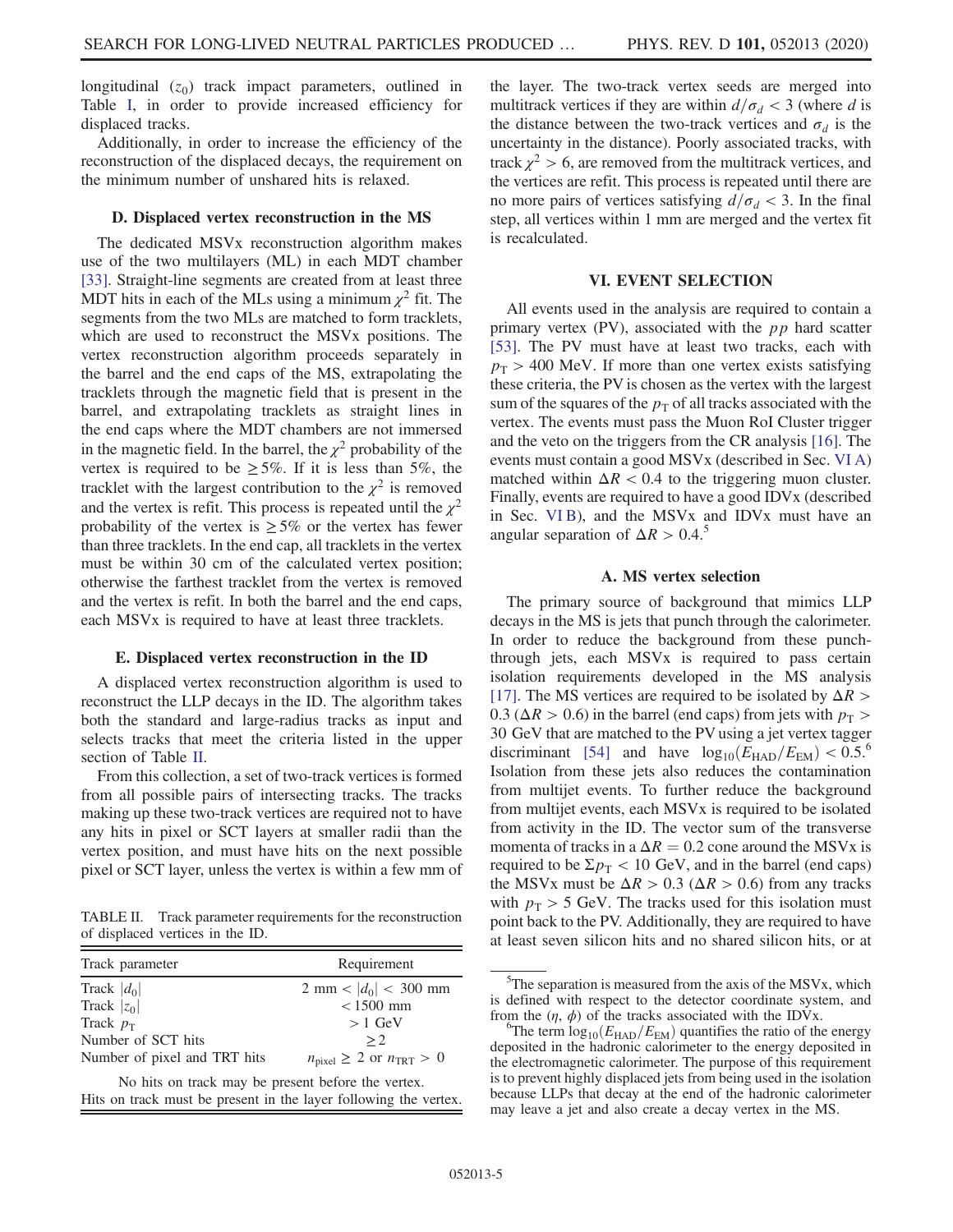longitudinal  $(z_0)$  track impact parameters, outlined in Table [I](#page-4-1), in order to provide increased efficiency for displaced tracks.

Additionally, in order to increase the efficiency of the reconstruction of the displaced decays, the requirement on the minimum number of unshared hits is relaxed.

#### D. Displaced vertex reconstruction in the MS

The dedicated MSVx reconstruction algorithm makes use of the two multilayers (ML) in each MDT chamber [\[33\]](#page-15-10). Straight-line segments are created from at least three MDT hits in each of the MLs using a minimum  $\chi^2$  fit. The segments from the two MLs are matched to form tracklets, which are used to reconstruct the MSVx positions. The vertex reconstruction algorithm proceeds separately in the barrel and the end caps of the MS, extrapolating the tracklets through the magnetic field that is present in the barrel, and extrapolating tracklets as straight lines in the end caps where the MDT chambers are not immersed in the magnetic field. In the barrel, the  $\chi^2$  probability of the vertex is required to be  $\geq$  5%. If it is less than 5%, the tracklet with the largest contribution to the  $\chi^2$  is removed and the vertex is refit. This process is repeated until the  $\chi^2$ probability of the vertex is  $\geq$  5% or the vertex has fewer than three tracklets. In the end cap, all tracklets in the vertex must be within 30 cm of the calculated vertex position; otherwise the farthest tracklet from the vertex is removed and the vertex is refit. In both the barrel and the end caps, each MSVx is required to have at least three tracklets.

#### E. Displaced vertex reconstruction in the ID

A displaced vertex reconstruction algorithm is used to reconstruct the LLP decays in the ID. The algorithm takes both the standard and large-radius tracks as input and selects tracks that meet the criteria listed in the upper section of Table [II.](#page-5-1)

From this collection, a set of two-track vertices is formed from all possible pairs of intersecting tracks. The tracks making up these two-track vertices are required not to have any hits in pixel or SCT layers at smaller radii than the vertex position, and must have hits on the next possible pixel or SCT layer, unless the vertex is within a few mm of

<span id="page-5-1"></span>TABLE II. Track parameter requirements for the reconstruction of displaced vertices in the ID.

| Track parameter              | Requirement                                       |
|------------------------------|---------------------------------------------------|
| Track $ d_0 $                | $2 \text{ mm} <  d_0  < 300 \text{ mm}$           |
| Track $ z_0 $                | $< 1500$ mm                                       |
| Track $p_T$                  | $>1$ GeV                                          |
| Number of SCT hits           | >2                                                |
| Number of pixel and TRT hits | $n_{\text{pixel}} \geq 2$ or $n_{\text{TRT}} > 0$ |
|                              |                                                   |

No hits on track may be present before the vertex. Hits on track must be present in the layer following the vertex. the layer. The two-track vertex seeds are merged into multitrack vertices if they are within  $d/\sigma_d < 3$  (where d is the distance between the two-track vertices and  $\sigma_d$  is the uncertainty in the distance). Poorly associated tracks, with track  $\chi^2 > 6$ , are removed from the multitrack vertices, and the vertices are refit. This process is repeated until there are no more pairs of vertices satisfying  $d/\sigma_d < 3$ . In the final step, all vertices within 1 mm are merged and the vertex fit is recalculated.

# VI. EVENT SELECTION

<span id="page-5-0"></span>All events used in the analysis are required to contain a primary vertex  $(PV)$ , associated with the  $pp$  hard scatter [\[53\]](#page-16-6). The PV must have at least two tracks, each with  $p_T > 400$  MeV. If more than one vertex exists satisfying these criteria, the PV is chosen as the vertex with the largest sum of the squares of the  $p<sub>T</sub>$  of all tracks associated with the vertex. The events must pass the Muon RoI Cluster trigger and the veto on the triggers from the CR analysis [\[16\].](#page-15-6) The events must contain a good MSVx (described in Sec. [VI A\)](#page-5-2) matched within  $\Delta R < 0.4$  to the triggering muon cluster. Finally, events are required to have a good IDVx (described in Sec. [VI B\)](#page-6-0), and the MSVx and IDVx must have an angular separation of  $\Delta R > 0.4$ .<sup>5</sup>

# A. MS vertex selection

<span id="page-5-2"></span>The primary source of background that mimics LLP decays in the MS is jets that punch through the calorimeter. In order to reduce the background from these punchthrough jets, each MSVx is required to pass certain isolation requirements developed in the MS analysis [\[17\]](#page-15-7). The MS vertices are required to be isolated by  $\Delta R$  > 0.3 ( $\Delta R > 0.6$ ) in the barrel (end caps) from jets with  $p_T >$ 30 GeV that are matched to the PV using a jet vertex tagger discriminant [\[54\]](#page-16-7) and have  $log_{10}(E_{HAD}/E_{EM}) < 0.5$ .<sup>6</sup> Isolation from these jets also reduces the contamination from multijet events. To further reduce the background from multijet events, each MSVx is required to be isolated from activity in the ID. The vector sum of the transverse momenta of tracks in a  $\Delta R = 0.2$  cone around the MSVx is required to be  $\Sigma p_{\rm T}$  < 10 GeV, and in the barrel (end caps) the MSVx must be  $\Delta R > 0.3$  ( $\Delta R > 0.6$ ) from any tracks with  $p_T > 5$  GeV. The tracks used for this isolation must point back to the PV. Additionally, they are required to have at least seven silicon hits and no shared silicon hits, or at

 $5$ The separation is measured from the axis of the MSVx, which is defined with respect to the detector coordinate system, and from the  $(\eta, \phi)$  of the tracks associated with the IDVx.

<sup>&</sup>lt;sup>6</sup>The term  $\log_{10}(E_{\rm HAD}/E_{\rm EM})$  quantifies the ratio of the energy deposited in the hadronic calorimeter to the energy deposited in the electromagnetic calorimeter. The purpose of this requirement is to prevent highly displaced jets from being used in the isolation because LLPs that decay at the end of the hadronic calorimeter may leave a jet and also create a decay vertex in the MS.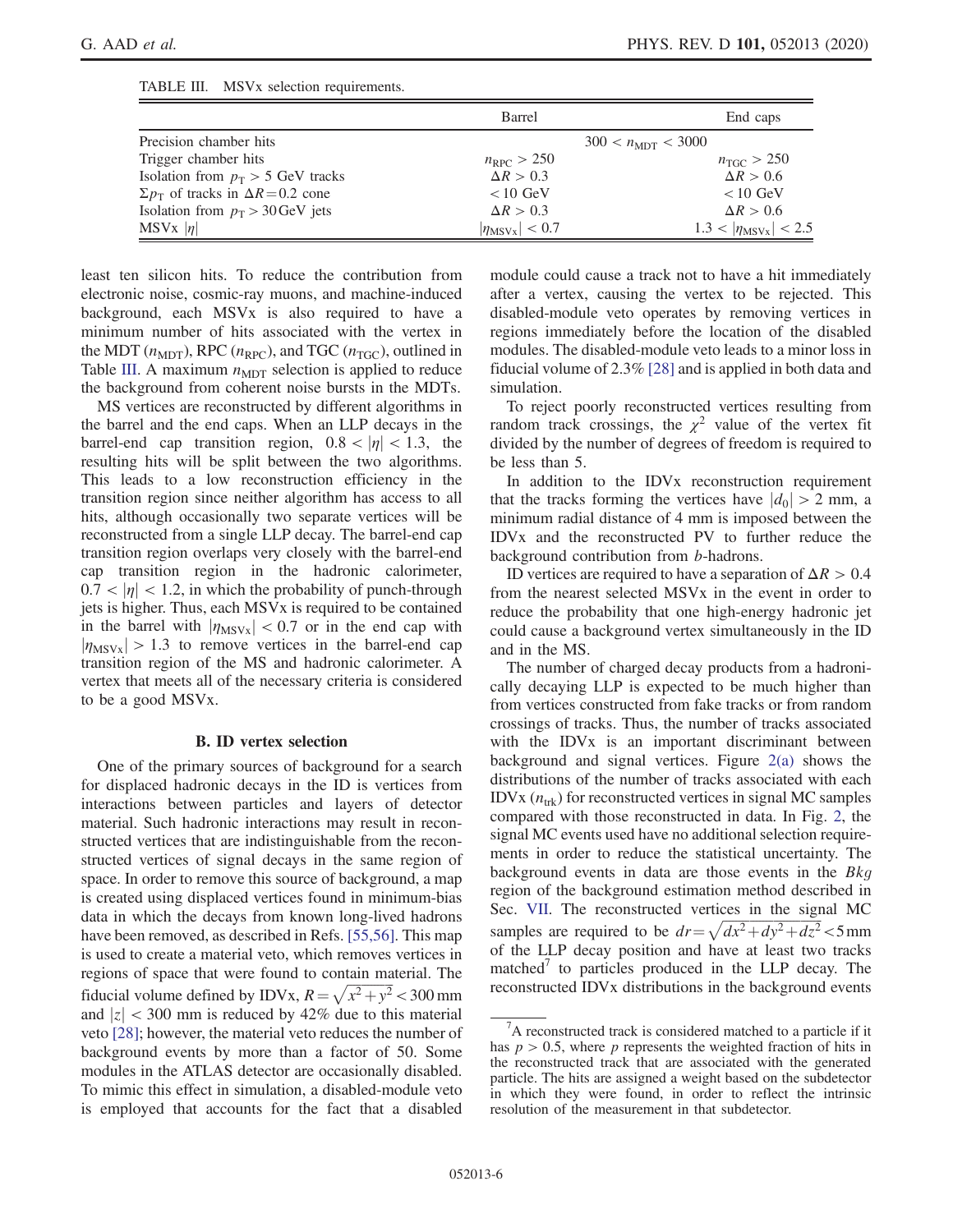<span id="page-6-1"></span>

| TABLE III. |  |  | MSV <sub>x</sub> selection requirements. |
|------------|--|--|------------------------------------------|
|------------|--|--|------------------------------------------|

|                                                       | Barrel                    | End caps                        |
|-------------------------------------------------------|---------------------------|---------------------------------|
| Precision chamber hits                                |                           | $300 < n_{\text{MDT}} < 3000$   |
| Trigger chamber hits                                  | $n_{RPC} > 250$           | $n_{\rm TGC} > 250$             |
| Isolation from $p_T > 5$ GeV tracks                   | $\Delta R > 0.3$          | $\Delta R > 0.6$                |
| $\Sigma p_{\rm T}$ of tracks in $\Delta R$ = 0.2 cone | $< 10$ GeV                | $< 10$ GeV                      |
| Isolation from $p_T > 30$ GeV jets                    | $\Delta R > 0.3$          | $\Delta R > 0.6$                |
| MSV <sub>x</sub> $ \eta $                             | $ \eta_{\rm MSVx}  < 0.7$ | $1.3 <  \eta_{\rm MSVx}  < 2.5$ |

least ten silicon hits. To reduce the contribution from electronic noise, cosmic-ray muons, and machine-induced background, each MSVx is also required to have a minimum number of hits associated with the vertex in the MDT  $(n_{\text{MDT}})$ , RPC  $(n_{\text{RPC}})$ , and TGC  $(n_{\text{TGC}})$ , outlined in Table [III](#page-6-1). A maximum  $n_{MDT}$  selection is applied to reduce the background from coherent noise bursts in the MDTs.

MS vertices are reconstructed by different algorithms in the barrel and the end caps. When an LLP decays in the barrel-end cap transition region,  $0.8 < |\eta| < 1.3$ , the resulting hits will be split between the two algorithms. This leads to a low reconstruction efficiency in the transition region since neither algorithm has access to all hits, although occasionally two separate vertices will be reconstructed from a single LLP decay. The barrel-end cap transition region overlaps very closely with the barrel-end cap transition region in the hadronic calorimeter,  $0.7 < |\eta| < 1.2$ , in which the probability of punch-through jets is higher. Thus, each MSVx is required to be contained in the barrel with  $|\eta_{\rm MSVx}|$  < 0.7 or in the end cap with  $|\eta_{\rm MSVx}| > 1.3$  to remove vertices in the barrel-end cap transition region of the MS and hadronic calorimeter. A vertex that meets all of the necessary criteria is considered to be a good MSVx.

#### B. ID vertex selection

<span id="page-6-0"></span>One of the primary sources of background for a search for displaced hadronic decays in the ID is vertices from interactions between particles and layers of detector material. Such hadronic interactions may result in reconstructed vertices that are indistinguishable from the reconstructed vertices of signal decays in the same region of space. In order to remove this source of background, a map is created using displaced vertices found in minimum-bias data in which the decays from known long-lived hadrons have been removed, as described in Refs. [\[55,56\].](#page-16-8) This map is used to create a material veto, which removes vertices in regions of space that were found to contain material. The fiducial volume defined by IDVx,  $R = \sqrt{x^2 + y^2} < 300$  mm and  $|z|$  < 300 mm is reduced by 42% due to this material veto [\[28\]](#page-15-9); however, the material veto reduces the number of background events by more than a factor of 50. Some modules in the ATLAS detector are occasionally disabled. To mimic this effect in simulation, a disabled-module veto is employed that accounts for the fact that a disabled module could cause a track not to have a hit immediately after a vertex, causing the vertex to be rejected. This disabled-module veto operates by removing vertices in regions immediately before the location of the disabled modules. The disabled-module veto leads to a minor loss in fiducial volume of 2.3% [\[28\]](#page-15-9) and is applied in both data and simulation.

To reject poorly reconstructed vertices resulting from random track crossings, the  $\chi^2$  value of the vertex fit divided by the number of degrees of freedom is required to be less than 5.

In addition to the IDVx reconstruction requirement that the tracks forming the vertices have  $|d_0| > 2$  mm, a minimum radial distance of 4 mm is imposed between the IDVx and the reconstructed PV to further reduce the background contribution from b-hadrons.

ID vertices are required to have a separation of  $\Delta R > 0.4$ from the nearest selected MSVx in the event in order to reduce the probability that one high-energy hadronic jet could cause a background vertex simultaneously in the ID and in the MS.

The number of charged decay products from a hadronically decaying LLP is expected to be much higher than from vertices constructed from fake tracks or from random crossings of tracks. Thus, the number of tracks associated with the IDV<sub>x</sub> is an important discriminant between background and signal vertices. Figure [2\(a\)](#page-7-0) shows the distributions of the number of tracks associated with each IDVx  $(n_{trk})$  for reconstructed vertices in signal MC samples compared with those reconstructed in data. In Fig. [2,](#page-7-0) the signal MC events used have no additional selection requirements in order to reduce the statistical uncertainty. The background events in data are those events in the Bkg region of the background estimation method described in Sec. [VII.](#page-8-0) The reconstructed vertices in the signal MC samples are required to be  $dr = \sqrt{dx^2 + dy^2 + dz^2} < 5$  mm of the LLP decay position and have at least two tracks matched $\alpha$  to particles produced in the LLP decay. The reconstructed IDVx distributions in the background events

 ${}^{7}$ A reconstructed track is considered matched to a particle if it has  $p > 0.5$ , where p represents the weighted fraction of hits in the reconstructed track that are associated with the generated particle. The hits are assigned a weight based on the subdetector in which they were found, in order to reflect the intrinsic resolution of the measurement in that subdetector.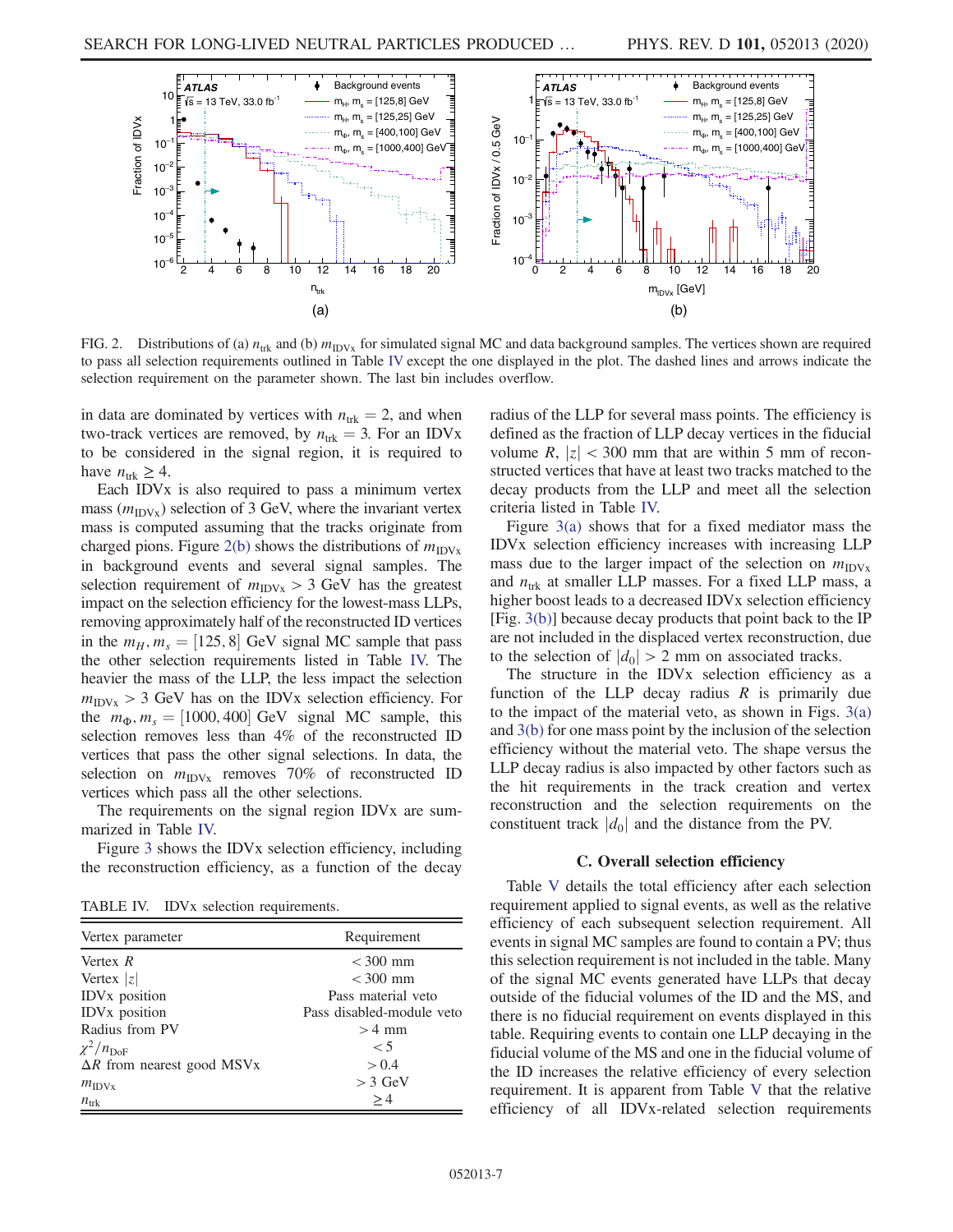<span id="page-7-0"></span>

FIG. 2. Distributions of (a)  $n_{\text{trk}}$  and (b)  $m_{\text{IDVx}}$  for simulated signal MC and data background samples. The vertices shown are required to pass all selection requirements outlined in Table [IV](#page-7-1) except the one displayed in the plot. The dashed lines and arrows indicate the selection requirement on the parameter shown. The last bin includes overflow.

in data are dominated by vertices with  $n_{\text{trk}} = 2$ , and when two-track vertices are removed, by  $n_{\text{trk}} = 3$ . For an IDVx to be considered in the signal region, it is required to have  $n_{\text{trk}} \geq 4$ .

Each IDVx is also required to pass a minimum vertex mass  $(m_{\text{IDVx}})$  selection of 3 GeV, where the invariant vertex mass is computed assuming that the tracks originate from charged pions. Figure [2\(b\)](#page-7-0) shows the distributions of  $m_{\text{IDVx}}$ in background events and several signal samples. The selection requirement of  $m_{\text{IDVx}} > 3$  GeV has the greatest impact on the selection efficiency for the lowest-mass LLPs, removing approximately half of the reconstructed ID vertices in the  $m_H$ ,  $m_s = [125, 8]$  GeV signal MC sample that pass the other selection requirements listed in Table [IV.](#page-7-1) The heavier the mass of the LLP, the less impact the selection  $m_{\text{IDVx}} > 3$  GeV has on the IDVx selection efficiency. For the  $m_{\Phi}$ ,  $m_s = [1000, 400]$  GeV signal MC sample, this selection removes less than 4% of the reconstructed ID vertices that pass the other signal selections. In data, the selection on  $m_{\text{IDVx}}$  removes 70% of reconstructed ID vertices which pass all the other selections.

The requirements on the signal region IDVx are summarized in Table [IV.](#page-7-1)

Figure [3](#page-8-1) shows the IDVx selection efficiency, including the reconstruction efficiency, as a function of the decay

<span id="page-7-1"></span>TABLE IV. IDVx selection requirements.

| Vertex parameter                  | Requirement               |
|-----------------------------------|---------------------------|
| Vertex $R$                        | $<$ 300 mm                |
| Vertex $ z $                      | $<$ 300 mm                |
| <b>IDV</b> x position             | Pass material veto        |
| <b>IDV</b> <sub>x</sub> position  | Pass disabled-module veto |
| Radius from PV                    | $>4$ mm                   |
| $\chi^2/n_{\rm DoF}$              | $\leq 5$                  |
| $\Delta R$ from nearest good MSVx | > 0.4                     |
| $m_{\text{IDVx}}$                 | $>$ 3 GeV                 |
| $n_{\text{trk}}$                  | >4                        |

radius of the LLP for several mass points. The efficiency is defined as the fraction of LLP decay vertices in the fiducial volume R,  $|z|$  < 300 mm that are within 5 mm of reconstructed vertices that have at least two tracks matched to the decay products from the LLP and meet all the selection criteria listed in Table [IV.](#page-7-1)

Figure [3\(a\)](#page-8-1) shows that for a fixed mediator mass the IDVx selection efficiency increases with increasing LLP mass due to the larger impact of the selection on  $m_{\text{IDVx}}$ and  $n_{\text{trk}}$  at smaller LLP masses. For a fixed LLP mass, a higher boost leads to a decreased IDVx selection efficiency [Fig. [3\(b\)\]](#page-8-1) because decay products that point back to the IP are not included in the displaced vertex reconstruction, due to the selection of  $|d_0| > 2$  mm on associated tracks.

The structure in the IDVx selection efficiency as a function of the LLP decay radius  $R$  is primarily due to the impact of the material veto, as shown in Figs.  $3(a)$ and [3\(b\)](#page-8-1) for one mass point by the inclusion of the selection efficiency without the material veto. The shape versus the LLP decay radius is also impacted by other factors such as the hit requirements in the track creation and vertex reconstruction and the selection requirements on the constituent track  $|d_0|$  and the distance from the PV.

#### C. Overall selection efficiency

Table [V](#page-8-2) details the total efficiency after each selection requirement applied to signal events, as well as the relative efficiency of each subsequent selection requirement. All events in signal MC samples are found to contain a PV; thus this selection requirement is not included in the table. Many of the signal MC events generated have LLPs that decay outside of the fiducial volumes of the ID and the MS, and there is no fiducial requirement on events displayed in this table. Requiring events to contain one LLP decaying in the fiducial volume of the MS and one in the fiducial volume of the ID increases the relative efficiency of every selection requirement. It is apparent from Table [V](#page-8-2) that the relative efficiency of all IDVx-related selection requirements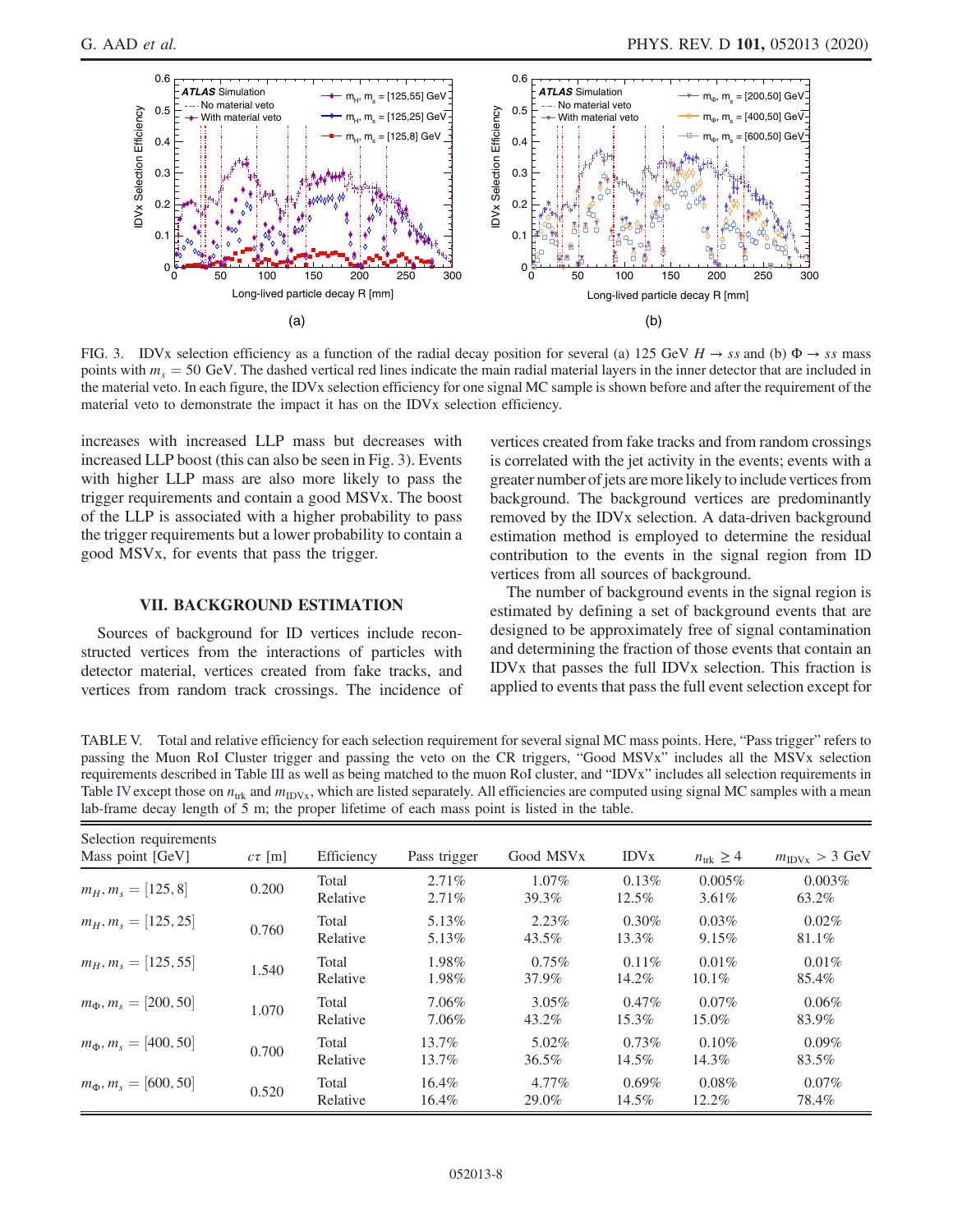<span id="page-8-1"></span>

FIG. 3. IDVx selection efficiency as a function of the radial decay position for several (a) 125 GeV  $H \rightarrow ss$  and (b)  $\Phi \rightarrow ss$  mass points with  $m_s = 50$  GeV. The dashed vertical red lines indicate the main radial material layers in the inner detector that are included in the material veto. In each figure, the IDVx selection efficiency for one signal MC sample is shown before and after the requirement of the material veto to demonstrate the impact it has on the IDVx selection efficiency.

increases with increased LLP mass but decreases with increased LLP boost (this can also be seen in Fig. [3\)](#page-8-1). Events with higher LLP mass are also more likely to pass the trigger requirements and contain a good MSVx. The boost of the LLP is associated with a higher probability to pass the trigger requirements but a lower probability to contain a good MSVx, for events that pass the trigger.

## VII. BACKGROUND ESTIMATION

<span id="page-8-0"></span>Sources of background for ID vertices include reconstructed vertices from the interactions of particles with detector material, vertices created from fake tracks, and vertices from random track crossings. The incidence of

vertices created from fake tracks and from random crossings is correlated with the jet activity in the events; events with a greater number of jets are more likely to include vertices from background. The background vertices are predominantly removed by the IDVx selection. A data-driven background estimation method is employed to determine the residual contribution to the events in the signal region from ID vertices from all sources of background.

The number of background events in the signal region is estimated by defining a set of background events that are designed to be approximately free of signal contamination and determining the fraction of those events that contain an IDVx that passes the full IDVx selection. This fraction is applied to events that pass the full event selection except for

<span id="page-8-2"></span>TABLE V. Total and relative efficiency for each selection requirement for several signal MC mass points. Here, "Pass trigger" refers to passing the Muon RoI Cluster trigger and passing the veto on the CR triggers, "Good MSVx" includes all the MSVx selection requirements described in Table [III](#page-6-1) as well as being matched to the muon RoI cluster, and "IDVx" includes all selection requirements in Table [IV](#page-7-1) except those on  $n_{\text{trk}}$  and  $m_{\text{IDVx}}$ , which are listed separately. All efficiencies are computed using signal MC samples with a mean lab-frame decay length of 5 m; the proper lifetime of each mass point is listed in the table.

| Selection requirements<br>Mass point [GeV] | $c\tau$ [m] | Efficiency        | Pass trigger         | Good MSV <sub>x</sub> | <b>IDV<sub>x</sub></b> | $n_{\text{trk}} \geq 4$ | $m_{\text{IDVx}} > 3 \text{ GeV}$ |
|--------------------------------------------|-------------|-------------------|----------------------|-----------------------|------------------------|-------------------------|-----------------------------------|
| $m_H, m_s = [125, 8]$                      | 0.200       | Total<br>Relative | $2.71\%$<br>2.71%    | $1.07\%$<br>39.3%     | $0.13\%$<br>$12.5\%$   | 0.005%<br>$3.61\%$      | $0.003\%$<br>63.2%                |
| $m_H, m_s = [125, 25]$                     | 0.760       | Total<br>Relative | 5.13%<br>5.13%       | 2.23%<br>43.5%        | $0.30\%$<br>13.3%      | 0.03%<br>9.15%          | $0.02\%$<br>81.1%                 |
| $m_H, m_s = [125, 55]$                     | 1.540       | Total<br>Relative | 1.98%<br>1.98%       | $0.75\%$<br>37.9%     | 0.11%<br>14.2%         | 0.01%<br>$10.1\%$       | 0.01%<br>85.4%                    |
| $m_{\Phi}$ , $m_s = [200, 50]$             | 1.070       | Total<br>Relative | $7.06\%$<br>7.06%    | $3.05\%$<br>$43.2\%$  | $0.47\%$<br>15.3%      | $0.07\%$<br>15.0%       | $0.06\%$<br>83.9%                 |
| $m_{\Phi}$ , $m_s = [400, 50]$             | 0.700       | Total<br>Relative | 13.7%<br>13.7%       | $5.02\%$<br>36.5%     | $0.73\%$<br>14.5%      | $0.10\%$<br>14.3%       | $0.09\%$<br>83.5%                 |
| $m_{\Phi}$ , $m_s = [600, 50]$             | 0.520       | Total<br>Relative | $16.4\%$<br>$16.4\%$ | $4.77\%$<br>29.0%     | $0.69\%$<br>$14.5\%$   | $0.08\%$<br>12.2%       | $0.07\%$<br>78.4%                 |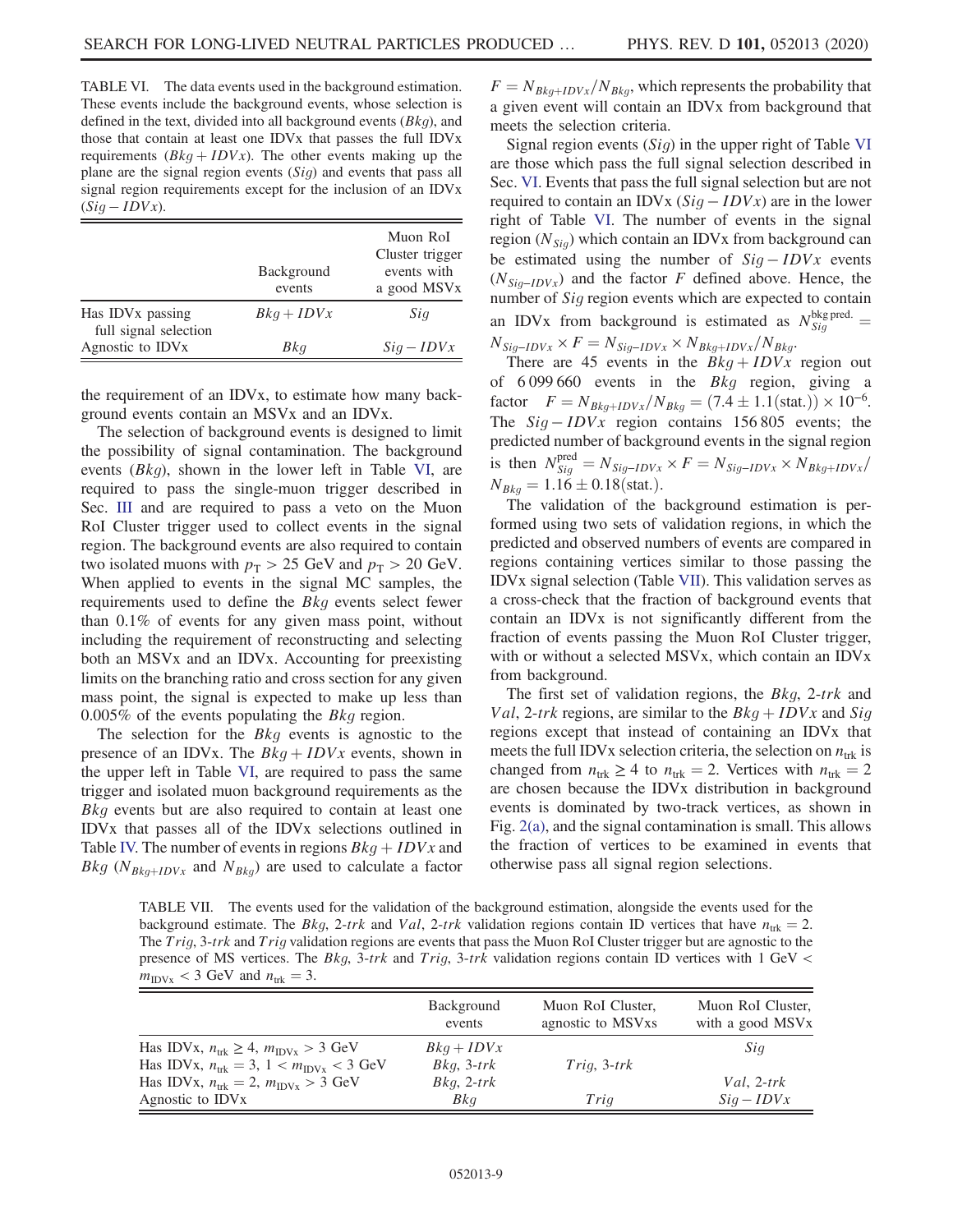<span id="page-9-0"></span>TABLE VI. The data events used in the background estimation. These events include the background events, whose selection is defined in the text, divided into all background events  $(Bkg)$ , and those that contain at least one IDVx that passes the full IDVx requirements  $(Bkg + IDVx)$ . The other events making up the plane are the signal region events (Sig) and events that pass all signal region requirements except for the inclusion of an IDVx  $(Sig - IDVx)$ .

|                                                       | <b>Background</b><br>events | Muon RoI<br>Cluster trigger<br>events with<br>a good MSV <sub>x</sub> |
|-------------------------------------------------------|-----------------------------|-----------------------------------------------------------------------|
| Has IDV <sub>x</sub> passing<br>full signal selection | $Bkq + IDVx$                | Sig                                                                   |
| Agnostic to IDV <sub>x</sub>                          | Bkq                         | $Siq - IDVx$                                                          |

the requirement of an IDVx, to estimate how many background events contain an MSVx and an IDVx.

The selection of background events is designed to limit the possibility of signal contamination. The background events  $(Bkg)$ , shown in the lower left in Table [VI,](#page-9-0) are required to pass the single-muon trigger described in Sec. [III](#page-3-0) and are required to pass a veto on the Muon RoI Cluster trigger used to collect events in the signal region. The background events are also required to contain two isolated muons with  $p_T > 25$  GeV and  $p_T > 20$  GeV. When applied to events in the signal MC samples, the requirements used to define the Bkg events select fewer than 0.1% of events for any given mass point, without including the requirement of reconstructing and selecting both an MSVx and an IDVx. Accounting for preexisting limits on the branching ratio and cross section for any given mass point, the signal is expected to make up less than 0.005% of the events populating the Bkg region.

The selection for the  $Bkg$  events is agnostic to the presence of an IDVx. The  $Bkq + IDVx$  events, shown in the upper left in Table [VI,](#page-9-0) are required to pass the same trigger and isolated muon background requirements as the Bkg events but are also required to contain at least one IDVx that passes all of the IDVx selections outlined in Table [IV.](#page-7-1) The number of events in regions  $Bkg + IDVx$  and Bkg ( $N_{Bkq+IDVx}$  and  $N_{Bkq}$ ) are used to calculate a factor  $F = N_{Bkq+IDVx}/N_{Bkq}$ , which represents the probability that a given event will contain an IDVx from background that meets the selection criteria.

Signal region events  $(Sig)$  in the upper right of Table [VI](#page-9-0) are those which pass the full signal selection described in Sec. [VI.](#page-5-0) Events that pass the full signal selection but are not required to contain an IDVx  $(Sig - IDVx)$  are in the lower right of Table [VI.](#page-9-0) The number of events in the signal region  $(N_{Siq})$  which contain an IDVx from background can be estimated using the number of  $Sig$  − IDVx events  $(N_{Siq-IDVx})$  and the factor F defined above. Hence, the number of Sig region events which are expected to contain an IDVx from background is estimated as  $N_{Sig}^{bkg \text{ pred.}}$  =  $N_{\text{Sig-IDVx}} \times F = N_{\text{Sig-IDVx}} \times N_{\text{Bkg+IDVx}} / N_{\text{Bkg}}.$ 

There are 45 events in the  $Bkg + IDVx$  region out of 6 099 660 events in the Bkg region, giving a factor  $F = N_{Bkg+IDVx}/N_{Bkg} = (7.4 \pm 1.1 \text{(stat.)}) \times 10^{-6}$ . The  $Siq - IDVx$  region contains 156 805 events; the predicted number of background events in the signal region is then  $N_{Sig}^{pred} = N_{Sig-IDVx} \times F = N_{Sig-IDVx} \times N_{Bkg+IDVx}/$  $N_{Bkq} = 1.16 \pm 0.18$ (stat.).

The validation of the background estimation is performed using two sets of validation regions, in which the predicted and observed numbers of events are compared in regions containing vertices similar to those passing the IDVx signal selection (Table [VII](#page-9-1)). This validation serves as a cross-check that the fraction of background events that contain an IDVx is not significantly different from the fraction of events passing the Muon RoI Cluster trigger, with or without a selected MSVx, which contain an IDVx from background.

The first set of validation regions, the Bkg, 2-trk and Val, 2-trk regions, are similar to the  $Bkg + IDVx$  and  $Sig$ regions except that instead of containing an IDVx that meets the full IDVx selection criteria, the selection on  $n_{trk}$  is changed from  $n_{\text{trk}} \geq 4$  to  $n_{\text{trk}} = 2$ . Vertices with  $n_{\text{trk}} = 2$ are chosen because the IDVx distribution in background events is dominated by two-track vertices, as shown in Fig. [2\(a\)](#page-7-0), and the signal contamination is small. This allows the fraction of vertices to be examined in events that otherwise pass all signal region selections.

<span id="page-9-1"></span>TABLE VII. The events used for the validation of the background estimation, alongside the events used for the background estimate. The Bkg, 2-trk and Val, 2-trk validation regions contain ID vertices that have  $n_{\text{trk}} = 2$ . The Trig, 3-trk and Trig validation regions are events that pass the Muon RoI Cluster trigger but are agnostic to the presence of MS vertices. The Bkg, 3-trk and Trig, 3-trk validation regions contain ID vertices with 1 GeV  $\lt$  $m_{\text{IDVx}}$  < 3 GeV and  $n_{\text{trk}}$  = 3.

|                                                                                                                                         | Background<br>events          | Muon RoI Cluster,<br>agnostic to MSVxs | Muon RoI Cluster,<br>with a good MSV <sub>x</sub> |
|-----------------------------------------------------------------------------------------------------------------------------------------|-------------------------------|----------------------------------------|---------------------------------------------------|
| Has IDVx, $n_{\text{trk}} \geq 4$ , $m_{\text{IDVx}} > 3$ GeV<br>Has IDVx, $n_{\text{trk}} = 3$ , $1 < m_{\text{IDVx}} < 3 \text{ GeV}$ | $Bkq + IDVx$<br>$Bkq$ , 3-trk | $Triq, 3-trk$                          | Sig                                               |
| Has IDVx, $n_{trk} = 2$ , $m_{IDVx} > 3$ GeV                                                                                            | $Bkq$ , 2-trk                 |                                        | Val. $2$ -trk                                     |
| Agnostic to IDV <sub>x</sub>                                                                                                            | Bkq                           | Trig                                   | $Siq - IDVx$                                      |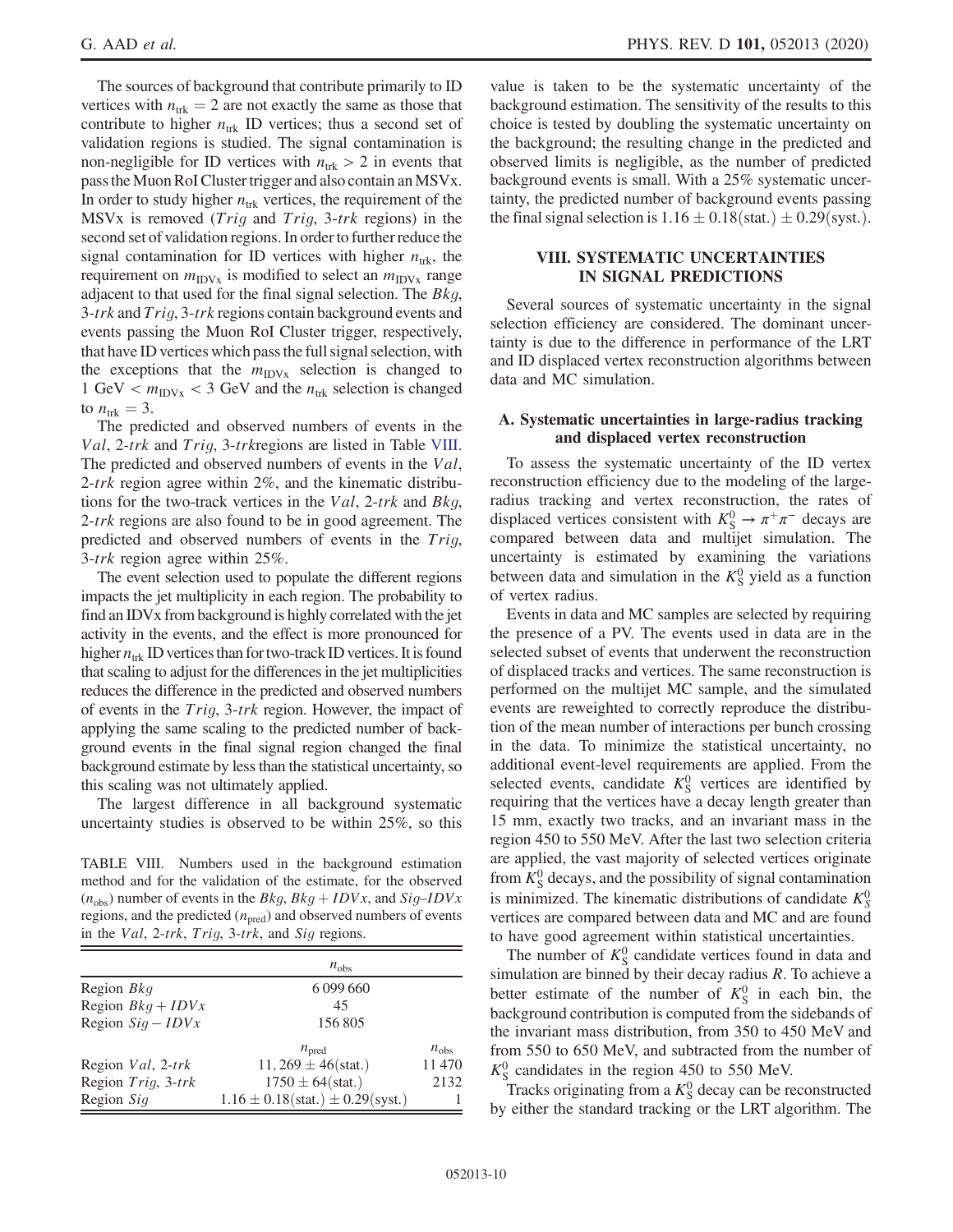The sources of background that contribute primarily to ID vertices with  $n_{\text{trk}} = 2$  are not exactly the same as those that contribute to higher  $n_{\text{trk}}$  ID vertices; thus a second set of validation regions is studied. The signal contamination is non-negligible for ID vertices with  $n_{\text{trk}} > 2$  in events that pass the Muon RoI Cluster trigger and also contain an MSVx. In order to study higher  $n_{\text{trk}}$  vertices, the requirement of the MSVx is removed (*Trig* and *Trig*,  $3$ -trk regions) in the second set of validation regions. In order to further reduce the signal contamination for ID vertices with higher  $n_{trk}$ , the requirement on  $m_{\text{IDVx}}$  is modified to select an  $m_{\text{IDVx}}$  range adjacent to that used for the final signal selection. The  $Bkg$ , 3-trk and Trig, 3-trk regions contain background events and events passing the Muon RoI Cluster trigger, respectively, that have ID vertices which pass the full signal selection, with the exceptions that the  $m_{\text{IDVx}}$  selection is changed to 1 GeV  $< m_{IDVx} < 3$  GeV and the  $n_{trk}$  selection is changed to  $n_{\text{trk}} = 3$ .

The predicted and observed numbers of events in the Val, 2-trk and Trig, 3-trkregions are listed in Table [VIII](#page-10-1). The predicted and observed numbers of events in the Val, 2-trk region agree within  $2\%$ , and the kinematic distributions for the two-track vertices in the Val, 2-trk and Bkg, 2-trk regions are also found to be in good agreement. The predicted and observed numbers of events in the Trig, 3-trk region agree within 25%.

The event selection used to populate the different regions impacts the jet multiplicity in each region. The probability to find an IDVx from background is highly correlated with the jet activity in the events, and the effect is more pronounced for higher  $n_{\text{trk}}$  ID vertices than for two-track ID vertices. It is found that scaling to adjust for the differences in the jet multiplicities reduces the difference in the predicted and observed numbers of events in the Trig, 3-trk region. However, the impact of applying the same scaling to the predicted number of background events in the final signal region changed the final background estimate by less than the statistical uncertainty, so this scaling was not ultimately applied.

The largest difference in all background systematic uncertainty studies is observed to be within 25%, so this

<span id="page-10-1"></span>TABLE VIII. Numbers used in the background estimation method and for the validation of the estimate, for the observed  $(n_{obs})$  number of events in the Bkg, Bkg + IDVx, and Sig–IDVx regions, and the predicted  $(n_{pred})$  and observed numbers of events in the Val, 2-trk, Trig, 3-trk, and Sig regions.

|                     | $n_{\rm obs}$                          |               |
|---------------------|----------------------------------------|---------------|
| Region Bkg          | 6 0 9 6 6 6 0                          |               |
| Region $Bkg + IDVx$ | 45                                     |               |
| Region $Sig - IDVx$ | 156805                                 |               |
|                     | $n_{\text{pred}}$                      | $n_{\rm obs}$ |
| Region Val, 2-trk   | $11,269 \pm 46$ (stat.)                | 11470         |
| Region Trig, 3-trk  | $1750 \pm 64(stat.)$                   | 2132          |
| Region Sig          | $1.16 \pm 0.18(stat.) \pm 0.29(syst.)$ |               |

value is taken to be the systematic uncertainty of the background estimation. The sensitivity of the results to this choice is tested by doubling the systematic uncertainty on the background; the resulting change in the predicted and observed limits is negligible, as the number of predicted background events is small. With a 25% systematic uncertainty, the predicted number of background events passing the final signal selection is  $1.16 \pm 0.18$ (stat.)  $\pm 0.29$ (syst.).

# <span id="page-10-0"></span>VIII. SYSTEMATIC UNCERTAINTIES IN SIGNAL PREDICTIONS

Several sources of systematic uncertainty in the signal selection efficiency are considered. The dominant uncertainty is due to the difference in performance of the LRT and ID displaced vertex reconstruction algorithms between data and MC simulation.

# A. Systematic uncertainties in large-radius tracking and displaced vertex reconstruction

To assess the systematic uncertainty of the ID vertex reconstruction efficiency due to the modeling of the largeradius tracking and vertex reconstruction, the rates of displaced vertices consistent with  $K^0_S \to \pi^+\pi^-$  decays are compared between data and multijet simulation. The uncertainty is estimated by examining the variations between data and simulation in the  $K_S^0$  yield as a function of vertex radius.

Events in data and MC samples are selected by requiring the presence of a PV. The events used in data are in the selected subset of events that underwent the reconstruction of displaced tracks and vertices. The same reconstruction is performed on the multijet MC sample, and the simulated events are reweighted to correctly reproduce the distribution of the mean number of interactions per bunch crossing in the data. To minimize the statistical uncertainty, no additional event-level requirements are applied. From the selected events, candidate  $K_S^0$  vertices are identified by requiring that the vertices have a decay length greater than 15 mm, exactly two tracks, and an invariant mass in the region 450 to 550 MeV. After the last two selection criteria are applied, the vast majority of selected vertices originate from  $K_S^0$  decays, and the possibility of signal contamination is minimized. The kinematic distributions of candidate  $K_S^0$ vertices are compared between data and MC and are found to have good agreement within statistical uncertainties.

The number of  $K_S^0$  candidate vertices found in data and simulation are binned by their decay radius  $R$ . To achieve a better estimate of the number of  $K_S^0$  in each bin, the background contribution is computed from the sidebands of the invariant mass distribution, from 350 to 450 MeV and from 550 to 650 MeV, and subtracted from the number of  $K_S^0$  candidates in the region 450 to 550 MeV.

Tracks originating from a  $K_S^0$  decay can be reconstructed by either the standard tracking or the LRT algorithm. The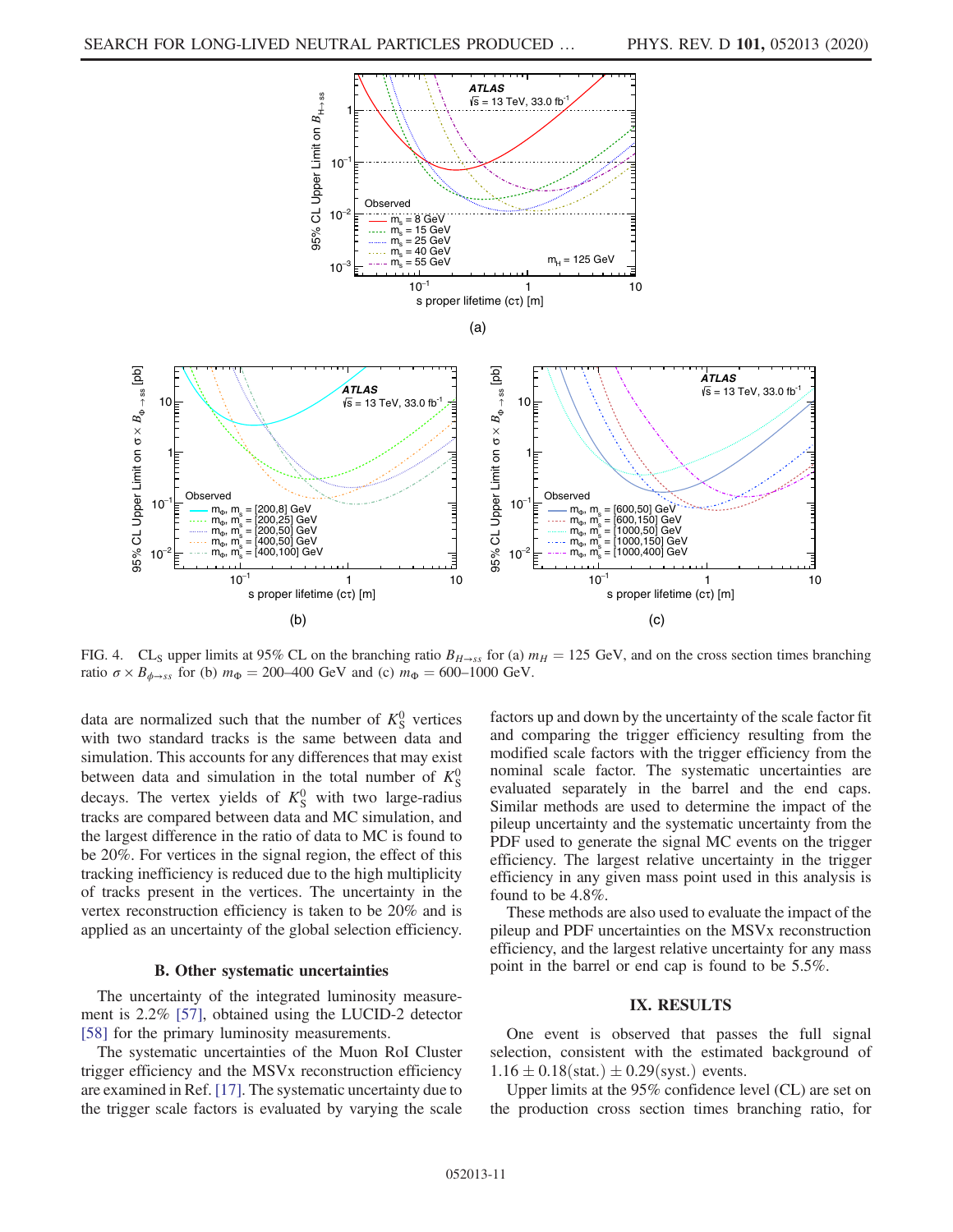<span id="page-11-1"></span>

FIG. 4. CL<sub>S</sub> upper limits at 95% CL on the branching ratio  $B_{H\rightarrow ss}$  for (a)  $m_H = 125$  GeV, and on the cross section times branching ratio  $\sigma \times B_{\phi \to ss}$  for (b)  $m_{\Phi} = 200-400$  GeV and (c)  $m_{\Phi} = 600-1000$  GeV.

data are normalized such that the number of  $K_S^0$  vertices with two standard tracks is the same between data and simulation. This accounts for any differences that may exist between data and simulation in the total number of  $K^0$ decays. The vertex yields of  $K_S^0$  with two large-radius tracks are compared between data and MC simulation, and the largest difference in the ratio of data to MC is found to be 20%. For vertices in the signal region, the effect of this tracking inefficiency is reduced due to the high multiplicity of tracks present in the vertices. The uncertainty in the vertex reconstruction efficiency is taken to be 20% and is applied as an uncertainty of the global selection efficiency.

# B. Other systematic uncertainties

The uncertainty of the integrated luminosity measurement is 2.2% [\[57\]](#page-16-9), obtained using the LUCID-2 detector [\[58\]](#page-16-10) for the primary luminosity measurements.

The systematic uncertainties of the Muon RoI Cluster trigger efficiency and the MSVx reconstruction efficiency are examined in Ref. [\[17\]](#page-15-7). The systematic uncertainty due to the trigger scale factors is evaluated by varying the scale

factors up and down by the uncertainty of the scale factor fit and comparing the trigger efficiency resulting from the modified scale factors with the trigger efficiency from the nominal scale factor. The systematic uncertainties are evaluated separately in the barrel and the end caps. Similar methods are used to determine the impact of the pileup uncertainty and the systematic uncertainty from the PDF used to generate the signal MC events on the trigger efficiency. The largest relative uncertainty in the trigger efficiency in any given mass point used in this analysis is found to be 4.8%.

These methods are also used to evaluate the impact of the pileup and PDF uncertainties on the MSVx reconstruction efficiency, and the largest relative uncertainty for any mass point in the barrel or end cap is found to be 5.5%.

#### IX. RESULTS

<span id="page-11-0"></span>One event is observed that passes the full signal selection, consistent with the estimated background of  $1.16 \pm 0.18$ (stat.)  $\pm 0.29$ (syst.) events.

Upper limits at the 95% confidence level (CL) are set on the production cross section times branching ratio, for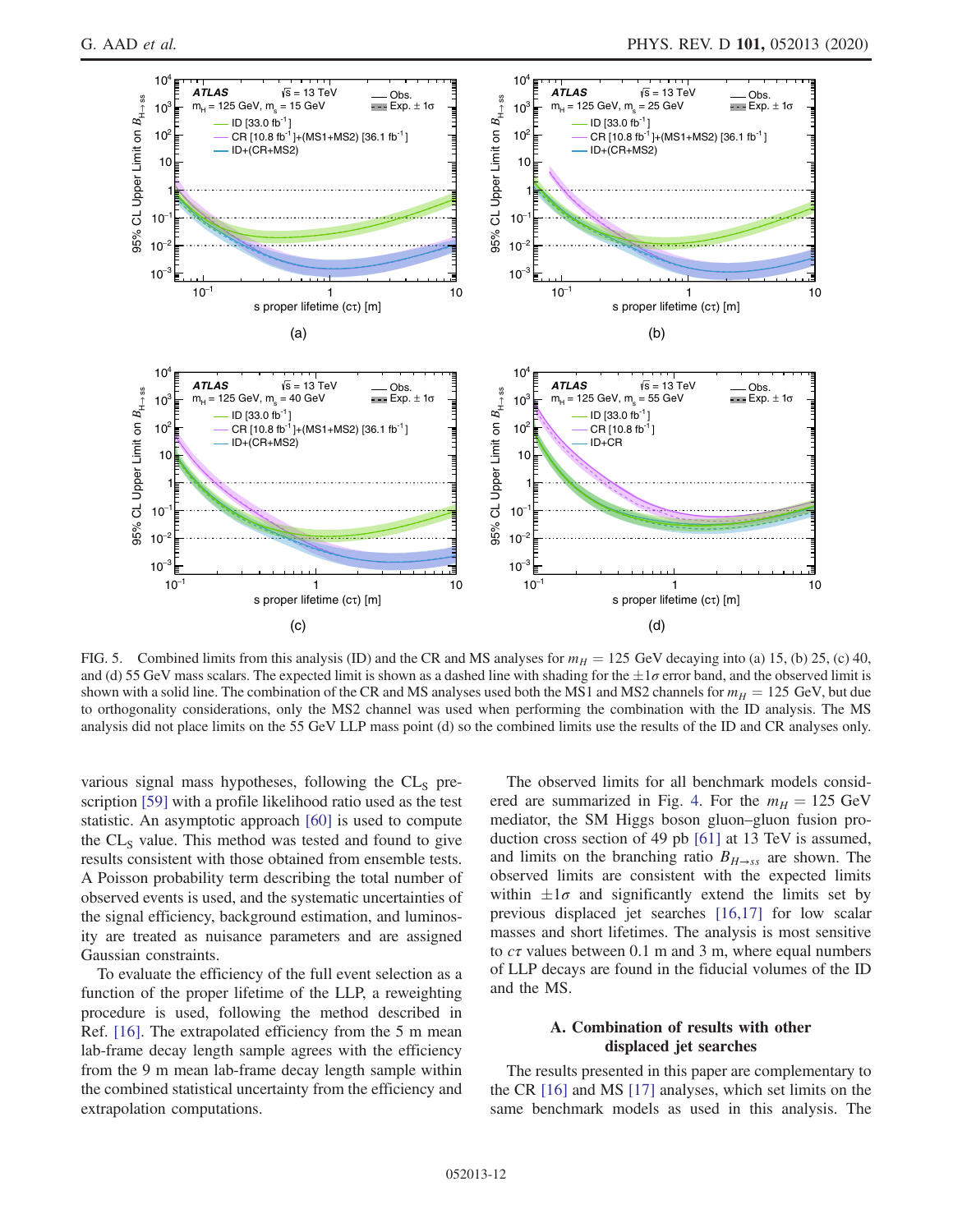<span id="page-12-0"></span>

FIG. 5. Combined limits from this analysis (ID) and the CR and MS analyses for  $m_H = 125$  GeV decaying into (a) 15, (b) 25, (c) 40, and (d) 55 GeV mass scalars. The expected limit is shown as a dashed line with shading for the  $\pm 1\sigma$  error band, and the observed limit is shown with a solid line. The combination of the CR and MS analyses used both the MS1 and MS2 channels for  $m_H = 125$  GeV, but due to orthogonality considerations, only the MS2 channel was used when performing the combination with the ID analysis. The MS analysis did not place limits on the 55 GeV LLP mass point (d) so the combined limits use the results of the ID and CR analyses only.

various signal mass hypotheses, following the  $CL<sub>S</sub>$  prescription [\[59\]](#page-16-11) with a profile likelihood ratio used as the test statistic. An asymptotic approach [\[60\]](#page-16-12) is used to compute the  $CL<sub>s</sub>$  value. This method was tested and found to give results consistent with those obtained from ensemble tests. A Poisson probability term describing the total number of observed events is used, and the systematic uncertainties of the signal efficiency, background estimation, and luminosity are treated as nuisance parameters and are assigned Gaussian constraints.

To evaluate the efficiency of the full event selection as a function of the proper lifetime of the LLP, a reweighting procedure is used, following the method described in Ref. [\[16\]](#page-15-6). The extrapolated efficiency from the 5 m mean lab-frame decay length sample agrees with the efficiency from the 9 m mean lab-frame decay length sample within the combined statistical uncertainty from the efficiency and extrapolation computations.

The observed limits for all benchmark models consid-ered are summarized in Fig. [4](#page-11-1). For the  $m_H = 125$  GeV mediator, the SM Higgs boson gluon–gluon fusion production cross section of 49 pb [\[61\]](#page-16-13) at 13 TeV is assumed, and limits on the branching ratio  $B_{H\rightarrow ss}$  are shown. The observed limits are consistent with the expected limits within  $\pm 1\sigma$  and significantly extend the limits set by previous displaced jet searches [\[16,17\]](#page-15-6) for low scalar masses and short lifetimes. The analysis is most sensitive to  $c\tau$  values between 0.1 m and 3 m, where equal numbers of LLP decays are found in the fiducial volumes of the ID and the MS.

# A. Combination of results with other displaced jet searches

The results presented in this paper are complementary to the CR [\[16\]](#page-15-6) and MS [\[17\]](#page-15-7) analyses, which set limits on the same benchmark models as used in this analysis. The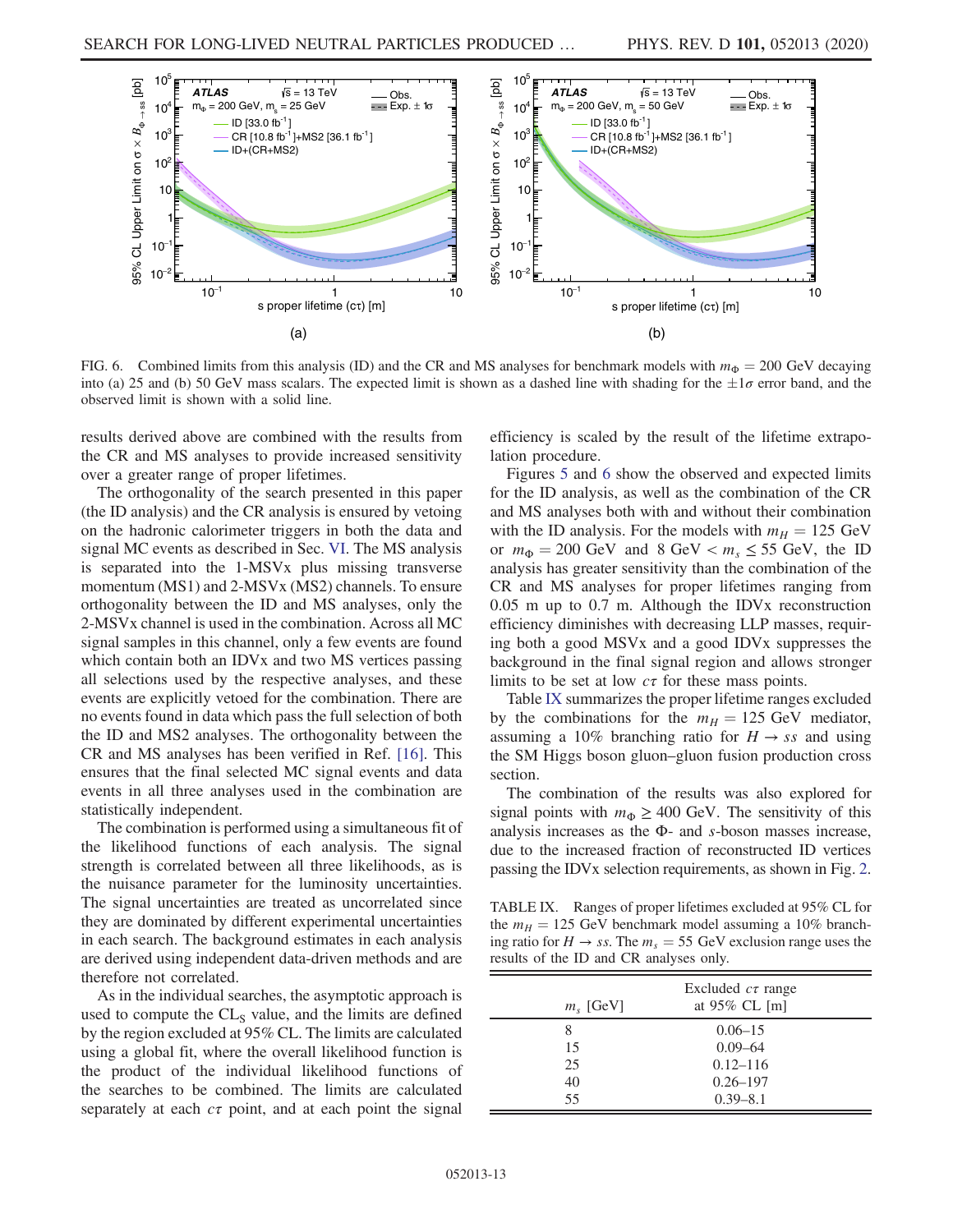<span id="page-13-0"></span>

FIG. 6. Combined limits from this analysis (ID) and the CR and MS analyses for benchmark models with  $m_{\Phi} = 200$  GeV decaying into (a) 25 and (b) 50 GeV mass scalars. The expected limit is shown as a dashed line with shading for the  $\pm 1\sigma$  error band, and the observed limit is shown with a solid line.

results derived above are combined with the results from the CR and MS analyses to provide increased sensitivity over a greater range of proper lifetimes.

The orthogonality of the search presented in this paper (the ID analysis) and the CR analysis is ensured by vetoing on the hadronic calorimeter triggers in both the data and signal MC events as described in Sec. [VI](#page-5-0). The MS analysis is separated into the 1-MSVx plus missing transverse momentum (MS1) and 2-MSVx (MS2) channels. To ensure orthogonality between the ID and MS analyses, only the 2-MSVx channel is used in the combination. Across all MC signal samples in this channel, only a few events are found which contain both an IDV<sub>x</sub> and two M<sub>S</sub> vertices passing all selections used by the respective analyses, and these events are explicitly vetoed for the combination. There are no events found in data which pass the full selection of both the ID and MS2 analyses. The orthogonality between the CR and MS analyses has been verified in Ref. [\[16\]](#page-15-6). This ensures that the final selected MC signal events and data events in all three analyses used in the combination are statistically independent.

The combination is performed using a simultaneous fit of the likelihood functions of each analysis. The signal strength is correlated between all three likelihoods, as is the nuisance parameter for the luminosity uncertainties. The signal uncertainties are treated as uncorrelated since they are dominated by different experimental uncertainties in each search. The background estimates in each analysis are derived using independent data-driven methods and are therefore not correlated.

As in the individual searches, the asymptotic approach is used to compute the  $CL<sub>S</sub>$  value, and the limits are defined by the region excluded at 95% CL. The limits are calculated using a global fit, where the overall likelihood function is the product of the individual likelihood functions of the searches to be combined. The limits are calculated separately at each  $c\tau$  point, and at each point the signal efficiency is scaled by the result of the lifetime extrapolation procedure.

Figures [5](#page-12-0) and [6](#page-13-0) show the observed and expected limits for the ID analysis, as well as the combination of the CR and MS analyses both with and without their combination with the ID analysis. For the models with  $m<sub>H</sub> = 125$  GeV or  $m_{\Phi} = 200$  GeV and 8 GeV  $< m_s \leq 55$  GeV, the ID analysis has greater sensitivity than the combination of the CR and MS analyses for proper lifetimes ranging from 0.05 m up to 0.7 m. Although the IDVx reconstruction efficiency diminishes with decreasing LLP masses, requiring both a good MSVx and a good IDVx suppresses the background in the final signal region and allows stronger limits to be set at low  $c\tau$  for these mass points.

Table [IX](#page-13-1) summarizes the proper lifetime ranges excluded by the combinations for the  $m_H = 125$  GeV mediator, assuming a 10% branching ratio for  $H \rightarrow ss$  and using the SM Higgs boson gluon–gluon fusion production cross section.

The combination of the results was also explored for signal points with  $m_{\Phi} \geq 400$  GeV. The sensitivity of this analysis increases as the  $\Phi$ - and s-boson masses increase, due to the increased fraction of reconstructed ID vertices passing the IDVx selection requirements, as shown in Fig. [2](#page-7-0).

<span id="page-13-1"></span>TABLE IX. Ranges of proper lifetimes excluded at 95% CL for the  $m_H = 125$  GeV benchmark model assuming a 10% branching ratio for  $H \rightarrow ss$ . The  $m_s = 55$  GeV exclusion range uses the results of the ID and CR analyses only.

| $m_s$ [GeV] | Excluded $c\tau$ range<br>at $95\%$ CL [m] |  |
|-------------|--------------------------------------------|--|
| 8           | $0.06 - 15$                                |  |
| 15          | $0.09 - 64$                                |  |
| 25          | $0.12 - 116$                               |  |
| 40          | $0.26 - 197$                               |  |
| 55          | $0.39 - 8.1$                               |  |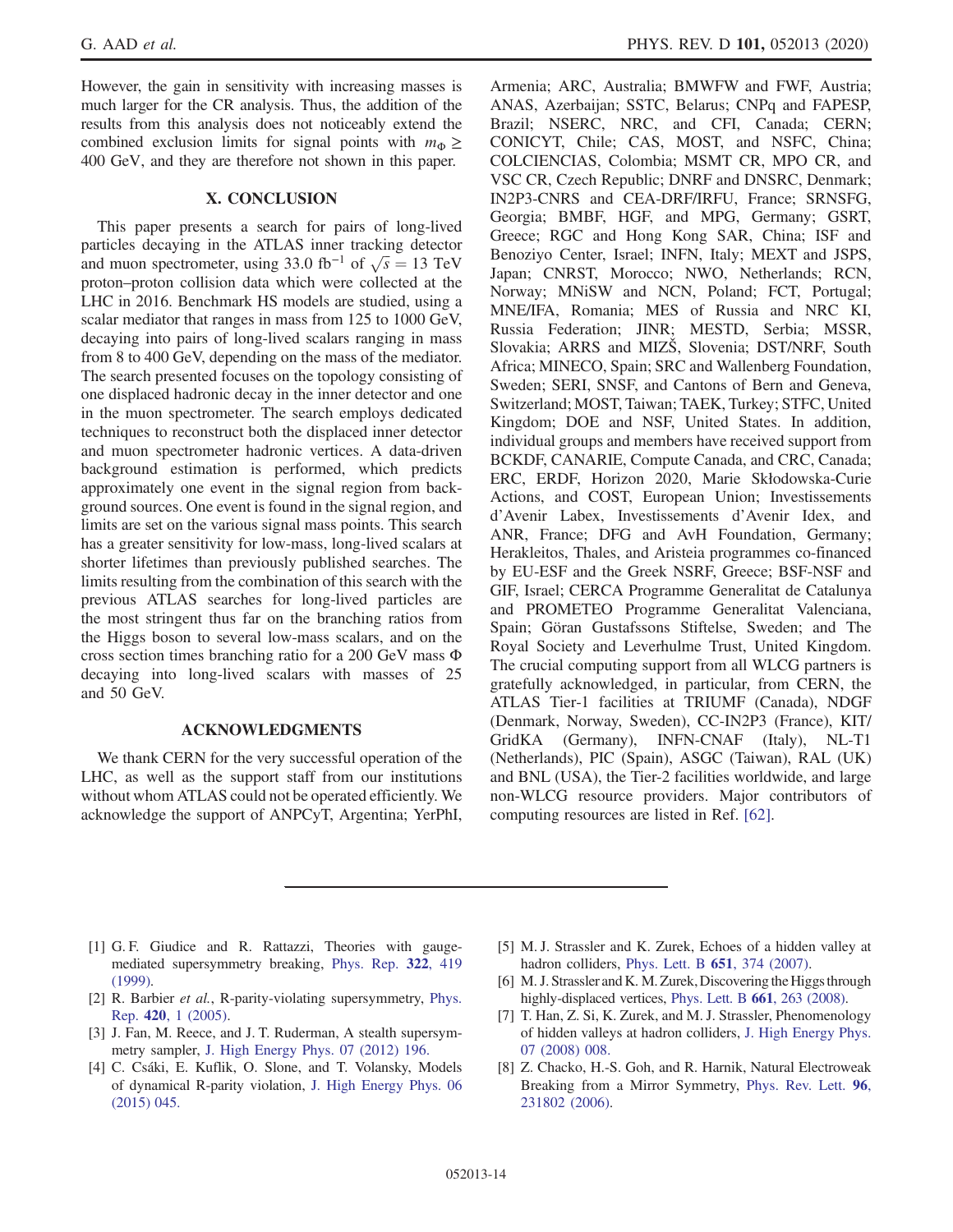However, the gain in sensitivity with increasing masses is much larger for the CR analysis. Thus, the addition of the results from this analysis does not noticeably extend the combined exclusion limits for signal points with  $m_{\Phi} \ge$ 400 GeV, and they are therefore not shown in this paper.

# X. CONCLUSION

<span id="page-14-4"></span>This paper presents a search for pairs of long-lived particles decaying in the ATLAS inner tracking detector and muon spectrometer, using 33.0 fb<sup>-1</sup> of  $\sqrt{s} = 13$  TeV proton–proton collision data which were collected at the LHC in 2016. Benchmark HS models are studied, using a scalar mediator that ranges in mass from 125 to 1000 GeV, decaying into pairs of long-lived scalars ranging in mass from 8 to 400 GeV, depending on the mass of the mediator. The search presented focuses on the topology consisting of one displaced hadronic decay in the inner detector and one in the muon spectrometer. The search employs dedicated techniques to reconstruct both the displaced inner detector and muon spectrometer hadronic vertices. A data-driven background estimation is performed, which predicts approximately one event in the signal region from background sources. One event is found in the signal region, and limits are set on the various signal mass points. This search has a greater sensitivity for low-mass, long-lived scalars at shorter lifetimes than previously published searches. The limits resulting from the combination of this search with the previous ATLAS searches for long-lived particles are the most stringent thus far on the branching ratios from the Higgs boson to several low-mass scalars, and on the cross section times branching ratio for a 200 GeV mass Φ decaying into long-lived scalars with masses of 25 and 50 GeV.

#### ACKNOWLEDGMENTS

We thank CERN for the very successful operation of the LHC, as well as the support staff from our institutions without whom ATLAS could not be operated efficiently. We acknowledge the support of ANPCyT, Argentina; YerPhI, Armenia; ARC, Australia; BMWFW and FWF, Austria; ANAS, Azerbaijan; SSTC, Belarus; CNPq and FAPESP, Brazil; NSERC, NRC, and CFI, Canada; CERN; CONICYT, Chile; CAS, MOST, and NSFC, China; COLCIENCIAS, Colombia; MSMT CR, MPO CR, and VSC CR, Czech Republic; DNRF and DNSRC, Denmark; IN2P3-CNRS and CEA-DRF/IRFU, France; SRNSFG, Georgia; BMBF, HGF, and MPG, Germany; GSRT, Greece; RGC and Hong Kong SAR, China; ISF and Benoziyo Center, Israel; INFN, Italy; MEXT and JSPS, Japan; CNRST, Morocco; NWO, Netherlands; RCN, Norway; MNiSW and NCN, Poland; FCT, Portugal; MNE/IFA, Romania; MES of Russia and NRC KI, Russia Federation; JINR; MESTD, Serbia; MSSR, Slovakia; ARRS and MIZŠ, Slovenia; DST/NRF, South Africa; MINECO, Spain; SRC and Wallenberg Foundation, Sweden; SERI, SNSF, and Cantons of Bern and Geneva, Switzerland; MOST, Taiwan; TAEK, Turkey; STFC, United Kingdom; DOE and NSF, United States. In addition, individual groups and members have received support from BCKDF, CANARIE, Compute Canada, and CRC, Canada; ERC, ERDF, Horizon 2020, Marie Skłodowska-Curie Actions, and COST, European Union; Investissements d'Avenir Labex, Investissements d'Avenir Idex, and ANR, France; DFG and AvH Foundation, Germany; Herakleitos, Thales, and Aristeia programmes co-financed by EU-ESF and the Greek NSRF, Greece; BSF-NSF and GIF, Israel; CERCA Programme Generalitat de Catalunya and PROMETEO Programme Generalitat Valenciana, Spain; Göran Gustafssons Stiftelse, Sweden; and The Royal Society and Leverhulme Trust, United Kingdom. The crucial computing support from all WLCG partners is gratefully acknowledged, in particular, from CERN, the ATLAS Tier-1 facilities at TRIUMF (Canada), NDGF (Denmark, Norway, Sweden), CC-IN2P3 (France), KIT/ GridKA (Germany), INFN-CNAF (Italy), NL-T1 (Netherlands), PIC (Spain), ASGC (Taiwan), RAL (UK) and BNL (USA), the Tier-2 facilities worldwide, and large non-WLCG resource providers. Major contributors of computing resources are listed in Ref. [\[62\]](#page-16-14).

- <span id="page-14-0"></span>[1] G.F. Giudice and R. Rattazzi, Theories with gaugemediated supersymmetry breaking, [Phys. Rep.](https://doi.org/10.1016/S0370-1573(99)00042-3) 322, 419 [\(1999\).](https://doi.org/10.1016/S0370-1573(99)00042-3)
- [2] R. Barbier et al., R-parity-violating supersymmetry, [Phys.](https://doi.org/10.1016/j.physrep.2005.08.006) Rep. 420[, 1 \(2005\).](https://doi.org/10.1016/j.physrep.2005.08.006)
- [3] J. Fan, M. Reece, and J. T. Ruderman, A stealth supersymmetry sampler, [J. High Energy Phys. 07 \(2012\) 196.](https://doi.org/10.1007/JHEP07(2012)196)
- [4] C. Csáki, E. Kuflik, O. Slone, and T. Volansky, Models of dynamical R-parity violation, [J. High Energy Phys. 06](https://doi.org/10.1007/JHEP06(2015)045) [\(2015\) 045.](https://doi.org/10.1007/JHEP06(2015)045)
- <span id="page-14-1"></span>[5] M. J. Strassler and K. Zurek, Echoes of a hidden valley at hadron colliders, [Phys. Lett. B](https://doi.org/10.1016/j.physletb.2007.06.055) 651, 374 (2007).
- <span id="page-14-3"></span>[6] M. J. Strassler and K. M. Zurek, Discovering the Higgs through highly-displaced vertices, [Phys. Lett. B](https://doi.org/10.1016/j.physletb.2008.02.008) 661, 263 (2008).
- [7] T. Han, Z. Si, K. Zurek, and M. J. Strassler, Phenomenology of hidden valleys at hadron colliders, [J. High Energy Phys.](https://doi.org/10.1088/1126-6708/2008/07/008) [07 \(2008\) 008.](https://doi.org/10.1088/1126-6708/2008/07/008)
- <span id="page-14-2"></span>[8] Z. Chacko, H.-S. Goh, and R. Harnik, Natural Electroweak Breaking from a Mirror Symmetry, [Phys. Rev. Lett.](https://doi.org/10.1103/PhysRevLett.96.231802) 96, [231802 \(2006\).](https://doi.org/10.1103/PhysRevLett.96.231802)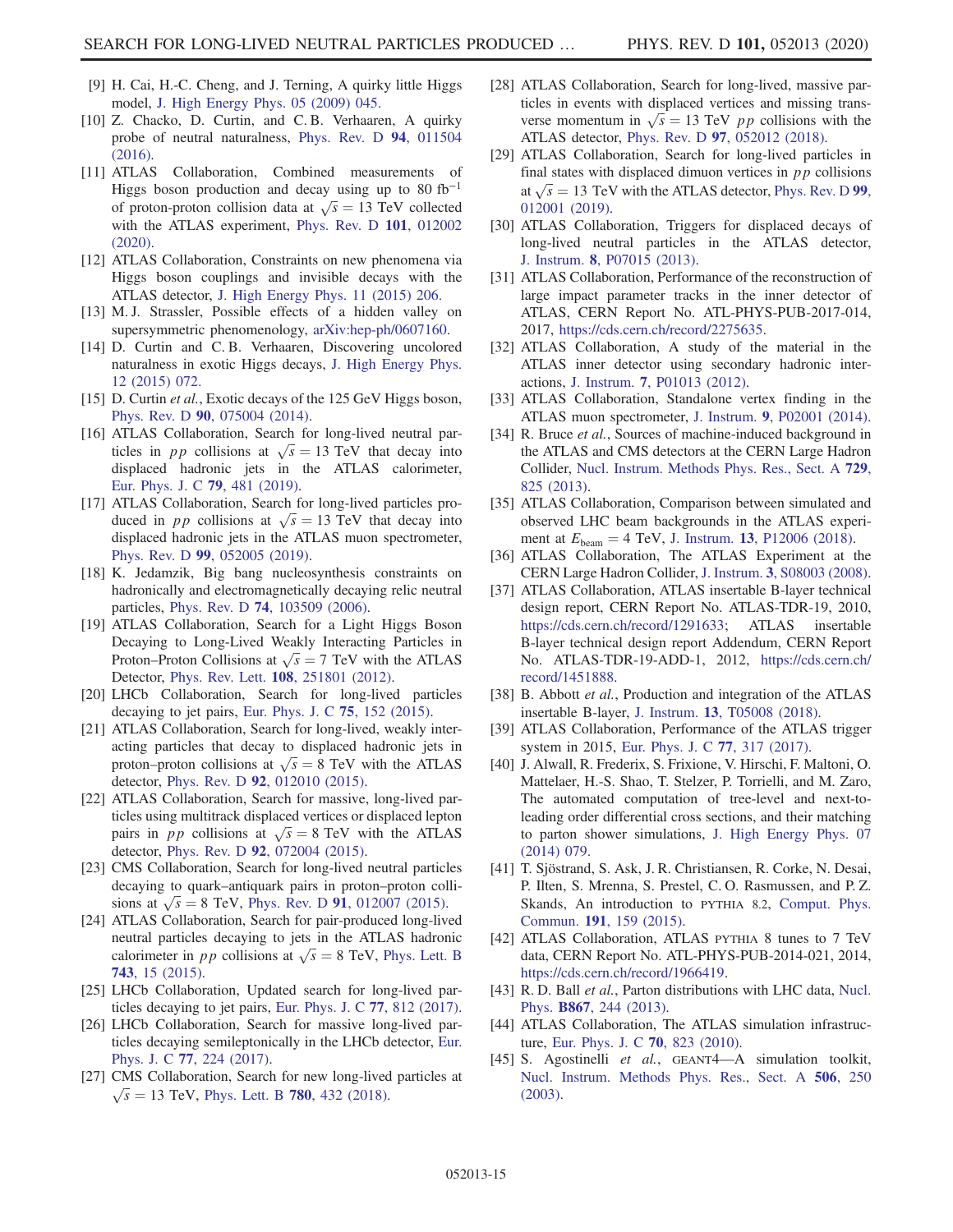- [9] H. Cai, H.-C. Cheng, and J. Terning, A quirky little Higgs model, [J. High Energy Phys. 05 \(2009\) 045.](https://doi.org/10.1088/1126-6708/2009/05/045)
- [10] Z. Chacko, D. Curtin, and C. B. Verhaaren, A quirky probe of neutral naturalness, [Phys. Rev. D](https://doi.org/10.1103/PhysRevD.94.011504) 94, 011504 [\(2016\).](https://doi.org/10.1103/PhysRevD.94.011504)
- <span id="page-15-0"></span>[11] ATLAS Collaboration, Combined measurements of Higgs boson production and decay using up to 80 fb<sup>-1</sup> of proton-proton collision data at  $\sqrt{s} = 13$  TeV collected with the ATLAS experiment, [Phys. Rev. D](https://doi.org/10.1103/PhysRevD.101.012002) 101, 012002 [\(2020\).](https://doi.org/10.1103/PhysRevD.101.012002)
- [12] ATLAS Collaboration, Constraints on new phenomena via Higgs boson couplings and invisible decays with the ATLAS detector, [J. High Energy Phys. 11 \(2015\) 206.](https://doi.org/10.1007/JHEP11(2015)206)
- [13] M.J. Strassler, Possible effects of a hidden valley on supersymmetric phenomenology, [arXiv:hep-ph/0607160](https://arXiv.org/abs/hep-ph/0607160).
- <span id="page-15-1"></span>[14] D. Curtin and C.B. Verhaaren, Discovering uncolored naturalness in exotic Higgs decays, [J. High Energy Phys.](https://doi.org/10.1007/JHEP12(2015)072) [12 \(2015\) 072.](https://doi.org/10.1007/JHEP12(2015)072)
- <span id="page-15-2"></span>[15] D. Curtin et al., Exotic decays of the 125 GeV Higgs boson, Phys. Rev. D 90[, 075004 \(2014\)](https://doi.org/10.1103/PhysRevD.90.075004).
- <span id="page-15-6"></span>[16] ATLAS Collaboration, Search for long-lived neutral particles in *pp* collisions at  $\sqrt{s} = 13$  TeV that decay into displaced hadronic jets in the ATLAS calorimeter, [Eur. Phys. J. C](https://doi.org/10.1140/epjc/s10052-019-6962-6) 79, 481 (2019).
- <span id="page-15-7"></span>[17] ATLAS Collaboration, Search for long-lived particles produced in *pp* collisions at  $\sqrt{s} = 13$  TeV that decay into displaced hadronic jets in the ATLAS muon spectrometer, Phys. Rev. D 99[, 052005 \(2019\)](https://doi.org/10.1103/PhysRevD.99.052005).
- <span id="page-15-3"></span>[18] K. Jedamzik, Big bang nucleosynthesis constraints on hadronically and electromagnetically decaying relic neutral particles, Phys. Rev. D 74[, 103509 \(2006\).](https://doi.org/10.1103/PhysRevD.74.103509)
- <span id="page-15-4"></span>[19] ATLAS Collaboration, Search for a Light Higgs Boson Decaying to Long-Lived Weakly Interacting Particles in Proton–Proton Collisions at  $\sqrt{s} = 7$  TeV with the ATLAS Detector, Phys. Rev. Lett. 108[, 251801 \(2012\)](https://doi.org/10.1103/PhysRevLett.108.251801).
- [20] LHCb Collaboration, Search for long-lived particles decaying to jet pairs, [Eur. Phys. J. C](https://doi.org/10.1140/epjc/s10052-015-3344-6) 75, 152 (2015).
- <span id="page-15-8"></span>[21] ATLAS Collaboration, Search for long-lived, weakly interacting particles that decay to displaced hadronic jets in proton–proton collisions at  $\sqrt{s} = 8$  TeV with the ATLAS detector, Phys. Rev. D 92[, 012010 \(2015\)](https://doi.org/10.1103/PhysRevD.92.012010).
- [22] ATLAS Collaboration, Search for massive, long-lived particles using multitrack displaced vertices or displaced lepton pairs in *pp* collisions at  $\sqrt{s} = 8$  TeV with the ATLAS detector, Phys. Rev. D 92[, 072004 \(2015\)](https://doi.org/10.1103/PhysRevD.92.072004).
- [23] CMS Collaboration, Search for long-lived neutral particles decaying to quark–antiquark pairs in proton–proton collisions at  $\sqrt{s} = 8$  TeV, Phys. Rev. D 91[, 012007 \(2015\)](https://doi.org/10.1103/PhysRevD.91.012007).
- [24] ATLAS Collaboration, Search for pair-produced long-lived neutral particles decaying to jets in the ATLAS hadronic calorimeter in *pp* collisions at  $\sqrt{s} = 8$  TeV, [Phys. Lett. B](https://doi.org/10.1016/j.physletb.2015.02.015) 743[, 15 \(2015\).](https://doi.org/10.1016/j.physletb.2015.02.015)
- [25] LHCb Collaboration, Updated search for long-lived particles decaying to jet pairs, [Eur. Phys. J. C](https://doi.org/10.1140/epjc/s10052-017-5178-x) 77, 812 (2017).
- [26] LHCb Collaboration, Search for massive long-lived particles decaying semileptonically in the LHCb detector, [Eur.](https://doi.org/10.1140/epjc/s10052-017-4744-6) Phys. J. C 77[, 224 \(2017\).](https://doi.org/10.1140/epjc/s10052-017-4744-6)
- <span id="page-15-5"></span>[27] CMS Collaboration, Search for new long-lived particles at  $\sqrt{s}$  = 13 TeV, [Phys. Lett. B](https://doi.org/10.1016/j.physletb.2018.03.019) **780**, 432 (2018).
- <span id="page-15-9"></span>[28] ATLAS Collaboration, Search for long-lived, massive particles in events with displaced vertices and missing transverse momentum in  $\sqrt{s} = 13$  TeV *pp* collisions with the ATLAS detector, Phys. Rev. D 97[, 052012 \(2018\).](https://doi.org/10.1103/PhysRevD.97.052012)
- [29] ATLAS Collaboration, Search for long-lived particles in final states with displaced dimuon vertices in  $pp$  collisions at  $\sqrt{s}$  = 13 TeV with the ATLAS detector, [Phys. Rev. D](https://doi.org/10.1103/PhysRevD.99.012001) 99, [012001 \(2019\).](https://doi.org/10.1103/PhysRevD.99.012001)
- <span id="page-15-20"></span>[30] ATLAS Collaboration, Triggers for displaced decays of long-lived neutral particles in the ATLAS detector, J. Instrum. 8[, P07015 \(2013\)](https://doi.org/10.1088/1748-0221/8/07/P07015).
- <span id="page-15-21"></span>[31] ATLAS Collaboration, Performance of the reconstruction of large impact parameter tracks in the inner detector of ATLAS, CERN Report No. ATL-PHYS-PUB-2017-014, 2017, <https://cds.cern.ch/record/2275635>.
- [32] ATLAS Collaboration, A study of the material in the ATLAS inner detector using secondary hadronic interactions, J. Instrum. 7[, P01013 \(2012\)](https://doi.org/10.1088/1748-0221/7/01/P01013).
- <span id="page-15-10"></span>[33] ATLAS Collaboration, Standalone vertex finding in the ATLAS muon spectrometer, J. Instrum. 9[, P02001 \(2014\).](https://doi.org/10.1088/1748-0221/9/02/P02001)
- <span id="page-15-11"></span>[34] R. Bruce et al., Sources of machine-induced background in the ATLAS and CMS detectors at the CERN Large Hadron Collider, [Nucl. Instrum. Methods Phys. Res., Sect. A](https://doi.org/10.1016/j.nima.2013.08.058) 729, [825 \(2013\)](https://doi.org/10.1016/j.nima.2013.08.058).
- [35] ATLAS Collaboration, Comparison between simulated and observed LHC beam backgrounds in the ATLAS experiment at  $E_{\text{beam}} = 4 \text{ TeV}$ , J. Instrum. 13[, P12006 \(2018\).](https://doi.org/10.1088/1748-0221/13/12/P12006)
- <span id="page-15-12"></span>[36] ATLAS Collaboration, The ATLAS Experiment at the CERN Large Hadron Collider, J. Instrum. 3[, S08003 \(2008\).](https://doi.org/10.1088/1748-0221/3/08/S08003)
- [37] ATLAS Collaboration, ATLAS insertable B-layer technical design report, CERN Report No. ATLAS-TDR-19, 2010, [https://cds.cern.ch/record/1291633;](https://cds.cern.ch/record/1291633) ATLAS insertable B-layer technical design report Addendum, CERN Report No. ATLAS-TDR-19-ADD-1, 2012, [https://cds.cern.ch/](https://cds.cern.ch/record/1451888) [record/1451888.](https://cds.cern.ch/record/1451888)
- <span id="page-15-13"></span>[38] B. Abbott et al., Production and integration of the ATLAS insertable B-layer, J. Instrum. 13[, T05008 \(2018\).](https://doi.org/10.1088/1748-0221/13/05/T05008)
- <span id="page-15-14"></span>[39] ATLAS Collaboration, Performance of the ATLAS trigger system in 2015, [Eur. Phys. J. C](https://doi.org/10.1140/epjc/s10052-017-4852-3) 77, 317 (2017).
- [40] J. Alwall, R. Frederix, S. Frixione, V. Hirschi, F. Maltoni, O. Mattelaer, H.-S. Shao, T. Stelzer, P. Torrielli, and M. Zaro, The automated computation of tree-level and next-toleading order differential cross sections, and their matching to parton shower simulations, [J. High Energy Phys. 07](https://doi.org/10.1007/JHEP07(2014)079) [\(2014\) 079.](https://doi.org/10.1007/JHEP07(2014)079)
- <span id="page-15-15"></span>[41] T. Sjöstrand, S. Ask, J. R. Christiansen, R. Corke, N. Desai, P. Ilten, S. Mrenna, S. Prestel, C. O. Rasmussen, and P. Z. Skands, An introduction to PYTHIA 8.2, [Comput. Phys.](https://doi.org/10.1016/j.cpc.2015.01.024) Commun. 191[, 159 \(2015\)](https://doi.org/10.1016/j.cpc.2015.01.024).
- <span id="page-15-16"></span>[42] ATLAS Collaboration, ATLAS PYTHIA 8 tunes to 7 TeV data, CERN Report No. ATL-PHYS-PUB-2014-021, 2014, [https://cds.cern.ch/record/1966419.](https://cds.cern.ch/record/1966419)
- <span id="page-15-18"></span><span id="page-15-17"></span>[43] R. D. Ball et al., Parton distributions with LHC data, [Nucl.](https://doi.org/10.1016/j.nuclphysb.2012.10.003) Phys. B867[, 244 \(2013\).](https://doi.org/10.1016/j.nuclphysb.2012.10.003)
- <span id="page-15-19"></span>[44] ATLAS Collaboration, The ATLAS simulation infrastructure, [Eur. Phys. J. C](https://doi.org/10.1140/epjc/s10052-010-1429-9) 70, 823 (2010).
- [45] S. Agostinelli et al., GEANT4-A simulation toolkit, [Nucl. Instrum. Methods Phys. Res., Sect. A](https://doi.org/10.1016/S0168-9002(03)01368-8) 506, 250 [\(2003\).](https://doi.org/10.1016/S0168-9002(03)01368-8)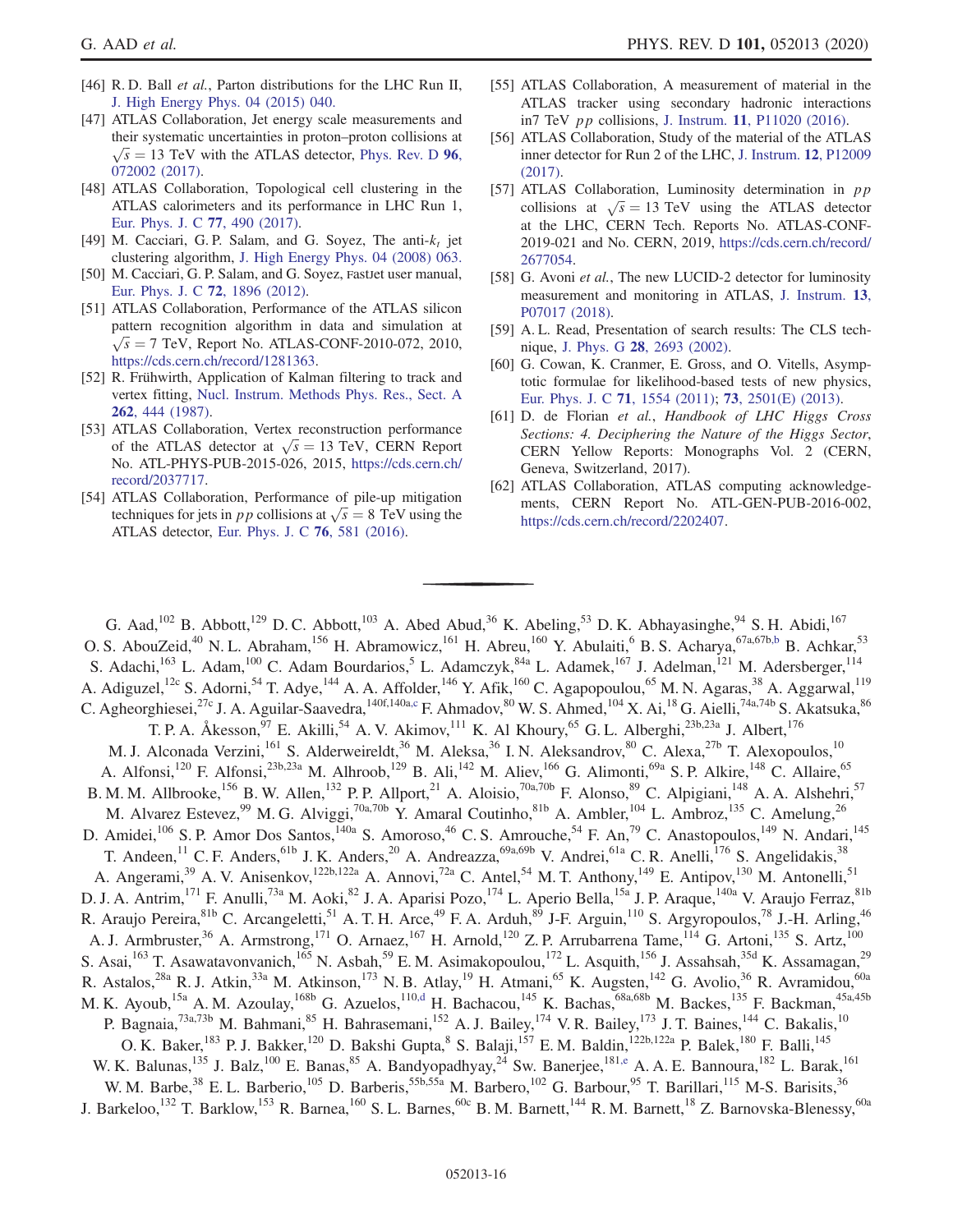- <span id="page-16-0"></span>[46] R. D. Ball et al., Parton distributions for the LHC Run II, [J. High Energy Phys. 04 \(2015\) 040.](https://doi.org/10.1007/JHEP04(2015)040)
- <span id="page-16-1"></span>[47] ATLAS Collaboration, Jet energy scale measurements and their systematic uncertainties in proton–proton collisions at  $\sqrt{s}$  = 13 TeV with the ATLAS detector, [Phys. Rev. D](https://doi.org/10.1103/PhysRevD.96.072002) 96, [072002 \(2017\).](https://doi.org/10.1103/PhysRevD.96.072002)
- [48] ATLAS Collaboration, Topological cell clustering in the ATLAS calorimeters and its performance in LHC Run 1, [Eur. Phys. J. C](https://doi.org/10.1140/epjc/s10052-017-5004-5) 77, 490 (2017).
- <span id="page-16-2"></span>[49] M. Cacciari, G. P. Salam, and G. Soyez, The anti- $k_t$  jet clustering algorithm, [J. High Energy Phys. 04 \(2008\) 063.](https://doi.org/10.1088/1126-6708/2008/04/063)
- <span id="page-16-3"></span>[50] M. Cacciari, G. P. Salam, and G. Soyez, FastJet user manual, [Eur. Phys. J. C](https://doi.org/10.1140/epjc/s10052-012-1896-2) 72, 1896 (2012).
- <span id="page-16-4"></span>[51] ATLAS Collaboration, Performance of the ATLAS silicon pattern recognition algorithm in data and simulation at  $\sqrt{s}$  = 7 TeV, Report No. ATLAS-CONF-2010-072, 2010, [https://cds.cern.ch/record/1281363.](https://cds.cern.ch/record/1281363)
- <span id="page-16-5"></span>[52] R. Frühwirth, Application of Kalman filtering to track and vertex fitting, [Nucl. Instrum. Methods Phys. Res., Sect. A](https://doi.org/10.1016/0168-9002(87)90887-4) 262[, 444 \(1987\)](https://doi.org/10.1016/0168-9002(87)90887-4).
- <span id="page-16-6"></span>[53] ATLAS Collaboration, Vertex reconstruction performance of the ATLAS detector at  $\sqrt{s} = 13$  TeV, CERN Report No. ATL-PHYS-PUB-2015-026, 2015, [https://cds.cern.ch/](https://cds.cern.ch/record/2037717) [record/2037717.](https://cds.cern.ch/record/2037717)
- <span id="page-16-7"></span>[54] ATLAS Collaboration, Performance of pile-up mitigation techniques for jets in *pp* collisions at  $\sqrt{s} = 8$  TeV using the ATLAS detector, [Eur. Phys. J. C](https://doi.org/10.1140/epjc/s10052-016-4395-z) 76, 581 (2016).
- <span id="page-16-8"></span>[55] ATLAS Collaboration, A measurement of material in the ATLAS tracker using secondary hadronic interactions in7 TeV pp collisions, J. Instrum. 11[, P11020 \(2016\).](https://doi.org/10.1088/1748-0221/11/11/P11020)
- [56] ATLAS Collaboration, Study of the material of the ATLAS inner detector for Run 2 of the LHC, [J. Instrum.](https://doi.org/10.1088/1748-0221/12/12/P12009) 12, P12009 [\(2017\).](https://doi.org/10.1088/1748-0221/12/12/P12009)
- <span id="page-16-9"></span>[57] ATLAS Collaboration, Luminosity determination in pp collisions at  $\sqrt{s} = 13$  TeV using the ATLAS detector at the LHC, CERN Tech. Reports No. ATLAS-CONF-2019-021 and No. CERN, 2019, [https://cds.cern.ch/record/](https://cds.cern.ch/record/2677054) [2677054.](https://cds.cern.ch/record/2677054)
- <span id="page-16-10"></span>[58] G. Avoni et al., The new LUCID-2 detector for luminosity measurement and monitoring in ATLAS, [J. Instrum.](https://doi.org/10.1088/1748-0221/13/07/P07017) 13, [P07017 \(2018\)](https://doi.org/10.1088/1748-0221/13/07/P07017).
- <span id="page-16-11"></span>[59] A. L. Read, Presentation of search results: The CLS technique, J. Phys. G 28[, 2693 \(2002\).](https://doi.org/10.1088/0954-3899/28/10/313)
- <span id="page-16-12"></span>[60] G. Cowan, K. Cranmer, E. Gross, and O. Vitells, Asymptotic formulae for likelihood-based tests of new physics, [Eur. Phys. J. C](https://doi.org/10.1140/epjc/s10052-011-1554-0) 71, 1554 (2011); 73[, 2501\(E\) \(2013\).](https://doi.org/10.1140/epjc/s10052-013-2501-z)
- <span id="page-16-13"></span>[61] D. de Florian et al., Handbook of LHC Higgs Cross Sections: 4. Deciphering the Nature of the Higgs Sector, CERN Yellow Reports: Monographs Vol. 2 (CERN, Geneva, Switzerland, 2017).
- <span id="page-16-14"></span>[62] ATLAS Collaboration, ATLAS computing acknowledgements, CERN Report No. ATL-GEN-PUB-2016-002, [https://cds.cern.ch/record/2202407.](https://cds.cern.ch/record/2202407)

<span id="page-16-18"></span><span id="page-16-17"></span><span id="page-16-16"></span><span id="page-16-15"></span>G. Aad,<sup>102</sup> B. Abbott,<sup>129</sup> D. C. Abbott,<sup>103</sup> A. Abed Abud,<sup>36</sup> K. Abeling,<sup>53</sup> D. K. Abhayasinghe,<sup>94</sup> S. H. Abidi,<sup>167</sup> O. S. AbouZeid,<sup>40</sup> N. L. Abraham,<sup>156</sup> H. Abramowicz,<sup>161</sup> H. Abreu,<sup>160</sup> Y. Abulaiti,<sup>6</sup> B. S. Acharya,<sup>67a,67b[,b](#page-29-0)</sup> B. Achkar,<sup>53</sup> S. Adachi,<sup>163</sup> L. Adam,<sup>100</sup> C. Adam Bourdarios,<sup>5</sup> L. Adamczyk,<sup>84a</sup> L. Adamek,<sup>167</sup> J. Adelman,<sup>121</sup> M. Adersberger,<sup>114</sup> A. Adiguzel,<sup>12c</sup> S. Adorni,<sup>54</sup> T. Adye,<sup>144</sup> A. A. Affolder,<sup>146</sup> Y. Afik,<sup>160</sup> C. Agapopoulou,<sup>65</sup> M. N. Agaras,<sup>38</sup> A. Aggarwal,<sup>119</sup> C. Agheorghiesei,<sup>27c</sup> J. A. Aguilar-Saavedra,<sup>140f,140a[,c](#page-29-1)</sup> F. Ahmadov,<sup>80</sup> W. S. Ahmed,<sup>104</sup> X. Ai,<sup>18</sup> G. Aielli,<sup>74a,74b</sup> S. Akatsuka,<sup>86</sup> T. P. A. Åkesson,  $97$  E. Akilli, <sup>54</sup> A. V. Akimov, <sup>111</sup> K. Al Khoury, <sup>65</sup> G. L. Alberghi, <sup>23b,23a</sup> J. Albert, <sup>176</sup> M. J. Alconada Verzini,<sup>161</sup> S. Alderweireldt,<sup>36</sup> M. Aleksa,<sup>36</sup> I. N. Aleksandrov,<sup>80</sup> C. Alexa,<sup>27b</sup> T. Alexopoulos,<sup>10</sup> A. Alfonsi,<sup>120</sup> F. Alfonsi,<sup>23b,23a</sup> M. Alhroob,<sup>129</sup> B. Ali,<sup>142</sup> M. Aliev,<sup>166</sup> G. Alimonti,<sup>69a</sup> S. P. Alkire,<sup>148</sup> C. Allaire,<sup>65</sup> B. M. M. Allbrooke,<sup>156</sup> B. W. Allen,<sup>132</sup> P. P. Allport,<sup>21</sup> A. Aloisio,<sup>70a,70b</sup> F. Alonso,<sup>89</sup> C. Alpigiani,<sup>148</sup> A. A. Alshehri,<sup>57</sup> M. Alvarez Estevez,<sup>99</sup> M. G. Alviggi,<sup>70a,70b</sup> Y. Amaral Coutinho,<sup>81b</sup> A. Ambler,<sup>104</sup> L. Ambroz,<sup>135</sup> C. Amelung,<sup>26</sup> D. Amidei,<sup>106</sup> S. P. Amor Dos Santos,<sup>140a</sup> S. Amoroso,<sup>46</sup> C. S. Amrouche,<sup>54</sup> F. An,<sup>79</sup> C. Anastopoulos,<sup>149</sup> N. Andari,<sup>145</sup> T. Andeen,  $11$  C. F. Anders,  $61b$  J. K. Anders,  $20$  A. Andreazza,  $69a,69b$  V. Andrei,  $61a$  C. R. Anelli,  $176$  S. Angelidakis,  $38$ A. Angerami,<sup>39</sup> A. V. Anisenkov,<sup>122b,122a</sup> A. Annovi,<sup>72a</sup> C. Antel,<sup>54</sup> M. T. Anthony,<sup>149</sup> E. Antipov,<sup>130</sup> M. Antonelli,<sup>51</sup> D. J. A. Antrim,<sup>171</sup> F. Anulli,<sup>73a</sup> M. Aoki,<sup>82</sup> J. A. Aparisi Pozo,<sup>174</sup> L. Aperio Bella,<sup>15a</sup> J. P. Araque,<sup>140a</sup> V. Araujo Ferraz,<sup>81b</sup> R. Araujo Pereira, <sup>81b</sup> C. Arcangeletti,<sup>51</sup> A. T. H. Arce,<sup>49</sup> F. A. Arduh,<sup>89</sup> J-F. Arguin,<sup>110</sup> S. Argyropoulos,<sup>78</sup> J.-H. Arling,<sup>46</sup> A. J. Armbruster,<sup>36</sup> A. Armstrong,<sup>171</sup> O. Arnaez,<sup>167</sup> H. Arnold,<sup>120</sup> Z. P. Arrubarrena Tame,<sup>114</sup> G. Artoni,<sup>135</sup> S. Artz,<sup>100</sup> S. Asai,<sup>163</sup> T. Asawatavonvanich,<sup>165</sup> N. Asbah,<sup>59</sup> E. M. Asimakopoulou,<sup>172</sup> L. Asquith,<sup>156</sup> J. Assahsah,<sup>35d</sup> K. Assamagan,<sup>29</sup> R. Astalos,<sup>28a</sup> R. J. Atkin,<sup>33a</sup> M. Atkinson,<sup>173</sup> N. B. Atlay,<sup>19</sup> H. Atmani,<sup>65</sup> K. Augsten,<sup>142</sup> G. Avolio,<sup>36</sup> R. Avramidou,<sup>60a</sup> M. K. Ayoub,<sup>15a</sup> A. M. Azoulay,<sup>168b</sup> G. Azuelos,<sup>11[0,d](#page-29-2)</sup> H. Bachacou,<sup>145</sup> K. Bachas,<sup>68a,68b</sup> M. Backes,<sup>135</sup> F. Backman,<sup>45a,45b</sup> P. Bagnaia,<sup>73a,73b</sup> M. Bahmani,<sup>85</sup> H. Bahrasemani,<sup>152</sup> A. J. Bailey,<sup>174</sup> V. R. Bailey,<sup>173</sup> J. T. Baines,<sup>144</sup> C. Bakalis,<sup>10</sup> O. K. Baker,<sup>183</sup> P. J. Bakker,<sup>120</sup> D. Bakshi Gupta, <sup>8</sup> S. Balaji,<sup>157</sup> E. M. Baldin,<sup>122b,122a</sup> P. Balek,<sup>180</sup> F. Balli,<sup>145</sup> W. K. Balunas,<sup>135</sup> J. Balz,<sup>100</sup> E. Banas,<sup>85</sup> A. Bandyopadhyay,<sup>24</sup> Sw. Banerjee,<sup>181[,e](#page-29-3)</sup> A. A. E. Bannoura,<sup>182</sup> L. Barak,<sup>161</sup> W. M. Barbe,<sup>38</sup> E. L. Barberio,<sup>105</sup> D. Barberis,<sup>55b,55a</sup> M. Barbero,<sup>102</sup> G. Barbour,<sup>95</sup> T. Barillari,<sup>115</sup> M-S. Barisits,<sup>36</sup> J. Barkeloo,<sup>132</sup> T. Barklow,<sup>153</sup> R. Barnea,<sup>160</sup> S. L. Barnes,<sup>60c</sup> B. M. Barnett,<sup>144</sup> R. M. Barnett,<sup>18</sup> Z. Barnovska-Blenessy,<sup>60a</sup>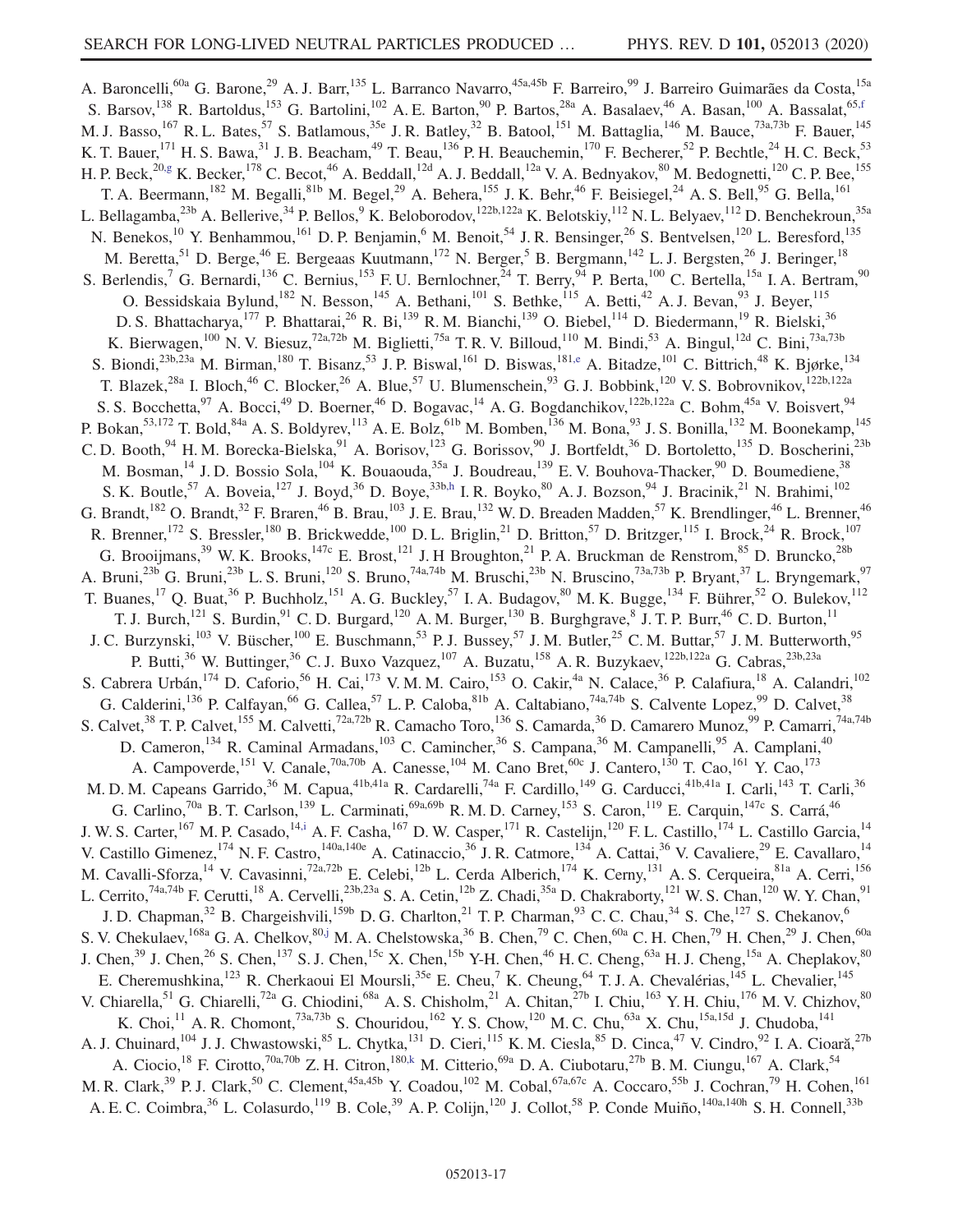<span id="page-17-5"></span><span id="page-17-4"></span><span id="page-17-3"></span><span id="page-17-2"></span><span id="page-17-1"></span><span id="page-17-0"></span>A. Baroncelli,<sup>60a</sup> G. Barone,<sup>29</sup> A. J. Barr,<sup>135</sup> L. Barranco Navarro,<sup>45a,45b</sup> F. Barreiro,<sup>99</sup> J. Barreiro Guimarães da Costa,<sup>15a</sup> S. Barsov,<sup>138</sup> R. Bartoldus,<sup>153</sup> G. Bartolini,<sup>102</sup> A. E. Barton,<sup>90</sup> P. Bartos,<sup>28a</sup> A. Basalaev,<sup>46</sup> A. Basan,<sup>100</sup> A. Bassalat,<sup>6[5,f](#page-29-4)</sup> M. J. Basso, <sup>167</sup> R. L. Bates, <sup>57</sup> S. Batlamous, <sup>35e</sup> J. R. Batley, <sup>32</sup> B. Batool, <sup>151</sup> M. Battaglia, <sup>146</sup> M. Bauce, <sup>73a, 73b</sup> F. Bauer, <sup>145</sup> K. T. Bauer, <sup>171</sup> H. S. Bawa, <sup>31</sup> J. B. Beacham, <sup>49</sup> T. Beau, <sup>136</sup> P. H. Beauchemin, <sup>170</sup> F. Becherer, <sup>52</sup> P. Bechtle, <sup>24</sup> H. C. Beck, <sup>53</sup> H. P. Beck,<sup>2[0,g](#page-29-5)</sup> K. Becker,<sup>178</sup> C. Becot,<sup>46</sup> A. Beddall,<sup>12d</sup> A. J. Beddall,<sup>12a</sup> V. A. Bednyakov,<sup>80</sup> M. Bedognetti,<sup>120</sup> C. P. Bee,<sup>155</sup> T. A. Beermann,<sup>182</sup> M. Begalli,<sup>81b</sup> M. Begel,<sup>29</sup> A. Behera,<sup>155</sup> J. K. Behr,<sup>46</sup> F. Beisiegel,<sup>24</sup> A. S. Bell,<sup>95</sup> G. Bella,<sup>161</sup> L. Bellagamba,<sup>23b</sup> A. Bellerive,<sup>34</sup> P. Bellos,<sup>9</sup> K. Beloborodov,<sup>122b,122a</sup> K. Belotskiy,<sup>112</sup> N. L. Belyaev,<sup>112</sup> D. Benchekroun,<sup>35a</sup> N. Benekos,<sup>10</sup> Y. Benhammou,<sup>161</sup> D. P. Benjamin,<sup>6</sup> M. Benoit,<sup>54</sup> J. R. Bensinger,<sup>26</sup> S. Bentvelsen,<sup>120</sup> L. Beresford,<sup>135</sup> M. Beretta,<sup>51</sup> D. Berge,<sup>46</sup> E. Bergeaas Kuutmann,<sup>172</sup> N. Berger,<sup>5</sup> B. Bergmann,<sup>142</sup> L. J. Bergsten,<sup>26</sup> J. Beringer,<sup>18</sup> S. Berlendis,<sup>7</sup> G. Bernardi,<sup>136</sup> C. Bernius,<sup>153</sup> F.U. Bernlochner,<sup>24</sup> T. Berry,<sup>94</sup> P. Berta,<sup>100</sup> C. Bertella,<sup>15a</sup> I. A. Bertram,<sup>90</sup> O. Bessidskaia Bylund,<sup>182</sup> N. Besson,<sup>145</sup> A. Bethani,<sup>101</sup> S. Bethke,<sup>115</sup> A. Betti,<sup>42</sup> A. J. Bevan,<sup>93</sup> J. Beyer,<sup>115</sup> D. S. Bhattacharya, <sup>177</sup> P. Bhattarai, <sup>26</sup> R. Bi, <sup>139</sup> R. M. Bianchi, <sup>139</sup> O. Biebel, <sup>114</sup> D. Biedermann, <sup>19</sup> R. Bielski, <sup>36</sup> K. Bierwagen,<sup>100</sup> N. V. Biesuz,<sup>72a,72b</sup> M. Biglietti,<sup>75a</sup> T. R. V. Billoud,<sup>110</sup> M. Bindi,<sup>53</sup> A. Bingul,<sup>12d</sup> C. Bini,<sup>73a,73b</sup> S. Biondi,<sup>23b,23a</sup> M. Birman,<sup>180</sup> T. Bisanz,<sup>53</sup> J. P. Biswal,<sup>161</sup> D. Biswas,<sup>18[1,e](#page-29-3)</sup> A. Bitadze,<sup>101</sup> C. Bittrich,<sup>48</sup> K. Bjørke,<sup>134</sup> T. Blazek,<sup>28a</sup> I. Bloch,<sup>46</sup> C. Blocker,<sup>26</sup> A. Blue,<sup>57</sup> U. Blumenschein,<sup>93</sup> G. J. Bobbink,<sup>120</sup> V. S. Bobrovnikov,<sup>122b,122a</sup> S. S. Bocchetta, <sup>97</sup> A. Bocci, <sup>49</sup> D. Boerner, <sup>46</sup> D. Bogavac, <sup>14</sup> A. G. Bogdanchikov, <sup>122b, 122a</sup> C. Bohm, <sup>45a</sup> V. Boisvert, <sup>94</sup> P. Bokan,<sup>53,172</sup> T. Bold,<sup>84a</sup> A. S. Boldyrev,<sup>113</sup> A. E. Bolz,<sup>61b</sup> M. Bomben,<sup>136</sup> M. Bona,<sup>93</sup> J. S. Bonilla,<sup>132</sup> M. Boonekamp,<sup>145</sup> C. D. Booth,  $94$  H. M. Borecka-Bielska,  $91$  A. Borisov,  $123$  G. Borissov,  $90$  J. Bortfeldt,  $36$  D. Bortoletto,  $135$  D. Boscherini,  $23b$ M. Bosman,<sup>14</sup> J. D. Bossio Sola,<sup>104</sup> K. Bouaouda,<sup>35a</sup> J. Boudreau,<sup>139</sup> E. V. Bouhova-Thacker,<sup>90</sup> D. Boumediene,<sup>38</sup> S. K. Boutle,<sup>57</sup> A. Boveia,<sup>127</sup> J. Boyd,<sup>36</sup> D. Boye,<sup>33b[,h](#page-29-6)</sup> I. R. Boyko,<sup>80</sup> A. J. Bozson,<sup>94</sup> J. Bracinik,<sup>21</sup> N. Brahimi,<sup>102</sup> G. Brandt,<sup>182</sup> O. Brandt,<sup>32</sup> F. Braren,<sup>46</sup> B. Brau,<sup>103</sup> J. E. Brau,<sup>132</sup> W. D. Breaden Madden,<sup>57</sup> K. Brendlinger,<sup>46</sup> L. Brenner,<sup>46</sup> R. Brenner,<sup>172</sup> S. Bressler,<sup>180</sup> B. Brickwedde,<sup>100</sup> D. L. Briglin,<sup>21</sup> D. Britton,<sup>57</sup> D. Britzger,<sup>115</sup> I. Brock,<sup>24</sup> R. Brock,<sup>107</sup> G. Brooijmans,<sup>39</sup> W. K. Brooks,<sup>147c</sup> E. Brost,<sup>121</sup> J. H Broughton,<sup>21</sup> P. A. Bruckman de Renstrom,<sup>85</sup> D. Bruncko,<sup>28b</sup> A. Bruni,<sup>23b</sup> G. Bruni,<sup>23b</sup> L. S. Bruni,<sup>120</sup> S. Bruno,<sup>74a,74b</sup> M. Bruschi,<sup>23b</sup> N. Bruscino,<sup>73a,73b</sup> P. Bryant,<sup>37</sup> L. Bryngemark,<sup>97</sup> T. Buanes,<sup>17</sup> Q. Buat,<sup>36</sup> P. Buchholz,<sup>151</sup> A. G. Buckley,<sup>57</sup> I. A. Budagov,<sup>80</sup> M. K. Bugge,<sup>134</sup> F. Bührer,<sup>52</sup> O. Bulekov,<sup>112</sup> T. J. Burch,<sup>121</sup> S. Burdin,<sup>91</sup> C. D. Burgard,<sup>120</sup> A. M. Burger,<sup>130</sup> B. Burghgrave,<sup>8</sup> J. T. P. Burr,<sup>46</sup> C. D. Burton,<sup>11</sup> J. C. Burzynski,<sup>103</sup> V. Büscher,<sup>100</sup> E. Buschmann,<sup>53</sup> P. J. Bussey,<sup>57</sup> J. M. Butler,<sup>25</sup> C. M. Buttar,<sup>57</sup> J. M. Butterworth,<sup>95</sup> P. Butti,<sup>36</sup> W. Buttinger,<sup>36</sup> C. J. Buxo Vazquez,<sup>107</sup> A. Buzatu,<sup>158</sup> A. R. Buzykaev,<sup>122b,122a</sup> G. Cabras,<sup>23b,23a</sup> S. Cabrera Urbán, <sup>174</sup> D. Caforio, <sup>56</sup> H. Cai, <sup>173</sup> V. M. M. Cairo, <sup>153</sup> O. Cakir, <sup>4a</sup> N. Calace, <sup>36</sup> P. Calafiura, <sup>18</sup> A. Calandri, <sup>102</sup> G. Calderini,<sup>136</sup> P. Calfayan,<sup>66</sup> G. Callea,<sup>57</sup> L. P. Caloba,<sup>81b</sup> A. Caltabiano,<sup>74a,74b</sup> S. Calvente Lopez,<sup>99</sup> D. Calvet,<sup>38</sup> S. Calvet,<sup>38</sup> T. P. Calvet,<sup>155</sup> M. Calvetti,<sup>72a,72b</sup> R. Camacho Toro,<sup>136</sup> S. Camarda,<sup>36</sup> D. Camarero Munoz,<sup>99</sup> P. Camarri,<sup>74a,74b</sup> D. Cameron,<sup>134</sup> R. Caminal Armadans,<sup>103</sup> C. Camincher,<sup>36</sup> S. Campana,<sup>36</sup> M. Campanelli,<sup>95</sup> A. Camplani,<sup>40</sup> A. Campoverde, <sup>151</sup> V. Canale, <sup>70a, 70b</sup> A. Canesse, <sup>104</sup> M. Cano Bret, <sup>60c</sup> J. Cantero, <sup>130</sup> T. Cao, <sup>161</sup> Y. Cao, <sup>173</sup> M. D. M. Capeans Garrido,<sup>36</sup> M. Capua,<sup>41b,41a</sup> R. Cardarelli,<sup>74a</sup> F. Cardillo,<sup>149</sup> G. Carducci,<sup>41b,41a</sup> I. Carli,<sup>143</sup> T. Carli,<sup>36</sup> G. Carlino,<sup>70a</sup> B. T. Carlson,<sup>139</sup> L. Carminati,<sup>69a,69b</sup> R. M. D. Carney,<sup>153</sup> S. Caron,<sup>119</sup> E. Carquin,<sup>147c</sup> S. Carrá,<sup>46</sup> J. W. S. Carter, <sup>167</sup> M. P. Casado, <sup>1[4,i](#page-29-7)</sup> A. F. Casha, <sup>167</sup> D. W. Casper, <sup>171</sup> R. Castelijn, <sup>120</sup> F. L. Castillo, <sup>174</sup> L. Castillo Garcia, <sup>14</sup> V. Castillo Gimenez,<sup>174</sup> N. F. Castro,<sup>140a,140e</sup> A. Catinaccio,<sup>36</sup> J. R. Catmore,<sup>134</sup> A. Cattai,<sup>36</sup> V. Cavaliere,<sup>29</sup> E. Cavallaro,<sup>14</sup> M. Cavalli-Sforza,<sup>14</sup> V. Cavasinni,<sup>72a,72b</sup> E. Celebi,<sup>12b</sup> L. Cerda Alberich,<sup>174</sup> K. Cerny,<sup>131</sup> A. S. Cerqueira,<sup>81a</sup> A. Cerri,<sup>156</sup> L. Cerrito, <sup>74a,74b</sup> F. Cerutti, <sup>18</sup> A. Cervelli, <sup>23b,23a</sup> S. A. Cetin, <sup>12b</sup> Z. Chadi, <sup>35a</sup> D. Chakraborty, <sup>121</sup> W. S. Chan, <sup>120</sup> W. Y. Chan, <sup>91</sup> J. D. Chapman,<sup>32</sup> B. Chargeishvili,<sup>159b</sup> D. G. Charlton,<sup>21</sup> T. P. Charman,<sup>93</sup> C. C. Chau,<sup>34</sup> S. Che,<sup>127</sup> S. Chekanov,<sup>6</sup> S. V. Chekulaev,  $^{168a}$  G. A. Chelkov,  $^{80,j}$  $^{80,j}$  $^{80,j}$  M. A. Chelstowska,  $^{36}$  B. Chen,  $^{79}$  C. Chen,  $^{60a}$  C. H. Chen,  $^{79}$  H. Chen,  $^{29}$  J. Chen,  $^{60a}$ J. Chen,<sup>39</sup> J. Chen,<sup>26</sup> S. Chen,<sup>137</sup> S. J. Chen,<sup>15c</sup> X. Chen,<sup>15b</sup> Y-H. Chen,<sup>46</sup> H. C. Cheng,<sup>63a</sup> H. J. Cheng,<sup>15a</sup> A. Cheplakov,<sup>80</sup> E. Cheremushkina,<sup>123</sup> R. Cherkaoui El Moursli,<sup>35e</sup> E. Cheu,<sup>7</sup> K. Cheung,<sup>64</sup> T. J. A. Chevalérias,<sup>145</sup> L. Chevalier,<sup>145</sup> V. Chiarella,<sup>51</sup> G. Chiarelli,<sup>72a</sup> G. Chiodini,<sup>68a</sup> A. S. Chisholm,<sup>21</sup> A. Chitan,<sup>27b</sup> I. Chiu,<sup>163</sup> Y. H. Chiu,<sup>176</sup> M. V. Chizhov,<sup>80</sup> K. Choi,<sup>11</sup> A. R. Chomont,<sup>73a,73b</sup> S. Chouridou,<sup>162</sup> Y. S. Chow,<sup>120</sup> M. C. Chu,<sup>63a</sup> X. Chu,<sup>15a,15d</sup> J. Chudoba,<sup>141</sup> A. J. Chuinard, <sup>104</sup> J. J. Chwastowski, <sup>85</sup> L. Chytka, <sup>131</sup> D. Cieri, <sup>115</sup> K. M. Ciesla, <sup>85</sup> D. Cinca, <sup>47</sup> V. Cindro, <sup>92</sup> I. A. Cioară, <sup>27b</sup> A. Ciocio,<sup>18</sup> F. Cirotto,<sup>70a,70b</sup> Z. H. Citron,<sup>18[0,k](#page-29-9)</sup> M. Citterio,<sup>69a</sup> D. A. Ciubotaru,<sup>27b</sup> B. M. Ciungu,<sup>167</sup> A. Clark,<sup>54</sup> M. R. Clark,<sup>39</sup> P. J. Clark,<sup>50</sup> C. Clement,<sup>45a,45b</sup> Y. Coadou,<sup>102</sup> M. Cobal,<sup>67a,67c</sup> A. Coccaro,<sup>55b</sup> J. Cochran,<sup>79</sup> H. Cohen,<sup>161</sup> A. E. C. Coimbra,  $36$  L. Colasurdo,  $119$  B. Cole,  $39$  A. P. Colijn,  $120$  J. Collot,  $58$  P. Conde Muiño,  $140a,140h$  S. H. Connell,  $33b$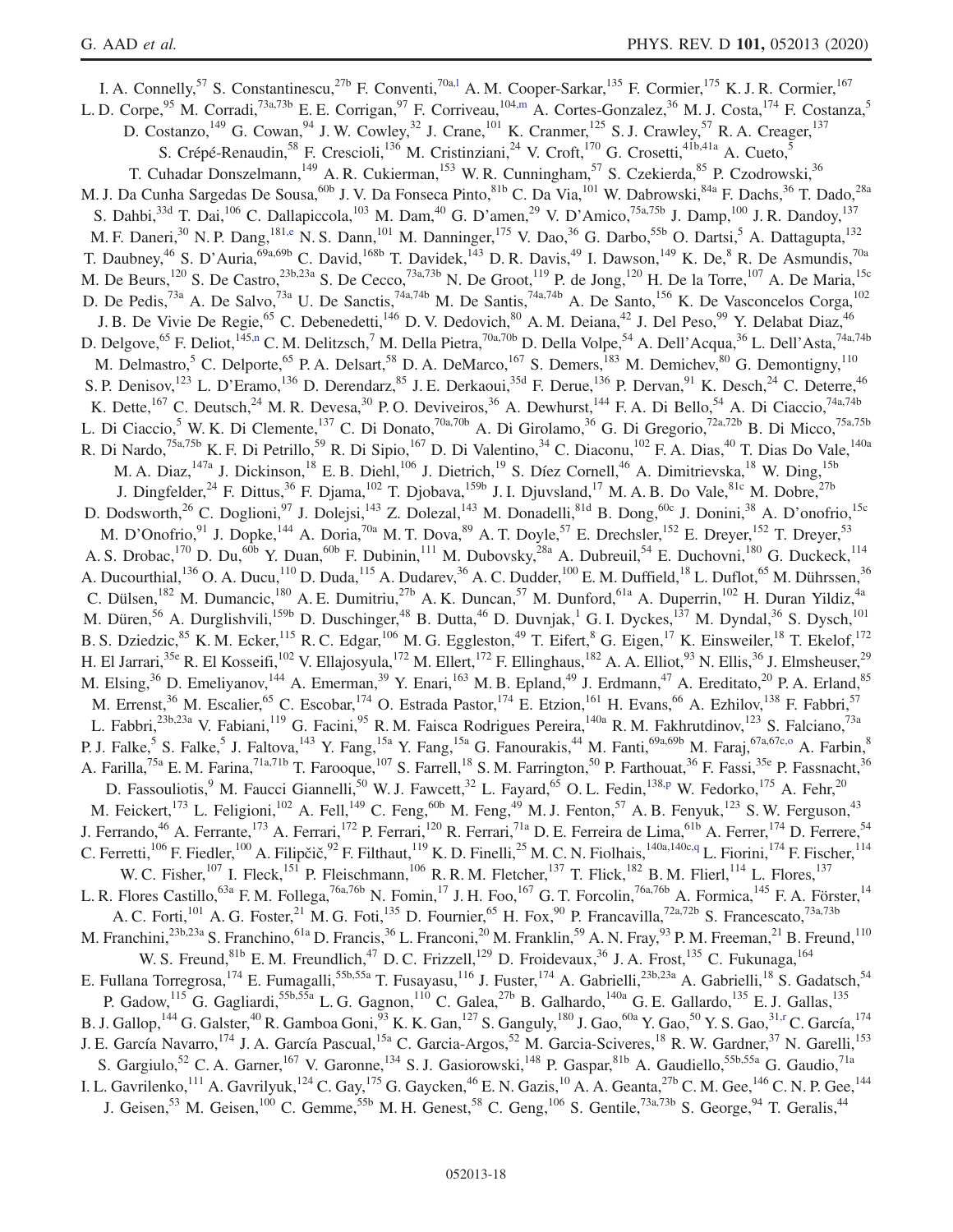<span id="page-18-6"></span><span id="page-18-5"></span><span id="page-18-4"></span><span id="page-18-3"></span><span id="page-18-2"></span><span id="page-18-1"></span><span id="page-18-0"></span>I. A. Connelly,<sup>57</sup> S. Constantinescu,<sup>27b</sup> F. Conventi,<sup>70[a,l](#page-29-10)</sup> A. M. Cooper-Sarkar,<sup>135</sup> F. Cormier,<sup>175</sup> K. J. R. Cormier,<sup>167</sup> L. D. Corpe,<sup>95</sup> M. Corradi,<sup>73a,73b</sup> E. E. Corrigan,<sup>97</sup> F. Corriveau,<sup>104[,m](#page-29-11)</sup> A. Cortes-Gonzalez,<sup>36</sup> M. J. Costa,<sup>174</sup> F. Costanza,<sup>5</sup> D. Costanzo,<sup>149</sup> G. Cowan,<sup>94</sup> J. W. Cowley,<sup>32</sup> J. Crane,<sup>101</sup> K. Cranmer,<sup>125</sup> S. J. Crawley,<sup>57</sup> R. A. Creager,<sup>137</sup> S. Crépé-Renaudin,<sup>58</sup> F. Crescioli,<sup>136</sup> M. Cristinziani,<sup>24</sup> V. Croft,<sup>170</sup> G. Crosetti,<sup>41b,41a</sup> A. Cueto,<sup>5</sup> T. Cuhadar Donszelmann,<sup>149</sup> A. R. Cukierman,<sup>153</sup> W. R. Cunningham,<sup>57</sup> S. Czekierda,<sup>85</sup> P. Czodrowski,<sup>36</sup> M. J. Da Cunha Sargedas De Sousa,<sup>60b</sup> J. V. Da Fonseca Pinto,<sup>81b</sup> C. Da Via,<sup>101</sup> W. Dabrowski,<sup>84a</sup> F. Dachs,<sup>36</sup> T. Dado,<sup>28a</sup> S. Dahbi,<sup>33d</sup> T. Dai,<sup>106</sup> C. Dallapiccola,<sup>103</sup> M. Dam,<sup>40</sup> G. D'amen,<sup>29</sup> V. D'Amico,<sup>75a,75b</sup> J. Damp,<sup>100</sup> J. R. Dandoy,<sup>137</sup> M. F. Daneri,<sup>30</sup> N. P. Dang,<sup>181[,e](#page-29-3)</sup> N. S. Dann,<sup>101</sup> M. Danninger,<sup>175</sup> V. Dao,<sup>36</sup> G. Darbo,<sup>55b</sup> O. Dartsi,<sup>5</sup> A. Dattagupta,<sup>132</sup> T. Daubney,<sup>46</sup> S. D'Auria,<sup>69a,69b</sup> C. David,<sup>168b</sup> T. Davidek,<sup>143</sup> D. R. Davis,<sup>49</sup> I. Dawson,<sup>149</sup> K. De,<sup>8</sup> R. De Asmundis,<sup>70a</sup> M. De Beurs,<sup>120</sup> S. De Castro,<sup>23b,23a</sup> S. De Cecco,<sup>73a,73b</sup> N. De Groot,<sup>119</sup> P. de Jong,<sup>120</sup> H. De la Torre,<sup>107</sup> A. De Maria,<sup>15c</sup> D. De Pedis,<sup>73a</sup> A. De Salvo,<sup>73a</sup> U. De Sanctis,<sup>74a,74b</sup> M. De Santis,<sup>74a,74b</sup> A. De Santo,<sup>156</sup> K. De Vasconcelos Corga,<sup>102</sup> J. B. De Vivie De Regie,<sup>65</sup> C. Debenedetti,<sup>146</sup> D. V. Dedovich,<sup>80</sup> A. M. Deiana,<sup>42</sup> J. Del Peso,<sup>99</sup> Y. Delabat Diaz,<sup>46</sup> D. Delgove,<sup>65</sup> F. Deliot,<sup>145[,n](#page-29-12)</sup> C. M. Delitzsch,<sup>7</sup> M. Della Pietra,<sup>70a,70b</sup> D. Della Volpe,<sup>54</sup> A. Dell'Acqua,<sup>36</sup> L. Dell'Asta,<sup>74a,74b</sup> M. Delmastro,<sup>5</sup> C. Delporte,<sup>65</sup> P. A. Delsart,<sup>58</sup> D. A. DeMarco,<sup>167</sup> S. Demers,<sup>183</sup> M. Demichev,<sup>80</sup> G. Demontigny,<sup>110</sup> S. P. Denisov,<sup>123</sup> L. D'Eramo,<sup>136</sup> D. Derendarz,<sup>85</sup> J. E. Derkaoui,<sup>35d</sup> F. Derue,<sup>136</sup> P. Dervan,<sup>91</sup> K. Desch,<sup>24</sup> C. Deterre,<sup>46</sup> K. Dette,<sup>167</sup> C. Deutsch,<sup>24</sup> M. R. Devesa,<sup>30</sup> P. O. Deviveiros,<sup>36</sup> A. Dewhurst,<sup>144</sup> F. A. Di Bello,<sup>54</sup> A. Di Ciaccio,<sup>74a,74b</sup> L. Di Ciaccio,<sup>5</sup> W. K. Di Clemente,<sup>137</sup> C. Di Donato,<sup>70a,70b</sup> A. Di Girolamo,<sup>36</sup> G. Di Gregorio,<sup>72a,72b</sup> B. Di Micco,<sup>75a,75b</sup> R. Di Nardo,<sup>75a,75b</sup> K. F. Di Petrillo,<sup>59</sup> R. Di Sipio,<sup>167</sup> D. Di Valentino,<sup>34</sup> C. Diaconu,<sup>102</sup> F. A. Dias,<sup>40</sup> T. Dias Do Vale,<sup>140a</sup> M. A. Diaz,  $^{147a}$  J. Dickinson,  $^{18}$  E. B. Diehl,  $^{106}$  J. Dietrich,  $^{19}$  S. Díez Cornell,  $^{46}$  A. Dimitrievska,  $^{18}$  W. Ding,  $^{15b}$ J. Dingfelder,<sup>24</sup> F. Dittus,<sup>36</sup> F. Djama,<sup>102</sup> T. Djobava,<sup>159b</sup> J. I. Djuvsland,<sup>17</sup> M. A. B. Do Vale,<sup>81c</sup> M. Dobre,<sup>27b</sup> D. Dodsworth,<sup>26</sup> C. Doglioni,<sup>97</sup> J. Dolejsi,<sup>143</sup> Z. Dolezal,<sup>143</sup> M. Donadelli,<sup>81d</sup> B. Dong,<sup>60c</sup> J. Donini,<sup>38</sup> A. D'onofrio,<sup>15c</sup> M. D'Onofrio,<sup>91</sup> J. Dopke,<sup>144</sup> A. Doria,<sup>70a</sup> M. T. Dova,<sup>89</sup> A. T. Doyle,<sup>57</sup> E. Drechsler,<sup>152</sup> E. Dreyer,<sup>152</sup> T. Dreyer,<sup>53</sup> A. S. Drobac,<sup>170</sup> D. Du,<sup>60b</sup> Y. Duan,<sup>60b</sup> F. Dubinin,<sup>111</sup> M. Dubovsky,<sup>28a</sup> A. Dubreuil,<sup>54</sup> E. Duchovni,<sup>180</sup> G. Duckeck,<sup>114</sup> A. Ducourthial,<sup>136</sup> O. A. Ducu,<sup>110</sup> D. Duda,<sup>115</sup> A. Dudarev,<sup>36</sup> A. C. Dudder,<sup>100</sup> E. M. Duffield,<sup>18</sup> L. Duflot,<sup>65</sup> M. Dührssen,<sup>36</sup> C. Dülsen,<sup>182</sup> M. Dumancic,<sup>180</sup> A. E. Dumitriu,<sup>27b</sup> A. K. Duncan,<sup>57</sup> M. Dunford,<sup>61a</sup> A. Duperrin,<sup>102</sup> H. Duran Yildiz,<sup>4a</sup> M. Düren,<sup>56</sup> A. Durglishvili,<sup>159b</sup> D. Duschinger,<sup>48</sup> B. Dutta,<sup>46</sup> D. Duvnjak,<sup>1</sup> G. I. Dyckes,<sup>137</sup> M. Dyndal,<sup>36</sup> S. Dysch,<sup>101</sup> B. S. Dziedzic,<sup>85</sup> K. M. Ecker,<sup>115</sup> R. C. Edgar,<sup>106</sup> M. G. Eggleston,<sup>49</sup> T. Eifert,<sup>8</sup> G. Eigen,<sup>17</sup> K. Einsweiler,<sup>18</sup> T. Ekelof,<sup>172</sup> H. El Jarrari,<sup>35e</sup> R. El Kosseifi,<sup>102</sup> V. Ellajosyula,<sup>172</sup> M. Ellert,<sup>172</sup> F. Ellinghaus,<sup>182</sup> A. A. Elliot,<sup>93</sup> N. Ellis,<sup>36</sup> J. Elmsheuser,<sup>29</sup> M. Elsing,<sup>36</sup> D. Emeliyanov,<sup>144</sup> A. Emerman,<sup>39</sup> Y. Enari,<sup>163</sup> M. B. Epland,<sup>49</sup> J. Erdmann,<sup>47</sup> A. Ereditato,<sup>20</sup> P. A. Erland,<sup>85</sup> M. Errenst,<sup>36</sup> M. Escalier,<sup>65</sup> C. Escobar,<sup>174</sup> O. Estrada Pastor,<sup>174</sup> E. Etzion,<sup>161</sup> H. Evans,<sup>66</sup> A. Ezhilov,<sup>138</sup> F. Fabbri,<sup>57</sup> L. Fabbri,<sup>23b,23a</sup> V. Fabiani,<sup>119</sup> G. Facini,<sup>95</sup> R. M. Faisca Rodrigues Pereira,<sup>140a</sup> R. M. Fakhrutdinov,<sup>123</sup> S. Falciano,<sup>73a</sup> P. J. Falke,<sup>5</sup> S. Falke,<sup>5</sup> J. Faltova,<sup>143</sup> Y. Fang,<sup>15a</sup> Y. Fang,<sup>15a</sup> G. Fanourakis,<sup>44</sup> M. Fanti,<sup>69a,69b</sup> M. Faraj,<sup>67a,67[c,o](#page-29-13)</sup> A. Farbin,<sup>8</sup> A. Farilla,<sup>75a</sup> E. M. Farina,<sup>71a,71b</sup> T. Farooque,<sup>107</sup> S. Farrell,<sup>18</sup> S. M. Farrington,<sup>50</sup> P. Farthouat,<sup>36</sup> F. Fassi,<sup>35e</sup> P. Fassnacht,<sup>36</sup> D. Fassouliotis,<sup>9</sup> M. Faucci Giannelli,<sup>50</sup> W. J. Fawcett,<sup>32</sup> L. Fayard,<sup>65</sup> O. L. Fedin,<sup>13[8,p](#page-29-14)</sup> W. Fedorko,<sup>175</sup> A. Fehr,<sup>20</sup> M. Feickert,<sup>173</sup> L. Feligioni,<sup>102</sup> A. Fell,<sup>149</sup> C. Feng,<sup>60b</sup> M. Feng,<sup>49</sup> M. J. Fenton,<sup>57</sup> A. B. Fenyuk,<sup>123</sup> S. W. Ferguson,<sup>43</sup> J. Ferrando,<sup>46</sup> A. Ferrante,<sup>173</sup> A. Ferrari,<sup>172</sup> P. Ferrari,<sup>120</sup> R. Ferrari,<sup>71a</sup> D. E. Ferreira de Lima,<sup>61b</sup> A. Ferrer,<sup>174</sup> D. Ferrere,<sup>54</sup> C. Ferretti,  $^{106}$  F. Fiedler,  $^{100}$  A. Filipčič,  $^{92}$  F. Filthaut,  $^{119}$  K. D. Finelli,  $^{25}$  M. C. N. Fiolhais,  $^{140a,140c,q}$  $^{140a,140c,q}$  $^{140a,140c,q}$  L. Fiorini,  $^{174}$  F. Fischer,  $^{114}$ W. C. Fisher,<sup>107</sup> I. Fleck,<sup>151</sup> P. Fleischmann,<sup>106</sup> R. R. M. Fletcher,<sup>137</sup> T. Flick,<sup>182</sup> B. M. Flierl,<sup>114</sup> L. Flores,<sup>137</sup> L. R. Flores Castillo,<sup>63a</sup> F. M. Follega,<sup>76a,76b</sup> N. Fomin,<sup>17</sup> J. H. Foo,<sup>167</sup> G. T. Forcolin,<sup>76a,76b</sup> A. Formica,<sup>145</sup> F. A. Förster,<sup>14</sup> A. C. Forti,<sup>101</sup> A. G. Foster,<sup>21</sup> M. G. Foti,<sup>135</sup> D. Fournier,<sup>65</sup> H. Fox,<sup>90</sup> P. Francavilla,<sup>72a,72b</sup> S. Francescato,<sup>73a,73b</sup> M. Franchini,<sup>23b,23a</sup> S. Franchino,<sup>61a</sup> D. Francis,<sup>36</sup> L. Franconi,<sup>20</sup> M. Franklin,<sup>59</sup> A. N. Fray,<sup>93</sup> P. M. Freeman,<sup>21</sup> B. Freund,<sup>110</sup> W. S. Freund, <sup>81b</sup> E. M. Freundlich, <sup>47</sup> D. C. Frizzell, <sup>129</sup> D. Froidevaux, <sup>36</sup> J. A. Frost, <sup>135</sup> C. Fukunaga, <sup>164</sup> E. Fullana Torregrosa,<sup>174</sup> E. Fumagalli,<sup>55b,55a</sup> T. Fusayasu,<sup>116</sup> J. Fuster,<sup>174</sup> A. Gabrielli,<sup>23b,23a</sup> A. Gabrielli,<sup>18</sup> S. Gadatsch,<sup>54</sup> P. Gadow,<sup>115</sup> G. Gagliardi,<sup>55b,55a</sup> L. G. Gagnon,<sup>110</sup> C. Galea,<sup>27b</sup> B. Galhardo,<sup>140a</sup> G. E. Gallardo,<sup>135</sup> E. J. Gallas,<sup>135</sup> B. J. Gallop,  $^{144}$  G. Galster, $^{40}$  R. Gamboa Goni, $^{93}$  K. K. Gan, $^{127}$  S. Ganguly,  $^{180}$  J. Gao,  $^{60a}$  Y. Gao,  $^{50}$  Y. S. Gao,  $^{31,r}$  $^{31,r}$  $^{31,r}$  C. García,  $^{174}$ J. E. García Navarro,<sup>174</sup> J. A. García Pascual,<sup>15a</sup> C. Garcia-Argos,<sup>52</sup> M. Garcia-Sciveres,<sup>18</sup> R. W. Gardner,<sup>37</sup> N. Garelli,<sup>153</sup> S. Gargiulo,<sup>52</sup> C. A. Garner,<sup>167</sup> V. Garonne,<sup>134</sup> S. J. Gasiorowski,<sup>148</sup> P. Gaspar,<sup>81b</sup> A. Gaudiello,<sup>55b,55a</sup> G. Gaudio,<sup>71a</sup> I. L. Gavrilenko, $^{111}$  A. Gavrilyuk, $^{124}$  C. Gay, $^{175}$  G. Gaycken, $^{46}$  E. N. Gazis, $^{10}$  A. A. Geanta, $^{27b}$  C. M. Gee, $^{146}$  C. N. P. Gee, $^{144}$ J. Geisen,<sup>53</sup> M. Geisen,<sup>100</sup> C. Gemme, <sup>55b</sup> M. H. Genest, <sup>58</sup> C. Geng, <sup>106</sup> S. Gentile,<sup>73a,73b</sup> S. George, <sup>94</sup> T. Geralis,<sup>44</sup>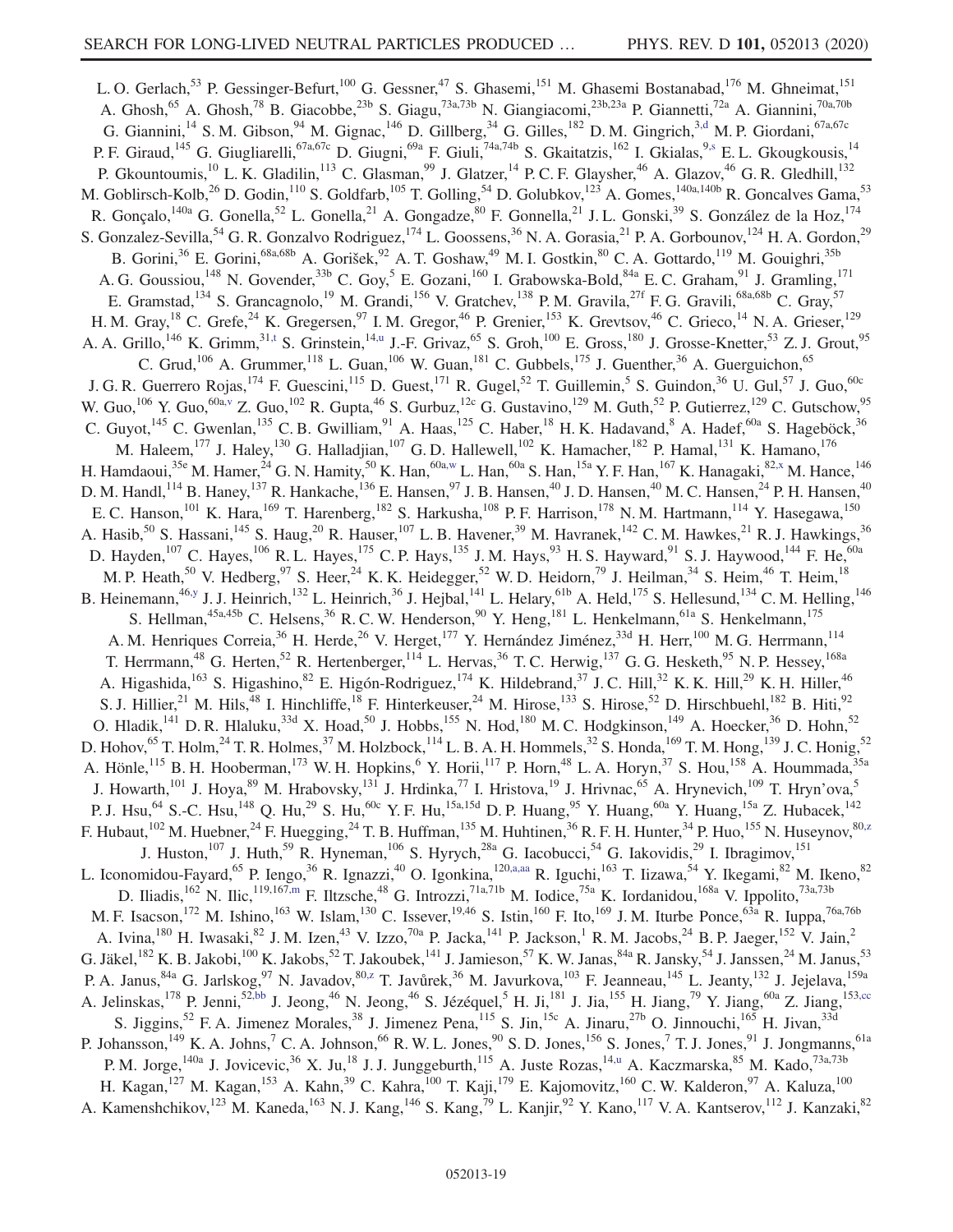<span id="page-19-8"></span><span id="page-19-7"></span><span id="page-19-6"></span><span id="page-19-5"></span><span id="page-19-4"></span><span id="page-19-3"></span><span id="page-19-2"></span><span id="page-19-1"></span><span id="page-19-0"></span>L. O. Gerlach,<sup>53</sup> P. Gessinger-Befurt,<sup>100</sup> G. Gessner,<sup>47</sup> S. Ghasemi,<sup>151</sup> M. Ghasemi Bostanabad,<sup>176</sup> M. Ghneimat,<sup>151</sup> A. Ghosh,<sup>65</sup> A. Ghosh,<sup>78</sup> B. Giacobbe,<sup>23b</sup> S. Giagu,<sup>73a,73b</sup> N. Giangiacomi,<sup>23b,23a</sup> P. Giannetti,<sup>72a</sup> A. Giannini,<sup>70a,70b</sup> G. Giannini,<sup>14</sup> S. M. Gibson,<sup>94</sup> M. Gignac,<sup>146</sup> D. Gillberg,<sup>34</sup> G. Gilles,<sup>182</sup> D. M. Gingrich,<sup>3[,d](#page-29-2)</sup> M. P. Giordani,<sup>67a,67c</sup> P. F. Giraud,<sup>145</sup> G. Giugliarelli,<sup>67a,67c</sup> D. Giugni,<sup>69a</sup> F. Giuli,<sup>74a,74b</sup> S. Gkaitatzis,<sup>162</sup> I. Gkialas,<sup>[9,s](#page-29-17)</sup> E. L. Gkougkousis,<sup>14</sup> P. Gkountoumis,<sup>10</sup> L. K. Gladilin,<sup>113</sup> C. Glasman,<sup>99</sup> J. Glatzer,<sup>14</sup> P. C. F. Glaysher,<sup>46</sup> A. Glazov,<sup>46</sup> G. R. Gledhill,<sup>132</sup> M. Goblirsch-Kolb,<sup>26</sup> D. Godin,<sup>110</sup> S. Goldfarb,<sup>105</sup> T. Golling,<sup>54</sup> D. Golubkov,<sup>123</sup> A. Gomes,<sup>140a,140b</sup> R. Goncalves Gama,<sup>53</sup> R. Gonçalo,<sup>140a</sup> G. Gonella,<sup>52</sup> L. Gonella,<sup>21</sup> A. Gongadze,<sup>80</sup> F. Gonnella,<sup>21</sup> J. L. Gonski,<sup>39</sup> S. González de la Hoz,<sup>174</sup> S. Gonzalez-Sevilla,<sup>54</sup> G. R. Gonzalvo Rodriguez,<sup>174</sup> L. Goossens,<sup>36</sup> N. A. Gorasia,<sup>21</sup> P. A. Gorbounov,<sup>124</sup> H. A. Gordon,<sup>29</sup> B. Gorini,<sup>36</sup> E. Gorini,<sup>68a,68b</sup> A. Gorišek,<sup>92</sup> A. T. Goshaw,<sup>49</sup> M. I. Gostkin,<sup>80</sup> C. A. Gottardo,<sup>119</sup> M. Gouighri,<sup>35b</sup> A. G. Goussiou,<sup>148</sup> N. Govender,<sup>33b</sup> C. Goy,<sup>5</sup> E. Gozani,<sup>160</sup> I. Grabowska-Bold,<sup>84a</sup> E. C. Graham,<sup>91</sup> J. Gramling,<sup>171</sup> E. Gramstad,<sup>134</sup> S. Grancagnolo,<sup>19</sup> M. Grandi,<sup>156</sup> V. Gratchev,<sup>138</sup> P. M. Gravila,<sup>27f</sup> F. G. Gravili,<sup>68a,68b</sup> C. Gray,<sup>57</sup> H. M. Gray,<sup>18</sup> C. Grefe,<sup>24</sup> K. Gregersen,<sup>97</sup> I. M. Gregor,<sup>46</sup> P. Grenier,<sup>153</sup> K. Grevtsov,<sup>46</sup> C. Grieco,<sup>14</sup> N. A. Grieser,<sup>129</sup> A. A. Grillo,<sup>146</sup> K. Grimm,<sup>31[,t](#page-29-18)</sup> S. Grinstein,<sup>14[,u](#page-29-19)</sup> J.-F. Grivaz,<sup>65</sup> S. Groh,<sup>100</sup> E. Gross,<sup>180</sup> J. Grosse-Knetter,<sup>53</sup> Z. J. Grout,<sup>95</sup> C. Grud,  $^{106}$  A. Grummer,  $^{118}$  L. Guan,  $^{106}$  W. Guan,  $^{181}$  C. Gubbels,  $^{175}$  J. Guenther,  $^{36}$  A. Guerguichon,  $^{65}$ J. G. R. Guerrero Rojas,<sup>174</sup> F. Guescini,<sup>115</sup> D. Guest,<sup>171</sup> R. Gugel,<sup>52</sup> T. Guillemin,<sup>5</sup> S. Guindon,<sup>36</sup> U. Gul,<sup>57</sup> J. Guo,<sup>60c</sup> W. Guo,<sup>106</sup> Y. Guo,<sup>60[a,v](#page-29-20)</sup> Z. Guo,<sup>102</sup> R. Gupta,<sup>46</sup> S. Gurbuz,<sup>12c</sup> G. Gustavino,<sup>129</sup> M. Guth,<sup>52</sup> P. Gutierrez,<sup>129</sup> C. Gutschow,<sup>95</sup> C. Guyot,<sup>145</sup> C. Gwenlan,<sup>135</sup> C. B. Gwilliam,<sup>91</sup> A. Haas,<sup>125</sup> C. Haber,<sup>18</sup> H. K. Hadavand,<sup>8</sup> A. Hadef,<sup>60a</sup> S. Hageböck,<sup>36</sup> M. Haleem, <sup>177</sup> J. Haley, <sup>130</sup> G. Halladjian, <sup>107</sup> G. D. Hallewell, <sup>102</sup> K. Hamacher, <sup>182</sup> P. Hamal, <sup>131</sup> K. Hamano, <sup>176</sup> H. Hamdaoui, $^{35e}$  M. Hamer, $^{24}$  G. N. Hamity, $^{50}$  K. Han, $^{60a,w}$  $^{60a,w}$  $^{60a,w}$  L. Han, $^{60a}$  S. Han, $^{15a}$  Y. F. Han, $^{167}$  K. Hanagaki, $^{82,x}$  $^{82,x}$  $^{82,x}$  M. Hance, $^{146}$ D. M. Handl,<sup>114</sup> B. Haney,<sup>137</sup> R. Hankache,<sup>136</sup> E. Hansen,<sup>97</sup> J. B. Hansen,<sup>40</sup> J. D. Hansen,<sup>40</sup> M. C. Hansen,<sup>24</sup> P. H. Hansen,<sup>40</sup> E. C. Hanson,<sup>101</sup> K. Hara,<sup>169</sup> T. Harenberg,<sup>182</sup> S. Harkusha,<sup>108</sup> P. F. Harrison,<sup>178</sup> N. M. Hartmann,<sup>114</sup> Y. Hasegawa,<sup>150</sup> A. Hasib,<sup>50</sup> S. Hassani,<sup>145</sup> S. Haug,<sup>20</sup> R. Hauser,<sup>107</sup> L. B. Havener,<sup>39</sup> M. Havranek,<sup>142</sup> C. M. Hawkes,<sup>21</sup> R. J. Hawkings,<sup>36</sup> D. Hayden,<sup>107</sup> C. Hayes,<sup>106</sup> R. L. Hayes,<sup>175</sup> C. P. Hays,<sup>135</sup> J. M. Hays,<sup>93</sup> H. S. Hayward,<sup>91</sup> S. J. Haywood,<sup>144</sup> F. He,<sup>60a</sup> M. P. Heath,<sup>50</sup> V. Hedberg,<sup>97</sup> S. Heer,<sup>24</sup> K. K. Heidegger,<sup>52</sup> W. D. Heidorn,<sup>79</sup> J. Heilman,<sup>34</sup> S. Heim,<sup>46</sup> T. Heim,<sup>18</sup> B. Heinemann,<sup>4[6,y](#page-29-23)</sup> J. J. Heinrich,<sup>132</sup> L. Heinrich,<sup>36</sup> J. Hejbal,<sup>141</sup> L. Helary,<sup>61b</sup> A. Held,<sup>175</sup> S. Hellesund,<sup>134</sup> C. M. Helling,<sup>146</sup> S. Hellman,  $45a,45b$  C. Helsens,  $36$  R. C. W. Henderson,  $90$  Y. Heng,  $181$  L. Henkelmann,  $61a$  S. Henkelmann,  $175$ A. M. Henriques Correia,<sup>36</sup> H. Herde,<sup>26</sup> V. Herget,<sup>177</sup> Y. Hernández Jiménez,<sup>33d</sup> H. Herr,<sup>100</sup> M. G. Herrmann,<sup>114</sup> T. Herrmann,<sup>48</sup> G. Herten,<sup>52</sup> R. Hertenberger,<sup>114</sup> L. Hervas,<sup>36</sup> T. C. Herwig,<sup>137</sup> G. G. Hesketh,<sup>95</sup> N. P. Hessey,<sup>168a</sup> A. Higashida,<sup>163</sup> S. Higashino,<sup>82</sup> E. Higón-Rodriguez,<sup>174</sup> K. Hildebrand,<sup>37</sup> J. C. Hill,<sup>32</sup> K. K. Hill,<sup>29</sup> K. H. Hiller,<sup>46</sup> S. J. Hillier,<sup>21</sup> M. Hils,<sup>48</sup> I. Hinchliffe,<sup>18</sup> F. Hinterkeuser,<sup>24</sup> M. Hirose,<sup>133</sup> S. Hirose,<sup>52</sup> D. Hirschbuehl,<sup>182</sup> B. Hiti,<sup>92</sup> O. Hladik,<sup>141</sup> D. R. Hlaluku,<sup>33d</sup> X. Hoad,<sup>50</sup> J. Hobbs,<sup>155</sup> N. Hod,<sup>180</sup> M. C. Hodgkinson,<sup>149</sup> A. Hoecker,<sup>36</sup> D. Hohn,<sup>52</sup> D. Hohov,<sup>65</sup> T. Holm,<sup>24</sup> T. R. Holmes,<sup>37</sup> M. Holzbock,<sup>114</sup> L. B. A. H. Hommels,<sup>32</sup> S. Honda,<sup>169</sup> T. M. Hong,<sup>139</sup> J. C. Honig,<sup>52</sup> A. Hönle,<sup>115</sup> B. H. Hooberman,<sup>173</sup> W. H. Hopkins,<sup>6</sup> Y. Horii,<sup>117</sup> P. Horn,<sup>48</sup> L. A. Horyn,<sup>37</sup> S. Hou,<sup>158</sup> A. Hoummada,<sup>35a</sup> J. Howarth,<sup>101</sup> J. Hoya,<sup>89</sup> M. Hrabovsky,<sup>131</sup> J. Hrdinka,<sup>77</sup> I. Hristova,<sup>19</sup> J. Hrivnac,<sup>65</sup> A. Hrynevich,<sup>109</sup> T. Hryn'ova,<sup>5</sup> P. J. Hsu,<sup>64</sup> S.-C. Hsu,<sup>148</sup> Q. Hu,<sup>29</sup> S. Hu,<sup>60c</sup> Y. F. Hu,<sup>15a,15d</sup> D. P. Huang,<sup>95</sup> Y. Huang,<sup>60a</sup> Y. Huang,<sup>15a</sup> Z. Hubacek,<sup>142</sup> F. Hubaut,<sup>102</sup> M. Huebner,<sup>24</sup> F. Huegging,<sup>24</sup> T. B. Huffman,<sup>135</sup> M. Huhtinen,<sup>36</sup> R. F. H. Hunter,<sup>34</sup> P. Huo,<sup>155</sup> N. Huseynov,<sup>80,2</sup> J. Huston,<sup>107</sup> J. Huth,<sup>59</sup> R. Hyneman,<sup>106</sup> S. Hyrych,<sup>28a</sup> G. Iacobucci,<sup>54</sup> G. Iakovidis,<sup>29</sup> I. Ibragimov,<sup>151</sup> L. Iconomidou-Fayard,<sup>65</sup> P. Iengo,<sup>36</sup> R. Ignazzi,<sup>40</sup> O. Igonkina,<sup>120[,a,aa](#page-29-25)</sup> R. Iguchi,<sup>163</sup> T. Iizawa,<sup>54</sup> Y. Ikegami,<sup>82</sup> M. Ikeno,<sup>82</sup> D. Iliadis,<sup>162</sup> N. Ilic,<sup>119,167[,m](#page-29-11)</sup> F. Iltzsche,<sup>48</sup> G. Introzzi,<sup>71a,71b</sup> M. Iodice,<sup>75a</sup> K. Iordanidou,<sup>168a</sup> V. Ippolito,<sup>73a,73b</sup> M. F. Isacson,<sup>172</sup> M. Ishino,<sup>163</sup> W. Islam,<sup>130</sup> C. Issever,<sup>19,46</sup> S. Istin,<sup>160</sup> F. Ito,<sup>169</sup> J. M. Iturbe Ponce,<sup>63a</sup> R. Iuppa,<sup>76a,76b</sup> A. Ivina,  $180$  H. Iwasaki,  $82$  J. M. Izen,  $43$  V. Izzo,  $70a$  P. Jacka,  $141$  P. Jackson,  $1$  R. M. Jacobs,  $24$  B. P. Jaeger,  $152$  V. Jain,  $2$ G. Jäkel,  $^{182}$  K. B. Jakobi,  $^{100}$  K. Jakobs,  $^{52}$  T. Jakoubek,  $^{141}$  J. Jamieson,  $^{57}$  K. W. Janas,  $^{84a}$  R. Jansky,  $^{54}$  J. Janssen,  $^{24}$  M. Janus,  $^{53}$ P. A. Janus, <sup>84a</sup> G. Jarlskog, <sup>97</sup> N. Javadov, <sup>80[,z](#page-29-24)</sup> T. Javůrek, <sup>36</sup> M. Javurkova, <sup>103</sup> F. Jeanneau, <sup>145</sup> L. Jeanty, <sup>132</sup> J. Jejelava, <sup>159a</sup> A. Jelinskas,<sup>178</sup> P. Jenni,<sup>5[2,bb](#page-29-26)</sup> J. Jeong,<sup>46</sup> N. Jeong,<sup>46</sup> S. Jézéquel,<sup>5</sup> H. Ji,<sup>181</sup> J. Jia,<sup>155</sup> H. Jiang,<sup>79</sup> Y. Jiang,<sup>60a</sup> Z. Jiang,<sup>15[3,cc](#page-29-27)</sup> S. Jiggins,<sup>52</sup> F. A. Jimenez Morales,<sup>38</sup> J. Jimenez Pena,<sup>115</sup> S. Jin,<sup>15c</sup> A. Jinaru,<sup>27b</sup> O. Jinnouchi,<sup>165</sup> H. Jivan,<sup>33d</sup> P. Johansson,<sup>149</sup> K. A. Johns,<sup>7</sup> C. A. Johnson,<sup>66</sup> R. W. L. Jones,<sup>90</sup> S. D. Jones,<sup>156</sup> S. Jones,<sup>7</sup> T. J. Jones,<sup>91</sup> J. Jongmanns,<sup>61a</sup> P. M. Jorge,<sup>140a</sup> J. Jovicevic,<sup>36</sup> X. Ju,<sup>18</sup> J. J. Junggeburth,<sup>115</sup> A. Juste Rozas,<sup>1[4,u](#page-29-19)</sup> A. Kaczmarska,<sup>85</sup> M. Kado,<sup>73a,73b</sup> H. Kagan,<sup>127</sup> M. Kagan,<sup>153</sup> A. Kahn,<sup>39</sup> C. Kahra,<sup>100</sup> T. Kaji,<sup>179</sup> E. Kajomovitz,<sup>160</sup> C. W. Kalderon,<sup>97</sup> A. Kaluza,<sup>100</sup> A. Kamenshchikov,<sup>123</sup> M. Kaneda,<sup>163</sup> N. J. Kang,<sup>146</sup> S. Kang,<sup>79</sup> L. Kanjir,<sup>92</sup> Y. Kano,<sup>117</sup> V. A. Kantserov,<sup>112</sup> J. Kanzaki,<sup>82</sup>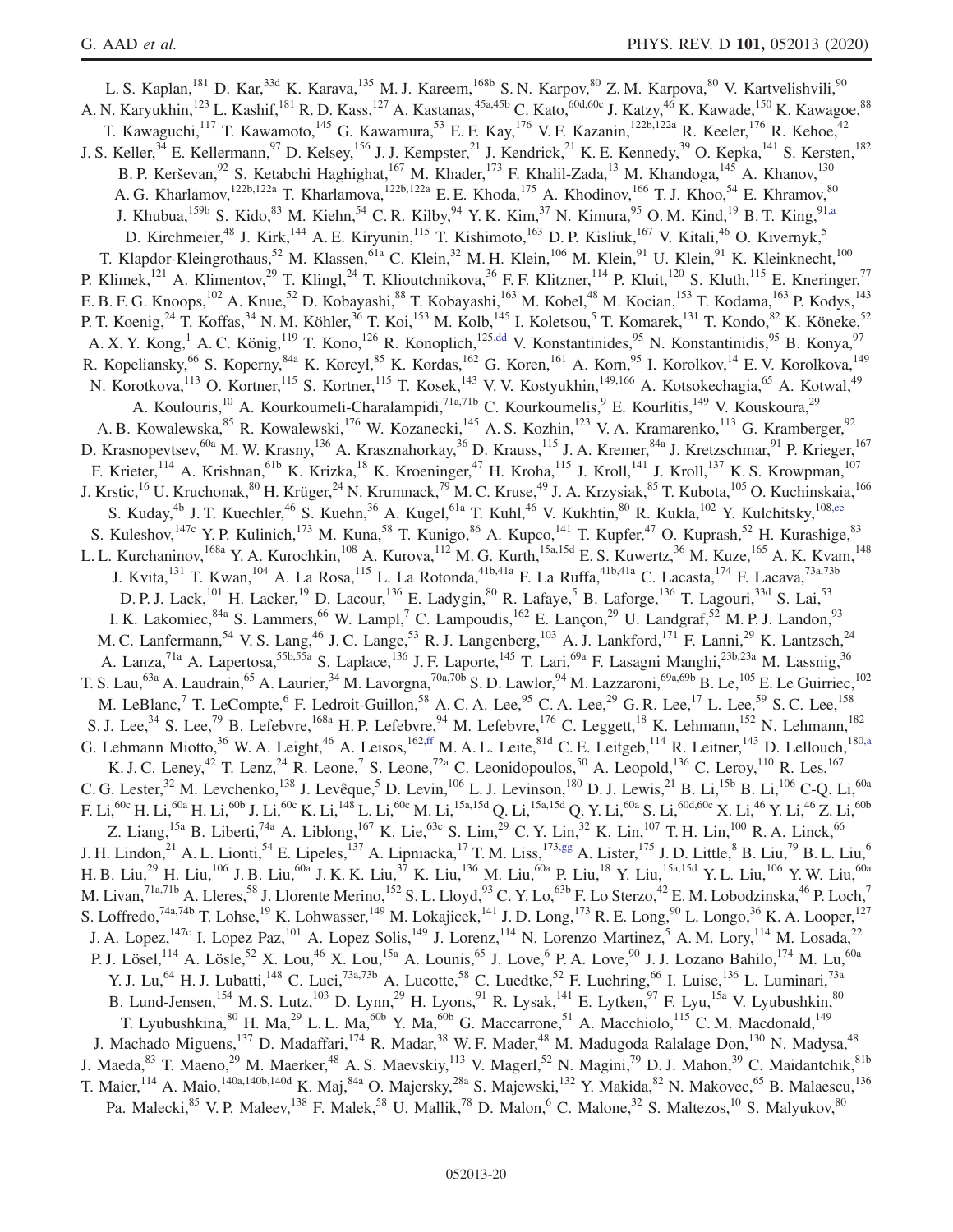<span id="page-20-3"></span><span id="page-20-2"></span><span id="page-20-1"></span><span id="page-20-0"></span>L. S. Kaplan,<sup>181</sup> D. Kar,<sup>33d</sup> K. Karava,<sup>135</sup> M. J. Kareem,<sup>168b</sup> S. N. Karpov,<sup>80</sup> Z. M. Karpova,<sup>80</sup> V. Kartvelishvili,<sup>90</sup> A. N. Karyukhin,<sup>123</sup> L. Kashif,<sup>181</sup> R. D. Kass,<sup>127</sup> A. Kastanas,<sup>45a,45b</sup> C. Kato,<sup>60d,60c</sup> J. Katzy,<sup>46</sup> K. Kawade,<sup>150</sup> K. Kawagoe,<sup>88</sup> T. Kawaguchi,<sup>117</sup> T. Kawamoto,<sup>145</sup> G. Kawamura,<sup>53</sup> E. F. Kay,<sup>176</sup> V. F. Kazanin,<sup>122b,122a</sup> R. Keeler,<sup>176</sup> R. Kehoe,<sup>42</sup> J. S. Keller,<sup>34</sup> E. Kellermann,<sup>97</sup> D. Kelsey,<sup>156</sup> J. J. Kempster,<sup>21</sup> J. Kendrick,<sup>21</sup> K. E. Kennedy,<sup>39</sup> O. Kepka,<sup>141</sup> S. Kersten,<sup>182</sup> B. P. Kerševan, <sup>92</sup> S. Ketabchi Haghighat, <sup>167</sup> M. Khader, <sup>173</sup> F. Khalil-Zada, <sup>13</sup> M. Khandoga, <sup>145</sup> A. Khanov, <sup>130</sup> A. G. Kharlamov,<sup>122b,122a</sup> T. Kharlamova,<sup>122b,122a</sup> E. E. Khoda,<sup>175</sup> A. Khodinov,<sup>166</sup> T. J. Khoo,<sup>54</sup> E. Khramov,<sup>80</sup> J. Khubua,<sup>159b</sup> S. Kido,<sup>83</sup> M. Kiehn,<sup>54</sup> C. R. Kilby,<sup>94</sup> Y. K. Kim,<sup>37</sup> N. Kimura,<sup>95</sup> O. M. Kind,<sup>19</sup> B. T. King,<sup>9[1,a](#page-29-25)</sup> D. Kirchmeier,<sup>48</sup> J. Kirk,<sup>144</sup> A. E. Kiryunin,<sup>115</sup> T. Kishimoto,<sup>163</sup> D. P. Kisliuk,<sup>167</sup> V. Kitali,<sup>46</sup> O. Kivernyk,<sup>5</sup> T. Klapdor-Kleingrothaus,<sup>52</sup> M. Klassen,<sup>61a</sup> C. Klein,<sup>32</sup> M. H. Klein,<sup>106</sup> M. Klein,<sup>91</sup> U. Klein,<sup>91</sup> K. Kleinknecht,<sup>100</sup> P. Klimek,<sup>121</sup> A. Klimentov,<sup>29</sup> T. Klingl,<sup>24</sup> T. Klioutchnikova,<sup>36</sup> F. F. Klitzner,<sup>114</sup> P. Kluit,<sup>120</sup> S. Kluth,<sup>115</sup> E. Kneringer,<sup>77</sup> E. B. F. G. Knoops, <sup>102</sup> A. Knue, <sup>52</sup> D. Kobayashi, <sup>88</sup> T. Kobayashi, <sup>163</sup> M. Kobel, <sup>48</sup> M. Kocian, <sup>153</sup> T. Kodama, <sup>163</sup> P. Kodys, <sup>143</sup> P. T. Koenig,<sup>24</sup> T. Koffas,<sup>34</sup> N. M. Köhler,<sup>36</sup> T. Koi,<sup>153</sup> M. Kolb,<sup>145</sup> I. Koletsou,<sup>5</sup> T. Komarek,<sup>131</sup> T. Kondo,<sup>82</sup> K. Köneke,<sup>52</sup> A. X. Y. Kong,<sup>1</sup> A. C. König,<sup>119</sup> T. Kono,<sup>126</sup> R. Konoplich,<sup>125[,dd](#page-29-28)</sup> V. Konstantinides,<sup>95</sup> N. Konstantinidis,<sup>95</sup> B. Konya,<sup>97</sup> R. Kopeliansky, <sup>66</sup> S. Koperny, <sup>84a</sup> K. Korcyl, <sup>85</sup> K. Kordas, <sup>162</sup> G. Koren, <sup>161</sup> A. Korn, <sup>95</sup> I. Korolkov, <sup>14</sup> E. V. Korolkova, <sup>149</sup> N. Korotkova,<sup>113</sup> O. Kortner,<sup>115</sup> S. Kortner,<sup>115</sup> T. Kosek,<sup>143</sup> V. V. Kostyukhin,<sup>149,166</sup> A. Kotsokechagia,<sup>65</sup> A. Kotwal,<sup>49</sup> A. Koulouris,<sup>10</sup> A. Kourkoumeli-Charalampidi,<sup>71a,71b</sup> C. Kourkoumelis,<sup>9</sup> E. Kourlitis,<sup>149</sup> V. Kouskoura,<sup>29</sup> A. B. Kowalewska, <sup>85</sup> R. Kowalewski,<sup>176</sup> W. Kozanecki,<sup>145</sup> A. S. Kozhin,<sup>123</sup> V. A. Kramarenko,<sup>113</sup> G. Kramberger,<sup>92</sup> D. Krasnopevtsev,<sup>60a</sup> M. W. Krasny,<sup>136</sup> A. Krasznahorkay,<sup>36</sup> D. Krauss,<sup>115</sup> J. A. Kremer,<sup>84a</sup> J. Kretzschmar,<sup>91</sup> P. Krieger,<sup>167</sup> F. Krieter,<sup>114</sup> A. Krishnan,<sup>61b</sup> K. Krizka,<sup>18</sup> K. Kroeninger,<sup>47</sup> H. Kroha,<sup>115</sup> J. Kroll,<sup>141</sup> J. Kroll,<sup>137</sup> K. S. Krowpman,<sup>107</sup> J. Krstic,<sup>16</sup> U. Kruchonak,<sup>80</sup> H. Krüger,<sup>24</sup> N. Krumnack,<sup>79</sup> M. C. Kruse,<sup>49</sup> J. A. Krzysiak,<sup>85</sup> T. Kubota,<sup>105</sup> O. Kuchinskaia,<sup>166</sup> S. Kuday,<sup>4b</sup> J. T. Kuechler,<sup>46</sup> S. Kuehn,<sup>36</sup> A. Kugel,<sup>61a</sup> T. Kuhl,<sup>46</sup> V. Kukhtin,<sup>80</sup> R. Kukla,<sup>102</sup> Y. Kulchitsky,<sup>108[,ee](#page-29-29)</sup> S. Kuleshov,<sup>147c</sup> Y. P. Kulinich,<sup>173</sup> M. Kuna,<sup>58</sup> T. Kunigo,<sup>86</sup> A. Kupco,<sup>141</sup> T. Kupfer,<sup>47</sup> O. Kuprash,<sup>52</sup> H. Kurashige,<sup>83</sup> L. L. Kurchaninov, <sup>168a</sup> Y. A. Kurochkin, <sup>108</sup> A. Kurova, <sup>112</sup> M. G. Kurth, <sup>15a, 15d</sup> E. S. Kuwertz, <sup>36</sup> M. Kuze, <sup>165</sup> A. K. Kvam, <sup>148</sup> J. Kvita,<sup>131</sup> T. Kwan,<sup>104</sup> A. La Rosa,<sup>115</sup> L. La Rotonda,<sup>41b,41a</sup> F. La Ruffa,<sup>41b,41a</sup> C. Lacasta,<sup>174</sup> F. Lacava,<sup>73a,73b</sup> D. P. J. Lack,<sup>101</sup> H. Lacker,<sup>19</sup> D. Lacour,<sup>136</sup> E. Ladygin,<sup>80</sup> R. Lafaye,<sup>5</sup> B. Laforge,<sup>136</sup> T. Lagouri,<sup>33d</sup> S. Lai,<sup>53</sup> I. K. Lakomiec,  $84a$  S. Lammers,  $66$  W. Lampl, <sup>7</sup> C. Lampoudis,  $162$  E. Lançon,  $29$  U. Landgraf,  $52$  M. P. J. Landon,  $93$ M. C. Lanfermann,<sup>54</sup> V. S. Lang,<sup>46</sup> J. C. Lange,<sup>53</sup> R. J. Langenberg,<sup>103</sup> A. J. Lankford,<sup>171</sup> F. Lanni,<sup>29</sup> K. Lantzsch,<sup>24</sup> A. Lanza,<sup>71a</sup> A. Lapertosa,<sup>55b,55a</sup> S. Laplace,<sup>136</sup> J. F. Laporte,<sup>145</sup> T. Lari,<sup>69a</sup> F. Lasagni Manghi,<sup>23b,23a</sup> M. Lassnig,<sup>36</sup> T. S. Lau,<sup>63a</sup> A. Laudrain,<sup>65</sup> A. Laurier,<sup>34</sup> M. Lavorgna,<sup>70a,70b</sup> S. D. Lawlor,<sup>94</sup> M. Lazzaroni,<sup>69a,69b</sup> B. Le,<sup>105</sup> E. Le Guirriec,<sup>102</sup> M. LeBlanc,<sup>7</sup> T. LeCompte,<sup>6</sup> F. Ledroit-Guillon,<sup>58</sup> A. C. A. Lee,<sup>95</sup> C. A. Lee,<sup>29</sup> G. R. Lee,<sup>17</sup> L. Lee,<sup>59</sup> S. C. Lee,<sup>158</sup> S. J. Lee,<sup>34</sup> S. Lee,<sup>79</sup> B. Lefebvre,<sup>168a</sup> H. P. Lefebvre,<sup>94</sup> M. Lefebvre,<sup>176</sup> C. Leggett,<sup>18</sup> K. Lehmann,<sup>152</sup> N. Lehmann,<sup>182</sup> G. Lehmann Miotto,<sup>36</sup> W. A. Leight,<sup>46</sup> A. Leisos,<sup>16[2,ff](#page-29-30)</sup> M. A. L. Leite,<sup>81d</sup> C. E. Leitgeb,<sup>114</sup> R. Leitner,<sup>143</sup> D. Lellouch,<sup>18[0,a](#page-29-25)</sup> K. J. C. Leney,<sup>42</sup> T. Lenz,<sup>24</sup> R. Leone,<sup>7</sup> S. Leone,<sup>72a</sup> C. Leonidopoulos,<sup>50</sup> A. Leopold,<sup>136</sup> C. Leroy,<sup>110</sup> R. Les,<sup>167</sup> C. G. Lester,<sup>32</sup> M. Levchenko,<sup>138</sup> J. Levêque,<sup>5</sup> D. Levin,<sup>106</sup> L. J. Levinson,<sup>180</sup> D. J. Lewis,<sup>21</sup> B. Li,<sup>15b</sup> B. Li,<sup>106</sup> C-Q. Li,<sup>60a</sup> F. Li, $^{60c}$  H. Li, $^{60a}$  H. Li, $^{60b}$  J. Li, $^{60c}$  K. Li, $^{148}$  L. Li, $^{60c}$  M. Li, $^{15a,15d}$  Q. Li, $^{15a,15d}$  Q. Y. Li, $^{60a}$  S. Li, $^{60d,60c}$  X. Li, $^{46}$  Y. Li, $^{46}$  Z. Li, $^{60b}$ Z. Liang, <sup>15a</sup> B. Liberti, <sup>74a</sup> A. Liblong, <sup>167</sup> K. Lie, <sup>63c</sup> S. Lim, <sup>29</sup> C. Y. Lin, <sup>32</sup> K. Lin, <sup>107</sup> T. H. Lin, <sup>100</sup> R. A. Linck, <sup>66</sup> J. H. Lindon,<sup>21</sup> A. L. Lionti,<sup>54</sup> E. Lipeles,<sup>137</sup> A. Lipniacka,<sup>17</sup> T. M. Liss,<sup>17[3,gg](#page-29-31)</sup> A. Lister,<sup>175</sup> J. D. Little,<sup>8</sup> B. Liu,<sup>79</sup> B. L. Liu,<sup>6</sup> H. B. Liu,<sup>29</sup> H. Liu,<sup>106</sup> J. B. Liu,<sup>60a</sup> J. K. K. Liu,<sup>37</sup> K. Liu,<sup>136</sup> M. Liu,<sup>60a</sup> P. Liu,<sup>18</sup> Y. Liu,<sup>15a,15d</sup> Y. L. Liu,<sup>106</sup> Y. W. Liu,<sup>60a</sup> M. Livan,<sup>71a,71b</sup> A. Lleres,<sup>58</sup> J. Llorente Merino,<sup>152</sup> S. L. Lloyd,<sup>93</sup> C. Y. Lo,<sup>63b</sup> F. Lo Sterzo,<sup>42</sup> E. M. Lobodzinska,<sup>46</sup> P. Loch,<sup>7</sup> S. Loffredo,<sup>74a,74b</sup> T. Lohse,<sup>19</sup> K. Lohwasser,<sup>149</sup> M. Lokajicek,<sup>141</sup> J. D. Long,<sup>173</sup> R. E. Long,<sup>90</sup> L. Longo,<sup>36</sup> K. A. Looper,<sup>127</sup> J. A. Lopez, <sup>147c</sup> I. Lopez Paz, <sup>101</sup> A. Lopez Solis, <sup>149</sup> J. Lorenz, <sup>114</sup> N. Lorenzo Martinez, <sup>5</sup> A. M. Lory, <sup>114</sup> M. Losada, <sup>22</sup> P. J. Lösel,<sup>114</sup> A. Lösle,<sup>52</sup> X. Lou,<sup>46</sup> X. Lou,<sup>15a</sup> A. Lounis,<sup>65</sup> J. Love,<sup>6</sup> P. A. Love,<sup>90</sup> J. J. Lozano Bahilo,<sup>174</sup> M. Lu,<sup>60a</sup> Y. J. Lu,<sup>64</sup> H. J. Lubatti,<sup>148</sup> C. Luci,<sup>73a,73b</sup> A. Lucotte,<sup>58</sup> C. Luedtke,<sup>52</sup> F. Luehring,<sup>66</sup> I. Luise,<sup>136</sup> L. Luminari,<sup>73a</sup> B. Lund-Jensen,<sup>154</sup> M. S. Lutz,<sup>103</sup> D. Lynn,<sup>29</sup> H. Lyons,<sup>91</sup> R. Lysak,<sup>141</sup> E. Lytken,<sup>97</sup> F. Lyu,<sup>15a</sup> V. Lyubushkin,<sup>80</sup> T. Lyubushkina,  $80$  H. Ma,  $29$  L. L. Ma,  $60$  Y. Ma,  $60$  G. Maccarrone,  $51$  A. Macchiolo,  $115$  C. M. Macdonald,  $149$ J. Machado Miguens,<sup>137</sup> D. Madaffari,<sup>174</sup> R. Madar,<sup>38</sup> W. F. Mader,<sup>48</sup> M. Madugoda Ralalage Don,<sup>130</sup> N. Madysa,<sup>48</sup> J. Maeda, <sup>83</sup> T. Maeno, <sup>29</sup> M. Maerker, <sup>48</sup> A. S. Maevskiy, <sup>113</sup> V. Magerl, <sup>52</sup> N. Magini, <sup>79</sup> D. J. Mahon, <sup>39</sup> C. Maidantchik, <sup>81b</sup> T. Maier, 114 A. Maio, <sup>140a,140b,140d</sup> K. Maj, <sup>84a</sup> O. Majersky, <sup>28a</sup> S. Majewski, <sup>132</sup> Y. Makida, <sup>82</sup> N. Makovec, <sup>65</sup> B. Malaescu, <sup>136</sup> Pa. Malecki,<sup>85</sup> V. P. Maleev,<sup>138</sup> F. Malek,<sup>58</sup> U. Mallik,<sup>78</sup> D. Malon,<sup>6</sup> C. Malone,<sup>32</sup> S. Maltezos,<sup>10</sup> S. Malyukov,<sup>80</sup>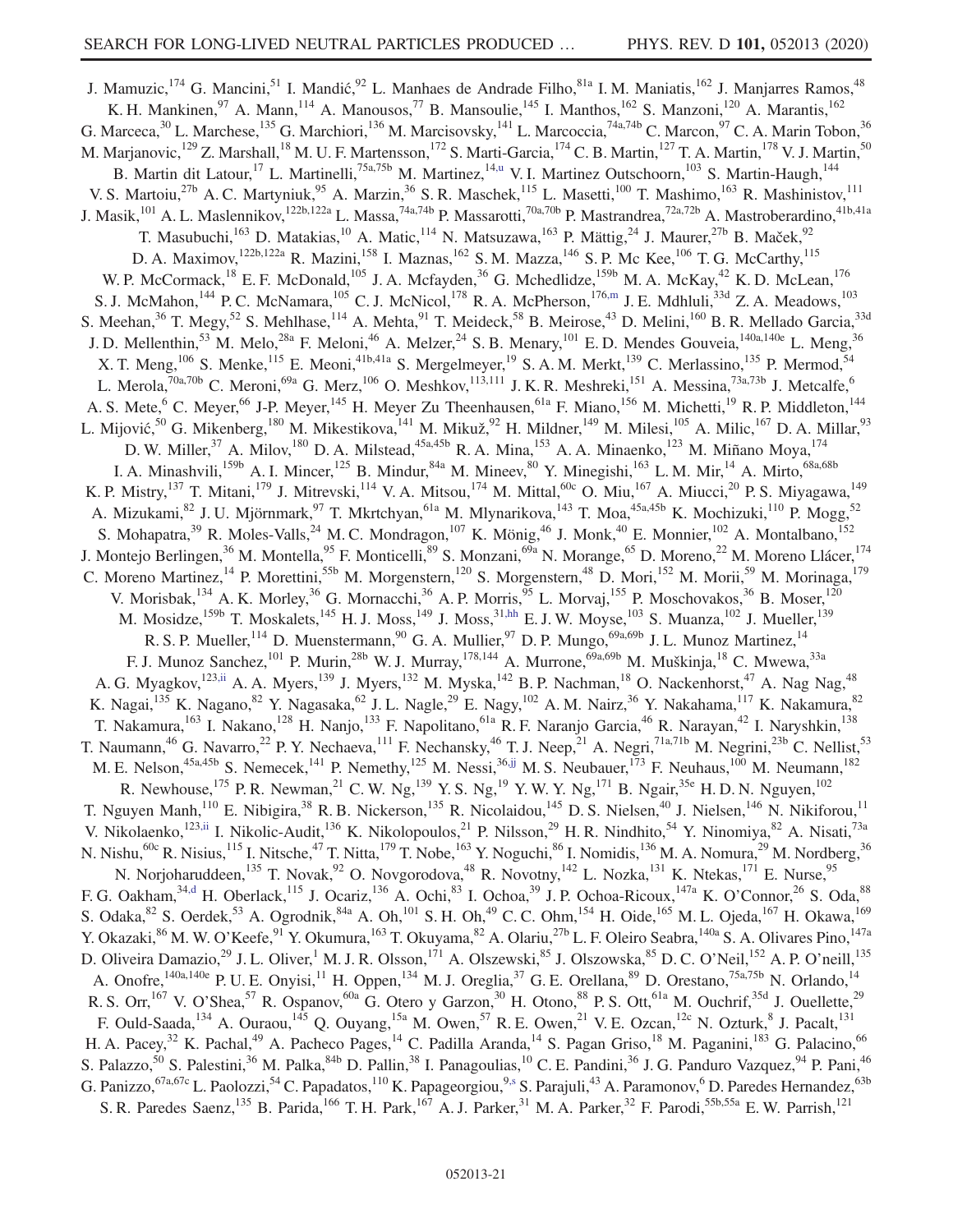<span id="page-21-2"></span><span id="page-21-1"></span><span id="page-21-0"></span>J. Mamuzic, <sup>174</sup> G. Mancini, <sup>51</sup> I. Mandić, <sup>92</sup> L. Manhaes de Andrade Filho, <sup>81a</sup> I. M. Maniatis, <sup>162</sup> J. Manjarres Ramos, <sup>48</sup> K. H. Mankinen,  $97$  A. Mann,  $114$  A. Manousos,  $77$  B. Mansoulie,  $145$  I. Manthos,  $162$  S. Manzoni,  $120$  A. Marantis,  $162$ G. Marceca,<sup>30</sup> L. Marchese,<sup>135</sup> G. Marchiori,<sup>136</sup> M. Marcisovsky,<sup>141</sup> L. Marcoccia,<sup>74a,74b</sup> C. Marcon,<sup>97</sup> C. A. Marin Tobon,<sup>36</sup> M. Marjanovic,<sup>129</sup> Z. Marshall,<sup>18</sup> M. U. F. Martensson,<sup>172</sup> S. Marti-Garcia,<sup>174</sup> C. B. Martin,<sup>127</sup> T. A. Martin,<sup>178</sup> V. J. Martin,<sup>50</sup> B. Martin dit Latour,<sup>17</sup> L. Martinelli,<sup>75a,75b</sup> M. Martinez,<sup>14[,u](#page-29-19)</sup> V. I. Martinez Outschoorn,<sup>103</sup> S. Martin-Haugh,<sup>144</sup> V. S. Martoiu,<sup>27b</sup> A. C. Martyniuk,<sup>95</sup> A. Marzin,<sup>36</sup> S. R. Maschek,<sup>115</sup> L. Masetti,<sup>100</sup> T. Mashimo,<sup>163</sup> R. Mashinistov,<sup>111</sup> J. Masik,<sup>101</sup> A. L. Maslennikov,<sup>122b,122a</sup> L. Massa,<sup>74a,74b</sup> P. Massarotti,<sup>70a,70b</sup> P. Mastrandrea,<sup>72a,72b</sup> A. Mastroberardino,<sup>41b,41a</sup> T. Masubuchi,<sup>163</sup> D. Matakias,<sup>10</sup> A. Matic,<sup>114</sup> N. Matsuzawa,<sup>163</sup> P. Mättig,<sup>24</sup> J. Maurer,<sup>27b</sup> B. Maček,<sup>92</sup> D. A. Maximov,<sup>122b,122a</sup> R. Mazini,<sup>158</sup> I. Maznas,<sup>162</sup> S. M. Mazza,<sup>146</sup> S. P. Mc Kee,<sup>106</sup> T. G. McCarthy,<sup>115</sup> W. P. McCormack,<sup>18</sup> E. F. McDonald,<sup>105</sup> J. A. Mcfayden,<sup>36</sup> G. Mchedlidze,<sup>159b</sup> M. A. McKay,<sup>42</sup> K. D. McLean,<sup>176</sup> S. J. McMahon,<sup>144</sup> P. C. McNamara,<sup>105</sup> C. J. McNicol,<sup>178</sup> R. A. McPherson,<sup>17[6,m](#page-29-11)</sup> J. E. Mdhluli,<sup>33d</sup> Z. A. Meadows,<sup>103</sup> S. Meehan,<sup>36</sup> T. Megy,<sup>52</sup> S. Mehlhase,<sup>114</sup> A. Mehta,<sup>91</sup> T. Meideck,<sup>58</sup> B. Meirose,<sup>43</sup> D. Melini,<sup>160</sup> B. R. Mellado Garcia,<sup>33d</sup> J. D. Mellenthin,<sup>53</sup> M. Melo,<sup>28a</sup> F. Meloni,<sup>46</sup> A. Melzer,<sup>24</sup> S. B. Menary,<sup>101</sup> E. D. Mendes Gouveia,<sup>140a,140e</sup> L. Meng,<sup>36</sup> X. T. Meng, <sup>106</sup> S. Menke, <sup>115</sup> E. Meoni, <sup>41b,41a</sup> S. Mergelmeyer, <sup>19</sup> S. A. M. Merkt, <sup>139</sup> C. Merlassino, <sup>135</sup> P. Mermod, <sup>54</sup> L. Merola,<sup>70a,70b</sup> C. Meroni,<sup>69a</sup> G. Merz,<sup>106</sup> O. Meshkov,<sup>113,111</sup> J. K. R. Meshreki,<sup>151</sup> A. Messina,<sup>73a,73b</sup> J. Metcalfe,<sup>6</sup> A. S. Mete,<sup>6</sup> C. Meyer,<sup>66</sup> J-P. Meyer,<sup>145</sup> H. Meyer Zu Theenhausen,<sup>61a</sup> F. Miano,<sup>156</sup> M. Michetti,<sup>19</sup> R. P. Middleton,<sup>144</sup> L. Mijović,<sup>50</sup> G. Mikenberg,<sup>180</sup> M. Mikestikova,<sup>141</sup> M. Mikuž,<sup>92</sup> H. Mildner,<sup>149</sup> M. Milesi,<sup>105</sup> A. Milic,<sup>167</sup> D. A. Millar,<sup>93</sup> D. W. Miller,<sup>37</sup> A. Milov,<sup>180</sup> D. A. Milstead,<sup>45a,45b</sup> R. A. Mina,<sup>153</sup> A. A. Minaenko,<sup>123</sup> M. Miñano Moya,<sup>174</sup> I. A. Minashvili,<sup>159b</sup> A. I. Mincer,<sup>125</sup> B. Mindur,<sup>84a</sup> M. Mineev,<sup>80</sup> Y. Minegishi,<sup>163</sup> L. M. Mir,<sup>14</sup> A. Mirto,<sup>68a,68b</sup> K. P. Mistry,<sup>137</sup> T. Mitani,<sup>179</sup> J. Mitrevski,<sup>114</sup> V. A. Mitsou,<sup>174</sup> M. Mittal,<sup>60c</sup> O. Miu,<sup>167</sup> A. Miucci,<sup>20</sup> P. S. Miyagawa,<sup>149</sup> A. Mizukami, <sup>82</sup> J. U. Mjörnmark, <sup>97</sup> T. Mkrtchyan, <sup>61a</sup> M. Mlynarikova, <sup>143</sup> T. Moa, <sup>45a, 45b</sup> K. Mochizuki, <sup>110</sup> P. Mogg, <sup>52</sup> S. Mohapatra,<sup>39</sup> R. Moles-Valls,<sup>24</sup> M. C. Mondragon,<sup>107</sup> K. Mönig,<sup>46</sup> J. Monk,<sup>40</sup> E. Monnier,<sup>102</sup> A. Montalbano,<sup>152</sup> J. Montejo Berlingen,<sup>36</sup> M. Montella,<sup>95</sup> F. Monticelli,<sup>89</sup> S. Monzani,<sup>69a</sup> N. Morange,<sup>65</sup> D. Moreno,<sup>22</sup> M. Moreno Llácer,<sup>174</sup> C. Moreno Martinez,<sup>14</sup> P. Morettini,<sup>55b</sup> M. Morgenstern,<sup>120</sup> S. Morgenstern,<sup>48</sup> D. Mori,<sup>152</sup> M. Morii,<sup>59</sup> M. Morinaga,<sup>179</sup> V. Morisbak,<sup>134</sup> A. K. Morley,<sup>36</sup> G. Mornacchi,<sup>36</sup> A. P. Morris,<sup>95</sup> L. Morvaj,<sup>155</sup> P. Moschovakos,<sup>36</sup> B. Moser,<sup>120</sup> M. Mosidze,<sup>159b</sup> T. Moskalets,<sup>145</sup> H. J. Moss,<sup>149</sup> J. Moss,<sup>3[1,hh](#page-29-32)</sup> E. J. W. Moyse,<sup>103</sup> S. Muanza,<sup>102</sup> J. Mueller,<sup>139</sup> R. S. P. Mueller,  $114$  D. Muenstermann,  $90$  G. A. Mullier,  $97$  D. P. Mungo,  $69a,69b$  J. L. Munoz Martinez,  $14$ F. J. Munoz Sanchez,<sup>101</sup> P. Murin,<sup>28b</sup> W. J. Murray,<sup>178,144</sup> A. Murrone,<sup>69a,69b</sup> M. Muškinja,<sup>18</sup> C. Mwewa,<sup>33a</sup> A. G. Myagkov,<sup>123[,ii](#page-29-33)</sup> A. A. Myers,<sup>139</sup> J. Myers,<sup>132</sup> M. Myska,<sup>142</sup> B. P. Nachman,<sup>18</sup> O. Nackenhorst,<sup>47</sup> A. Nag Nag,<sup>48</sup> K. Nagai,<sup>135</sup> K. Nagano,<sup>82</sup> Y. Nagasaka,<sup>62</sup> J. L. Nagle,<sup>29</sup> E. Nagy,<sup>102</sup> A. M. Nairz,<sup>36</sup> Y. Nakahama,<sup>117</sup> K. Nakamura,<sup>82</sup> T. Nakamura,<sup>163</sup> I. Nakano,<sup>128</sup> H. Nanjo,<sup>133</sup> F. Napolitano,<sup>61a</sup> R. F. Naranjo Garcia,<sup>46</sup> R. Narayan,<sup>42</sup> I. Naryshkin,<sup>138</sup> T. Naumann,<sup>46</sup> G. Navarro,<sup>22</sup> P. Y. Nechaeva,<sup>111</sup> F. Nechansky,<sup>46</sup> T. J. Neep,<sup>21</sup> A. Negri,<sup>71a,71b</sup> M. Negrini,<sup>23b</sup> C. Nellist,<sup>53</sup> M. E. Nelson,<sup>45a,45b</sup> S. Nemecek,<sup>141</sup> P. Nemethy,<sup>125</sup> M. Nessi,<sup>3[6,jj](#page-29-34)</sup> M. S. Neubauer,<sup>173</sup> F. Neuhaus,<sup>100</sup> M. Neumann,<sup>182</sup> R. Newhouse,<sup>175</sup> P. R. Newman,<sup>21</sup> C. W. Ng,<sup>139</sup> Y. S. Ng,<sup>19</sup> Y. W. Y. Ng,<sup>171</sup> B. Ngair,<sup>35e</sup> H. D. N. Nguyen,<sup>102</sup> T. Nguyen Manh,<sup>110</sup> E. Nibigira,<sup>38</sup> R. B. Nickerson,<sup>135</sup> R. Nicolaidou,<sup>145</sup> D. S. Nielsen,<sup>40</sup> J. Nielsen,<sup>146</sup> N. Nikiforou,<sup>11</sup> V. Nikolaenko, <sup>123[,ii](#page-29-33)</sup> I. Nikolic-Audit, <sup>136</sup> K. Nikolopoulos, <sup>21</sup> P. Nilsson, <sup>29</sup> H. R. Nindhito, <sup>54</sup> Y. Ninomiya, <sup>82</sup> A. Nisati, <sup>73a</sup> N. Nishu,<sup>60c</sup> R. Nisius,<sup>115</sup> I. Nitsche,<sup>47</sup> T. Nitta,<sup>179</sup> T. Nobe,<sup>163</sup> Y. Noguchi,<sup>86</sup> I. Nomidis,<sup>136</sup> M. A. Nomura,<sup>29</sup> M. Nordberg,<sup>36</sup> N. Norjoharuddeen,<sup>135</sup> T. Novak,<sup>92</sup> O. Novgorodova,<sup>48</sup> R. Novotny,<sup>142</sup> L. Nozka,<sup>131</sup> K. Ntekas,<sup>171</sup> E. Nurse,<sup>95</sup> F. G. Oakham, <sup>34[,d](#page-29-2)</sup> H. Oberlack,<sup>115</sup> J. Ocariz, <sup>136</sup> A. Ochi, <sup>83</sup> I. Ochoa, <sup>39</sup> J. P. Ochoa-Ricoux, <sup>147a</sup> K. O'Connor, <sup>26</sup> S. Oda, <sup>88</sup> S. Odaka,  $82$  S. Oerdek,  $53$  A. Ogrodnik,  $84a$  A. Oh,  $101$  S. H. Oh,  $49$  C. C. Ohm,  $154$  H. Oide,  $165$  M. L. Ojeda,  $167$  H. Okawa,  $169$ Y. Okazaki,<sup>86</sup> M. W. O'Keefe,<sup>91</sup> Y. Okumura,<sup>163</sup> T. Okuyama,<sup>82</sup> A. Olariu,<sup>27b</sup> L. F. Oleiro Seabra,<sup>140a</sup> S. A. Olivares Pino,<sup>147a</sup> D. Oliveira Damazio,<sup>29</sup> J. L. Oliver,<sup>1</sup> M. J. R. Olsson,<sup>171</sup> A. Olszewski,<sup>85</sup> J. Olszowska,<sup>85</sup> D. C. O'Neil,<sup>152</sup> A. P. O'neill,<sup>135</sup> A. Onofre,<sup>140a,140e</sup> P. U. E. Onyisi,<sup>11</sup> H. Oppen,<sup>134</sup> M. J. Oreglia,<sup>37</sup> G. E. Orellana,<sup>89</sup> D. Orestano,<sup>75a,75b</sup> N. Orlando,<sup>14</sup> R. S. Orr, <sup>167</sup> V. O'Shea,<sup>57</sup> R. Ospanov, <sup>60a</sup> G. Otero y Garzon, <sup>30</sup> H. Otono, <sup>88</sup> P. S. Ott, <sup>61a</sup> M. Ouchrif, <sup>35d</sup> J. Ouellette, <sup>29</sup> F. Ould-Saada,<sup>134</sup> A. Ouraou,<sup>145</sup> Q. Ouyang,<sup>15a</sup> M. Owen,<sup>57</sup> R. E. Owen,<sup>21</sup> V. E. Ozcan,<sup>12c</sup> N. Ozturk,<sup>8</sup> J. Pacalt,<sup>131</sup> H. A. Pacey,<sup>32</sup> K. Pachal,<sup>49</sup> A. Pacheco Pages,<sup>14</sup> C. Padilla Aranda,<sup>14</sup> S. Pagan Griso,<sup>18</sup> M. Paganini,<sup>183</sup> G. Palacino,<sup>66</sup> S. Palazzo,<sup>50</sup> S. Palestini,<sup>36</sup> M. Palka,<sup>84b</sup> D. Pallin,<sup>38</sup> I. Panagoulias,<sup>10</sup> C. E. Pandini,<sup>36</sup> J. G. Panduro Vazquez,<sup>94</sup> P. Pani,<sup>46</sup> G. Panizzo, <sup>67a,67c</sup> L. Paolozzi, <sup>54</sup> C. Papadatos, <sup>110</sup> K. Papageorgiou, <sup>[9,s](#page-29-17)</sup> S. Parajuli, <sup>43</sup> A. Paramonov, <sup>6</sup> D. Paredes Hernandez, <sup>63b</sup> S. R. Paredes Saenz,<sup>135</sup> B. Parida,<sup>166</sup> T. H. Park,<sup>167</sup> A. J. Parker,<sup>31</sup> M. A. Parker,<sup>32</sup> F. Parodi,<sup>55b,55a</sup> E. W. Parrish,<sup>121</sup>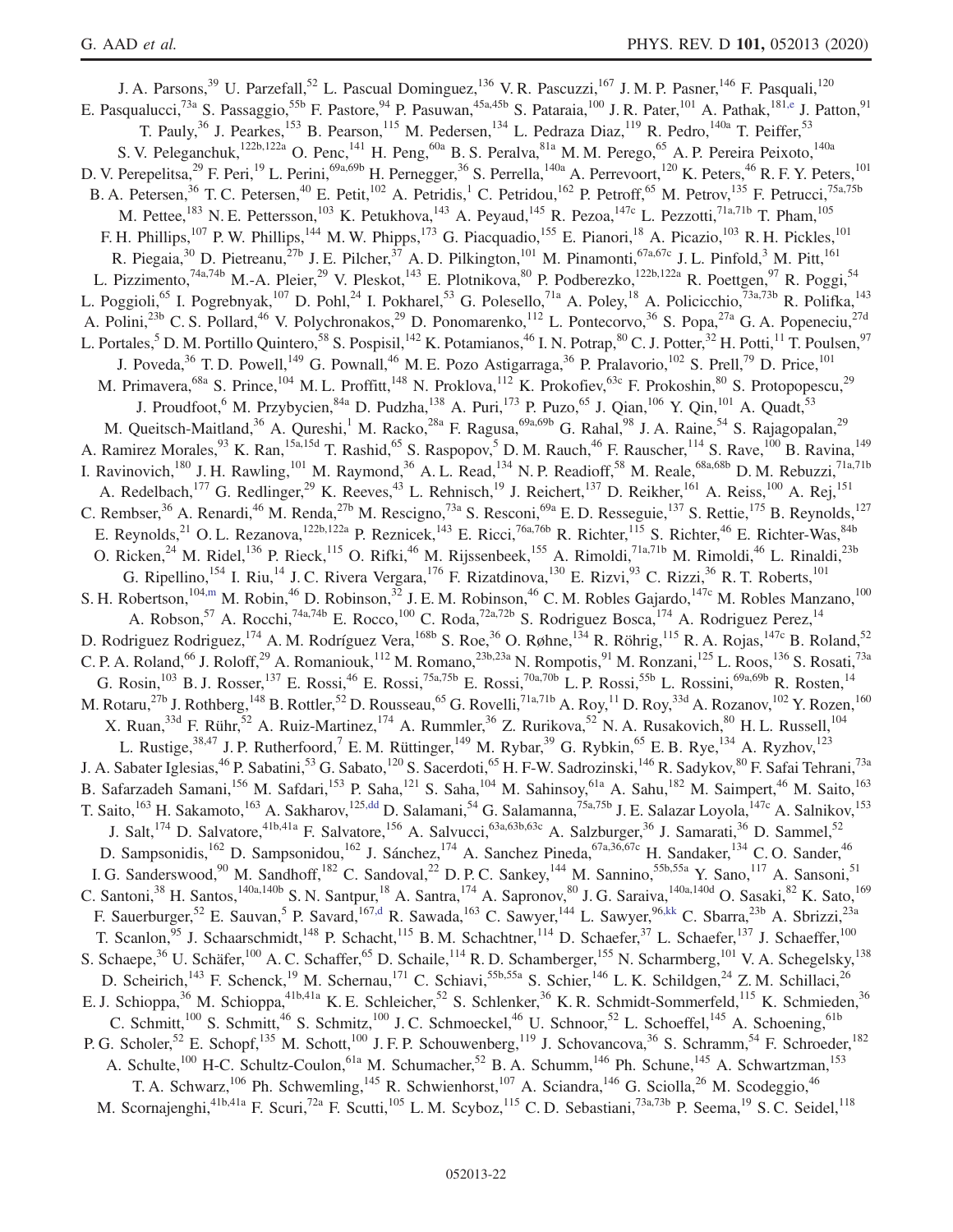<span id="page-22-0"></span>J. A. Parsons,<sup>39</sup> U. Parzefall,<sup>52</sup> L. Pascual Dominguez,<sup>136</sup> V. R. Pascuzzi,<sup>167</sup> J. M. P. Pasner,<sup>146</sup> F. Pasquali,<sup>120</sup> E. Pasqualucci,<sup>73a</sup> S. Passaggio,<sup>55b</sup> F. Pastore,<sup>94</sup> P. Pasuwan,<sup>45a,45b</sup> S. Pataraia,<sup>100</sup> J. R. Pater,<sup>101</sup> A. Pathak,<sup>181[,e](#page-29-3)</sup> J. Patton,<sup>91</sup> T. Pauly,<sup>36</sup> J. Pearkes,<sup>153</sup> B. Pearson,<sup>115</sup> M. Pedersen,<sup>134</sup> L. Pedraza Diaz,<sup>119</sup> R. Pedro,<sup>140a</sup> T. Peiffer,<sup>53</sup> S. V. Peleganchuk,<sup>122b,122a</sup> O. Penc,<sup>141</sup> H. Peng,<sup>60a</sup> B. S. Peralva,<sup>81a</sup> M. M. Perego,<sup>65</sup> A. P. Pereira Peixoto,<sup>140a</sup> D. V. Perepelitsa,<sup>29</sup> F. Peri,<sup>19</sup> L. Perini,<sup>69a,69b</sup> H. Pernegger,<sup>36</sup> S. Perrella,<sup>140a</sup> A. Perrevoort,<sup>120</sup> K. Peters,<sup>46</sup> R. F. Y. Peters,<sup>101</sup> B. A. Petersen,<sup>36</sup> T. C. Petersen,<sup>40</sup> E. Petit,<sup>102</sup> A. Petridis,<sup>1</sup> C. Petridou,<sup>162</sup> P. Petroff,<sup>65</sup> M. Petrov,<sup>135</sup> F. Petrucci,<sup>75a,75b</sup> M. Pettee,<sup>183</sup> N. E. Pettersson,<sup>103</sup> K. Petukhova,<sup>143</sup> A. Peyaud,<sup>145</sup> R. Pezoa,<sup>147c</sup> L. Pezzotti,<sup>71a,71b</sup> T. Pham,<sup>105</sup> F. H. Phillips,<sup>107</sup> P. W. Phillips,<sup>144</sup> M. W. Phipps,<sup>173</sup> G. Piacquadio,<sup>155</sup> E. Pianori,<sup>18</sup> A. Picazio,<sup>103</sup> R. H. Pickles,<sup>101</sup> R. Piegaia,<sup>30</sup> D. Pietreanu,<sup>27b</sup> J. E. Pilcher,<sup>37</sup> A. D. Pilkington,<sup>101</sup> M. Pinamonti,<sup>67a,67c</sup> J. L. Pinfold,<sup>3</sup> M. Pitt,<sup>161</sup> L. Pizzimento,<sup>74a,74b</sup> M.-A. Pleier,<sup>29</sup> V. Pleskot,<sup>143</sup> E. Plotnikova,<sup>80</sup> P. Podberezko,<sup>122b,122a</sup> R. Poettgen,<sup>97</sup> R. Poggi,<sup>54</sup> L. Poggioli,<sup>65</sup> I. Pogrebnyak,<sup>107</sup> D. Pohl,<sup>24</sup> I. Pokharel,<sup>53</sup> G. Polesello,<sup>71a</sup> A. Poley,<sup>18</sup> A. Policicchio,<sup>73a,73b</sup> R. Polifka,<sup>143</sup> A. Polini,<sup>23b</sup> C. S. Pollard,<sup>46</sup> V. Polychronakos,<sup>29</sup> D. Ponomarenko,<sup>112</sup> L. Pontecorvo,<sup>36</sup> S. Popa,<sup>27a</sup> G. A. Popeneciu,<sup>27d</sup> L. Portales,<sup>5</sup> D. M. Portillo Quintero,<sup>58</sup> S. Pospisil,<sup>142</sup> K. Potamianos,<sup>46</sup> I. N. Potrap,<sup>80</sup> C. J. Potter,<sup>32</sup> H. Potti,<sup>11</sup> T. Poulsen,<sup>97</sup> J. Poveda,<sup>36</sup> T. D. Powell,<sup>149</sup> G. Pownall,<sup>46</sup> M. E. Pozo Astigarraga,<sup>36</sup> P. Pralavorio,<sup>102</sup> S. Prell,<sup>79</sup> D. Price,<sup>101</sup> M. Primavera,<sup>68a</sup> S. Prince,<sup>104</sup> M. L. Proffitt,<sup>148</sup> N. Proklova,<sup>112</sup> K. Prokofiev,<sup>63c</sup> F. Prokoshin,<sup>80</sup> S. Protopopescu,<sup>29</sup> J. Proudfoot,<sup>6</sup> M. Przybycien,<sup>84a</sup> D. Pudzha,<sup>138</sup> A. Puri,<sup>173</sup> P. Puzo,<sup>65</sup> J. Qian,<sup>106</sup> Y. Qin,<sup>101</sup> A. Quadt,<sup>53</sup> M. Queitsch-Maitland,<sup>36</sup> A. Qureshi,<sup>1</sup> M. Racko,<sup>28a</sup> F. Ragusa,<sup>69a,69b</sup> G. Rahal,<sup>98</sup> J. A. Raine,<sup>54</sup> S. Rajagopalan,<sup>29</sup> A. Ramirez Morales, <sup>93</sup> K. Ran,<sup>15a,15d</sup> T. Rashid, <sup>65</sup> S. Raspopov, <sup>5</sup> D. M. Rauch, <sup>46</sup> F. Rauscher, <sup>114</sup> S. Rave, <sup>100</sup> B. Ravina,<sup>149</sup> I. Ravinovich,<sup>180</sup> J. H. Rawling,<sup>101</sup> M. Raymond,<sup>36</sup> A. L. Read,<sup>134</sup> N. P. Readioff,<sup>58</sup> M. Reale,<sup>68a,68b</sup> D. M. Rebuzzi,<sup>71a,71b</sup> A. Redelbach,<sup>177</sup> G. Redlinger,<sup>29</sup> K. Reeves,<sup>43</sup> L. Rehnisch,<sup>19</sup> J. Reichert,<sup>137</sup> D. Reikher,<sup>161</sup> A. Reiss,<sup>100</sup> A. Rej,<sup>151</sup> C. Rembser,  $36$  A. Renardi,  $46$  M. Renda,  $27b$  M. Rescigno,  $73a$  S. Resconi,  $69a$  E. D. Resseguie,  $137$  S. Rettie,  $175$  B. Reynolds,  $127$ E. Reynolds,<sup>21</sup> O. L. Rezanova,<sup>122b,122a</sup> P. Reznicek,<sup>143</sup> E. Ricci,<sup>76a,76b</sup> R. Richter,<sup>115</sup> S. Richter,<sup>46</sup> E. Richter-Was,<sup>84b</sup> O. Ricken,<sup>24</sup> M. Ridel,<sup>136</sup> P. Rieck,<sup>115</sup> O. Rifki,<sup>46</sup> M. Rijssenbeek,<sup>155</sup> A. Rimoldi,<sup>71a,71b</sup> M. Rimoldi,<sup>46</sup> L. Rinaldi,<sup>23b</sup> G. Ripellino,<sup>154</sup> I. Riu,<sup>14</sup> J. C. Rivera Vergara,<sup>176</sup> F. Rizatdinova,<sup>130</sup> E. Rizvi,<sup>93</sup> C. Rizzi,<sup>36</sup> R. T. Roberts,<sup>101</sup> S. H. Robertson,<sup>104[,m](#page-29-11)</sup> M. Robin,<sup>46</sup> D. Robinson,<sup>32</sup> J. E. M. Robinson,<sup>46</sup> C. M. Robles Gajardo,<sup>147c</sup> M. Robles Manzano,<sup>100</sup> A. Robson,<sup>57</sup> A. Rocchi,<sup>74a,74b</sup> E. Rocco,<sup>100</sup> C. Roda,<sup>72a,72b</sup> S. Rodriguez Bosca,<sup>174</sup> A. Rodriguez Perez,<sup>14</sup> D. Rodriguez Rodriguez,<sup>174</sup> A. M. Rodríguez Vera,<sup>168b</sup> S. Roe,<sup>36</sup> O. Røhne,<sup>134</sup> R. Röhrig,<sup>115</sup> R. A. Rojas,<sup>147c</sup> B. Roland,<sup>52</sup> C. P. A. Roland,<sup>66</sup> J. Roloff,<sup>29</sup> A. Romaniouk,<sup>112</sup> M. Romano,<sup>23b,23a</sup> N. Rompotis,<sup>91</sup> M. Ronzani,<sup>125</sup> L. Roos,<sup>136</sup> S. Rosati,<sup>73a</sup> G. Rosin,<sup>103</sup> B. J. Rosser,<sup>137</sup> E. Rossi,<sup>46</sup> E. Rossi,<sup>75a,75b</sup> E. Rossi,<sup>70a,70b</sup> L. P. Rossi,<sup>55b</sup> L. Rossini,<sup>69a,69b</sup> R. Rosten,<sup>14</sup> M. Rotaru,<sup>27b</sup> J. Rothberg,<sup>148</sup> B. Rottler,<sup>52</sup> D. Rousseau,<sup>65</sup> G. Rovelli,<sup>71a,71b</sup> A. Roy,<sup>11</sup> D. Roy,<sup>33d</sup> A. Rozanov,<sup>102</sup> Y. Rozen,<sup>160</sup> X. Ruan,<sup>33d</sup> F. Rühr,<sup>52</sup> A. Ruiz-Martinez,<sup>174</sup> A. Rummler,<sup>36</sup> Z. Rurikova,<sup>52</sup> N. A. Rusakovich,<sup>80</sup> H. L. Russell,<sup>104</sup> L. Rustige,  $38,47$  J. P. Rutherfoord, <sup>7</sup> E. M. Rüttinger,  $149$  M. Rybar,  $39$  G. Rybkin,  $65$  E. B. Rye,  $134$  A. Ryzhov,  $123$ J. A. Sabater Iglesias,<sup>46</sup> P. Sabatini,<sup>53</sup> G. Sabato,<sup>120</sup> S. Sacerdoti,<sup>65</sup> H. F-W. Sadrozinski,<sup>146</sup> R. Sadykov,<sup>80</sup> F. Safai Tehrani,<sup>73a</sup> B. Safarzadeh Samani,<sup>156</sup> M. Safdari,<sup>153</sup> P. Saha,<sup>121</sup> S. Saha,<sup>104</sup> M. Sahinsoy,<sup>61a</sup> A. Sahu,<sup>182</sup> M. Saimpert,<sup>46</sup> M. Saito,<sup>163</sup> T. Saito,<sup>163</sup> H. Sakamoto,<sup>163</sup> A. Sakharov,<sup>125[,dd](#page-29-28)</sup> D. Salamani,<sup>54</sup> G. Salamanna,<sup>75a,75b</sup> J. E. Salazar Loyola,<sup>147c</sup> A. Salnikov,<sup>153</sup> J. Salt,<sup>174</sup> D. Salvatore,<sup>41b,41a</sup> F. Salvatore,<sup>156</sup> A. Salvucci,<sup>63a,63b,63c</sup> A. Salzburger,<sup>36</sup> J. Samarati,<sup>36</sup> D. Sammel,<sup>52</sup> D. Sampsonidis,<sup>162</sup> D. Sampsonidou,<sup>162</sup> J. Sánchez,<sup>174</sup> A. Sanchez Pineda,<sup>67a,36,67c</sup> H. Sandaker,<sup>134</sup> C. O. Sander,<sup>46</sup> I. G. Sanderswood,<sup>90</sup> M. Sandhoff,<sup>182</sup> C. Sandoval,<sup>22</sup> D. P. C. Sankey,<sup>144</sup> M. Sannino,<sup>55b,55a</sup> Y. Sano,<sup>117</sup> A. Sansoni,<sup>51</sup> C. Santoni,<sup>38</sup> H. Santos,<sup>140a,140b</sup> S. N. Santpur,<sup>18</sup> A. Santra,<sup>174</sup> A. Sapronov,<sup>80</sup> J. G. Saraiva,<sup>140a,140d</sup> O. Sasaki,<sup>82</sup> K. Sato,<sup>169</sup> F. Sauerburger,<sup>52</sup> E. Sauvan,<sup>5</sup> P. Savard,<sup>167[,d](#page-29-2)</sup> R. Sawada,<sup>163</sup> C. Sawyer,<sup>144</sup> L. Sawyer,<sup>9[6,kk](#page-29-35)</sup> C. Sbarra,<sup>23b</sup> A. Sbrizzi,<sup>23a</sup> T. Scanlon,<sup>95</sup> J. Schaarschmidt,<sup>148</sup> P. Schacht,<sup>115</sup> B. M. Schachtner,<sup>114</sup> D. Schaefer,<sup>37</sup> L. Schaeffer,<sup>137</sup> J. Schaeffer,<sup>100</sup> S. Schaepe,<sup>36</sup> U. Schäfer,<sup>100</sup> A. C. Schaffer,<sup>65</sup> D. Schaile,<sup>114</sup> R. D. Schamberger,<sup>155</sup> N. Scharmberg,<sup>101</sup> V. A. Schegelsky,<sup>138</sup> D. Scheirich,<sup>143</sup> F. Schenck,<sup>19</sup> M. Schernau,<sup>171</sup> C. Schiavi,<sup>55b,55a</sup> S. Schier,<sup>146</sup> L. K. Schildgen,<sup>24</sup> Z. M. Schillaci,<sup>26</sup> E. J. Schioppa,<sup>36</sup> M. Schioppa,<sup>41b,41a</sup> K. E. Schleicher,<sup>52</sup> S. Schlenker,<sup>36</sup> K. R. Schmidt-Sommerfeld,<sup>115</sup> K. Schmieden,<sup>36</sup> C. Schmitt,<sup>100</sup> S. Schmitt,<sup>46</sup> S. Schmitz,<sup>100</sup> J. C. Schmoeckel,<sup>46</sup> U. Schnoor,<sup>52</sup> L. Schoeffel,<sup>145</sup> A. Schoening,<sup>61b</sup> P. G. Scholer,<sup>52</sup> E. Schopf,<sup>135</sup> M. Schott,<sup>100</sup> J. F. P. Schouwenberg,<sup>119</sup> J. Schovancova,<sup>36</sup> S. Schramm,<sup>54</sup> F. Schroeder,<sup>182</sup> A. Schulte,<sup>100</sup> H-C. Schultz-Coulon,<sup>61a</sup> M. Schumacher,<sup>52</sup> B. A. Schumm,<sup>146</sup> Ph. Schune,<sup>145</sup> A. Schwartzman,<sup>153</sup> T. A. Schwarz,  $^{106}$  Ph. Schwemling,  $^{145}$  R. Schwienhorst,  $^{107}$  A. Sciandra,  $^{146}$  G. Sciolla,  $^{26}$  M. Scodeggio,  $^{46}$ M. Scornajenghi,<sup>41b,41a</sup> F. Scuri,<sup>72a</sup> F. Scutti,<sup>105</sup> L. M. Scyboz,<sup>115</sup> C. D. Sebastiani,<sup>73a,73b</sup> P. Seema,<sup>19</sup> S. C. Seidel,<sup>118</sup>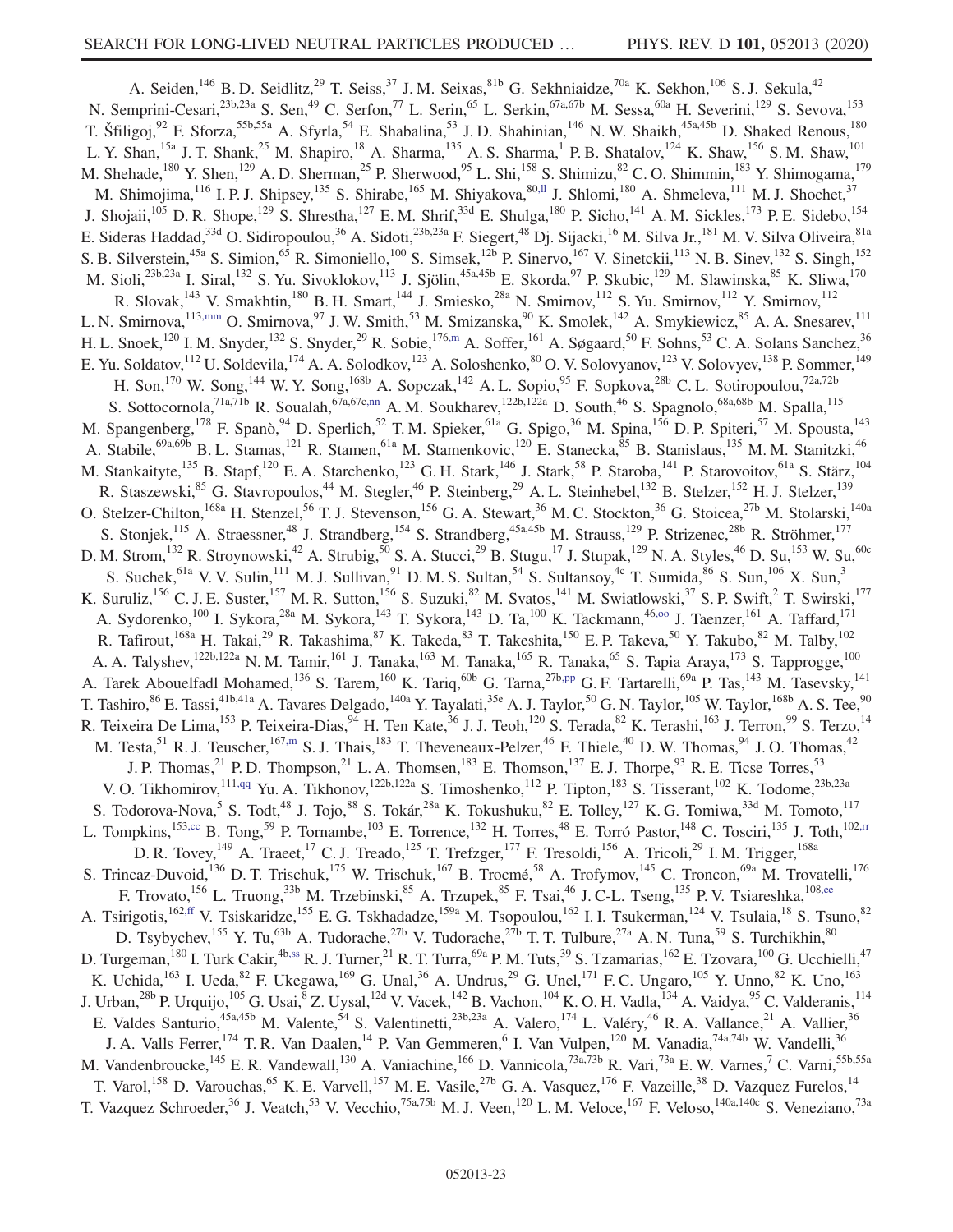<span id="page-23-7"></span><span id="page-23-6"></span><span id="page-23-5"></span><span id="page-23-4"></span><span id="page-23-3"></span><span id="page-23-2"></span><span id="page-23-1"></span><span id="page-23-0"></span>A. Seiden,<sup>146</sup> B. D. Seidlitz,<sup>29</sup> T. Seiss,<sup>37</sup> J. M. Seixas,<sup>81b</sup> G. Sekhniaidze,<sup>70a</sup> K. Sekhon,<sup>106</sup> S. J. Sekula,<sup>42</sup> N. Semprini-Cesari,<sup>23b,23a</sup> S. Sen,<sup>49</sup> C. Serfon,<sup>77</sup> L. Serin,<sup>65</sup> L. Serkin,<sup>67a,67b</sup> M. Sessa,<sup>60a</sup> H. Severini,<sup>129</sup> S. Sevova,<sup>153</sup> T. Šfiligoj,<sup>92</sup> F. Sforza,<sup>55b,55a</sup> A. Sfyrla,<sup>54</sup> E. Shabalina,<sup>53</sup> J.D. Shahinian,<sup>146</sup> N.W. Shaikh,<sup>45a,45b</sup> D. Shaked Renous,<sup>180</sup> L. Y. Shan,<sup>15a</sup> J. T. Shank,<sup>25</sup> M. Shapiro,<sup>18</sup> A. Sharma,<sup>135</sup> A. S. Sharma,<sup>1</sup> P. B. Shatalov,<sup>124</sup> K. Shaw,<sup>156</sup> S. M. Shaw,<sup>101</sup> M. Shehade,<sup>180</sup> Y. Shen,<sup>129</sup> A. D. Sherman,<sup>25</sup> P. Sherwood,<sup>95</sup> L. Shi,<sup>158</sup> S. Shimizu,<sup>82</sup> C. O. Shimmin,<sup>183</sup> Y. Shimogama,<sup>179</sup> M. Shimojima, <sup>116</sup> I. P. J. Shipsey, <sup>135</sup> S. Shirabe, <sup>165</sup> M. Shiyakova, <sup>80, 11</sup> J. Shlomi, <sup>180</sup> A. Shmeleva, <sup>111</sup> M. J. Shochet, <sup>37</sup> J. Shojaii,<sup>105</sup> D. R. Shope,<sup>129</sup> S. Shrestha,<sup>127</sup> E. M. Shrif,<sup>33d</sup> E. Shulga,<sup>180</sup> P. Sicho,<sup>141</sup> A. M. Sickles,<sup>173</sup> P. E. Sidebo,<sup>154</sup> E. Sideras Haddad,<sup>33d</sup> O. Sidiropoulou,<sup>36</sup> A. Sidoti,<sup>23b,23a</sup> F. Siegert,<sup>48</sup> Dj. Sijacki,<sup>16</sup> M. Silva Jr.,<sup>181</sup> M. V. Silva Oliveira,<sup>81a</sup> S. B. Silverstein,<sup>45a</sup> S. Simion,<sup>65</sup> R. Simoniello,<sup>100</sup> S. Simsek,<sup>12b</sup> P. Sinervo,<sup>167</sup> V. Sinetckii,<sup>113</sup> N. B. Sinev,<sup>132</sup> S. Singh,<sup>152</sup> M. Sioli,<sup>23b,23a</sup> I. Siral,<sup>132</sup> S. Yu. Sivoklokov,<sup>113</sup> J. Sjölin,<sup>45a,45b</sup> E. Skorda,<sup>97</sup> P. Skubic,<sup>129</sup> M. Slawinska,<sup>85</sup> K. Sliwa,<sup>170</sup> R. Slovak,<sup>143</sup> V. Smakhtin,<sup>180</sup> B. H. Smart,<sup>144</sup> J. Smiesko,<sup>28a</sup> N. Smirnov,<sup>112</sup> S. Yu. Smirnov,<sup>112</sup> Y. Smirnov,<sup>112</sup> L. N. Smirnova,  $^{113,mm}$  $^{113,mm}$  $^{113,mm}$  O. Smirnova,  $^{97}$  J. W. Smith,  $^{53}$  M. Smizanska,  $^{90}$  K. Smolek,  $^{142}$  A. Smykiewicz,  $^{85}$  A. A. Snesarev,  $^{111}$ H. L. Snoek,<sup>120</sup> I. M. Snyder,<sup>132</sup> S. Snyder,<sup>29</sup> R. Sobie,<sup>17[6,m](#page-29-11)</sup> A. Soffer,<sup>161</sup> A. Søgaard,<sup>50</sup> F. Sohns,<sup>53</sup> C. A. Solans Sanchez,<sup>36</sup> E. Yu. Soldatov,<sup>112</sup> U. Soldevila,<sup>174</sup> A. A. Solodkov,<sup>123</sup> A. Soloshenko,<sup>80</sup> O. V. Solovyanov,<sup>123</sup> V. Solovyev,<sup>138</sup> P. Sommer,<sup>149</sup> H. Son,<sup>170</sup> W. Song,<sup>144</sup> W. Y. Song,<sup>168b</sup> A. Sopczak,<sup>142</sup> A. L. Sopio,<sup>95</sup> F. Sopkova,<sup>28b</sup> C. L. Sotiropoulou,<sup>72a,72b</sup> S. Sottocornola,<sup>71a,71b</sup> R. Soualah,<sup>67a,67c[,nn](#page-29-38)</sup> A. M. Soukharev,<sup>122b,122a</sup> D. South,<sup>46</sup> S. Spagnolo,<sup>68a,68b</sup> M. Spalla,<sup>115</sup> M. Spangenberg,<sup>178</sup> F. Spanò,<sup>94</sup> D. Sperlich,<sup>52</sup> T.M. Spieker,<sup>61a</sup> G. Spigo,<sup>36</sup> M. Spina,<sup>156</sup> D.P. Spiteri,<sup>57</sup> M. Spousta,<sup>143</sup> A. Stabile,<sup>69a,69b</sup> B. L. Stamas,<sup>121</sup> R. Stamen,<sup>61a</sup> M. Stamenkovic,<sup>120</sup> E. Stanecka,<sup>85</sup> B. Stanislaus,<sup>135</sup> M. M. Stanitzki,<sup>46</sup> M. Stankaityte,<sup>135</sup> B. Stapf,<sup>120</sup> E. A. Starchenko,<sup>123</sup> G. H. Stark,<sup>146</sup> J. Stark,<sup>58</sup> P. Staroba,<sup>141</sup> P. Starovoitov,<sup>61a</sup> S. Stärz,<sup>104</sup> R. Staszewski, <sup>85</sup> G. Stavropoulos, <sup>44</sup> M. Stegler, <sup>46</sup> P. Steinberg, <sup>29</sup> A. L. Steinhebel, <sup>132</sup> B. Stelzer, <sup>152</sup> H. J. Stelzer, <sup>139</sup> O. Stelzer-Chilton,<sup>168a</sup> H. Stenzel,<sup>56</sup> T. J. Stevenson,<sup>156</sup> G. A. Stewart,<sup>36</sup> M. C. Stockton,<sup>36</sup> G. Stoicea,<sup>27b</sup> M. Stolarski,<sup>140a</sup> S. Stonjek,<sup>115</sup> A. Straessner,<sup>48</sup> J. Strandberg,<sup>154</sup> S. Strandberg,<sup>45a,45b</sup> M. Strauss,<sup>129</sup> P. Strizenec,<sup>28b</sup> R. Ströhmer,<sup>177</sup> D. M. Strom,<sup>132</sup> R. Stroynowski,<sup>42</sup> A. Strubig,<sup>50</sup> S. A. Stucci,<sup>29</sup> B. Stugu,<sup>17</sup> J. Stupak,<sup>129</sup> N. A. Styles,<sup>46</sup> D. Su,<sup>153</sup> W. Su,<sup>60c</sup> S. Suchek,<sup>61a</sup> V. V. Sulin,<sup>111</sup> M. J. Sullivan,<sup>91</sup> D. M. S. Sultan,<sup>54</sup> S. Sultansoy,<sup>4c</sup> T. Sumida,<sup>86</sup> S. Sun,<sup>106</sup> X. Sun,<sup>3</sup> K. Suruliz,<sup>156</sup> C. J. E. Suster,<sup>157</sup> M. R. Sutton,<sup>156</sup> S. Suzuki,<sup>82</sup> M. Svatos,<sup>141</sup> M. Swiatlowski,<sup>37</sup> S. P. Swift,<sup>2</sup> T. Swirski,<sup>177</sup> A. Sydorenko,<sup>100</sup> I. Sykora,<sup>28a</sup> M. Sykora,<sup>143</sup> T. Sykora,<sup>143</sup> D. Ta,<sup>100</sup> K. Tackmann,<sup>46,00</sup> J. Taenzer,<sup>161</sup> A. Taffard,<sup>171</sup> R. Tafirout,<sup>168a</sup> H. Takai,<sup>29</sup> R. Takashima,<sup>87</sup> K. Takeda,<sup>83</sup> T. Takeshita,<sup>150</sup> E. P. Takeva,<sup>50</sup> Y. Takubo,<sup>82</sup> M. Talby,<sup>102</sup> A. A. Talyshev,<sup>122b,122a</sup> N. M. Tamir,<sup>161</sup> J. Tanaka,<sup>163</sup> M. Tanaka,<sup>165</sup> R. Tanaka,<sup>65</sup> S. Tapia Araya,<sup>173</sup> S. Tapprogge,<sup>100</sup> A. Tarek Abouelfadl Mohamed,<sup>136</sup> S. Tarem,<sup>160</sup> K. Tariq,<sup>60b</sup> G. Tarna,<sup>27b[,pp](#page-29-40)</sup> G. F. Tartarelli,<sup>69a</sup> P. Tas,<sup>143</sup> M. Tasevsky,<sup>141</sup> T. Tashiro,<sup>86</sup> E. Tassi,<sup>41b,41a</sup> A. Tavares Delgado,<sup>140a</sup> Y. Tayalati,<sup>35e</sup> A. J. Taylor,<sup>50</sup> G. N. Taylor,<sup>105</sup> W. Taylor,<sup>168b</sup> A. S. Tee,<sup>90</sup> R. Teixeira De Lima, <sup>153</sup> P. Teixeira-Dias, <sup>94</sup> H. Ten Kate, <sup>36</sup> J. J. Teoh, <sup>120</sup> S. Terada, <sup>82</sup> K. Terashi, <sup>163</sup> J. Terron, <sup>99</sup> S. Terzo, <sup>14</sup> M. Testa, <sup>51</sup> R. J. Teuscher,  $167,m$  $167,m$  S. J. Thais,  $183$  T. Theveneaux-Pelzer,  $46$  F. Thiele,  $40$  D. W. Thomas,  $94$  J. O. Thomas,  $42$ J. P. Thomas,<sup>21</sup> P. D. Thompson,<sup>21</sup> L. A. Thomsen,<sup>183</sup> E. Thomson,<sup>137</sup> E. J. Thorpe,<sup>93</sup> R. E. Ticse Torres,<sup>53</sup> V. O. Tikhomirov,<sup>11[1,qq](#page-29-41)</sup> Yu. A. Tikhonov,<sup>122b,122a</sup> S. Timoshenko,<sup>112</sup> P. Tipton,<sup>183</sup> S. Tisserant,<sup>102</sup> K. Todome,<sup>23b,23a</sup> S. Todorova-Nova,<sup>5</sup> S. Todt,<sup>48</sup> J. Tojo,<sup>88</sup> S. Tokár,<sup>28a</sup> K. Tokushuku,<sup>82</sup> E. Tolley,<sup>127</sup> K. G. Tomiwa,<sup>33d</sup> M. Tomoto,<sup>117</sup> L. Tompkins,<sup>153[,cc](#page-29-27)</sup> B. Tong,<sup>59</sup> P. Tornambe,<sup>103</sup> E. Torrence,<sup>132</sup> H. Torres,<sup>48</sup> E. Torró Pastor,<sup>148</sup> C. Tosciri,<sup>135</sup> J. Toth,<sup>10[2,rr](#page-29-42)</sup> D. R. Tovey,<sup>149</sup> A. Traeet,<sup>17</sup> C. J. Treado,<sup>125</sup> T. Trefzger,<sup>177</sup> F. Tresoldi,<sup>156</sup> A. Tricoli,<sup>29</sup> I. M. Trigger,<sup>168a</sup> S. Trincaz-Duvoid, <sup>136</sup> D. T. Trischuk, <sup>175</sup> W. Trischuk, <sup>167</sup> B. Trocmé, <sup>58</sup> A. Trofymov, <sup>145</sup> C. Troncon, <sup>69a</sup> M. Trovatelli, <sup>176</sup> F. Trovato,<sup>156</sup> L. Truong,<sup>33b</sup> M. Trzebinski,<sup>85</sup> A. Trzupek,<sup>85</sup> F. Tsai,<sup>46</sup> J. C-L. Tseng,<sup>135</sup> P. V. Tsiareshka,<sup>108[,ee](#page-29-29)</sup> A. Tsirigotis,<sup>16[2,ff](#page-29-30)</sup> V. Tsiskaridze,<sup>155</sup> E. G. Tskhadadze,<sup>159a</sup> M. Tsopoulou,<sup>162</sup> I. I. Tsukerman,<sup>124</sup> V. Tsulaia,<sup>18</sup> S. Tsuno,<sup>82</sup> D. Tsybychev,<sup>155</sup> Y. Tu,<sup>63b</sup> A. Tudorache,<sup>27b</sup> V. Tudorache,<sup>27b</sup> T. T. Tulbure,<sup>27a</sup> A. N. Tuna,<sup>59</sup> S. Turchikhin,<sup>80</sup> D. Turgeman,<sup>180</sup> I. Turk Cakir,<sup>4b[,ss](#page-29-43)</sup> R. J. Turner,<sup>21</sup> R. T. Turra,<sup>69a</sup> P. M. Tuts,<sup>39</sup> S. Tzamarias,<sup>162</sup> E. Tzovara,<sup>100</sup> G. Ucchielli,<sup>47</sup> K. Uchida,<sup>163</sup> I. Ueda,<sup>82</sup> F. Ukegawa,<sup>169</sup> G. Unal,<sup>36</sup> A. Undrus,<sup>29</sup> G. Unel,<sup>171</sup> F. C. Ungaro,<sup>105</sup> Y. Unno,<sup>82</sup> K. Uno,<sup>163</sup> J. Urban,<sup>28b</sup> P. Urquijo,<sup>105</sup> G. Usai, <sup>8</sup> Z. Uysal,<sup>12d</sup> V. Vacek,<sup>142</sup> B. Vachon,<sup>104</sup> K. O. H. Vadla,<sup>134</sup> A. Vaidya,<sup>95</sup> C. Valderanis,<sup>114</sup> E. Valdes Santurio,  $45a,45b$  M. Valente,  $54$  S. Valentinetti,  $23b,23a$  A. Valero,  $174$  L. Valéry,  $46$  R. A. Vallance,  $21$  A. Vallier,  $36$ J. A. Valls Ferrer,<sup>174</sup> T. R. Van Daalen,<sup>14</sup> P. Van Gemmeren,<sup>6</sup> I. Van Vulpen,<sup>120</sup> M. Vanadia,<sup>74a,74b</sup> W. Vandelli,<sup>36</sup> M. Vandenbroucke, <sup>145</sup> E. R. Vandewall, <sup>130</sup> A. Vaniachine, <sup>166</sup> D. Vannicola, <sup>73a, 73b</sup> R. Vari, <sup>73a</sup> E. W. Varnes, <sup>7</sup> C. Varni, <sup>55b, 55a</sup> T. Varol,<sup>158</sup> D. Varouchas,<sup>65</sup> K. E. Varvell,<sup>157</sup> M. E. Vasile,<sup>27b</sup> G. A. Vasquez,<sup>176</sup> F. Vazeille,<sup>38</sup> D. Vazquez Furelos,<sup>14</sup> T. Vazquez Schroeder,<sup>36</sup> J. Veatch,<sup>53</sup> V. Vecchio,<sup>75a,75b</sup> M. J. Veen,<sup>120</sup> L. M. Veloce,<sup>167</sup> F. Veloso,<sup>140a,140c</sup> S. Veneziano,<sup>73a</sup>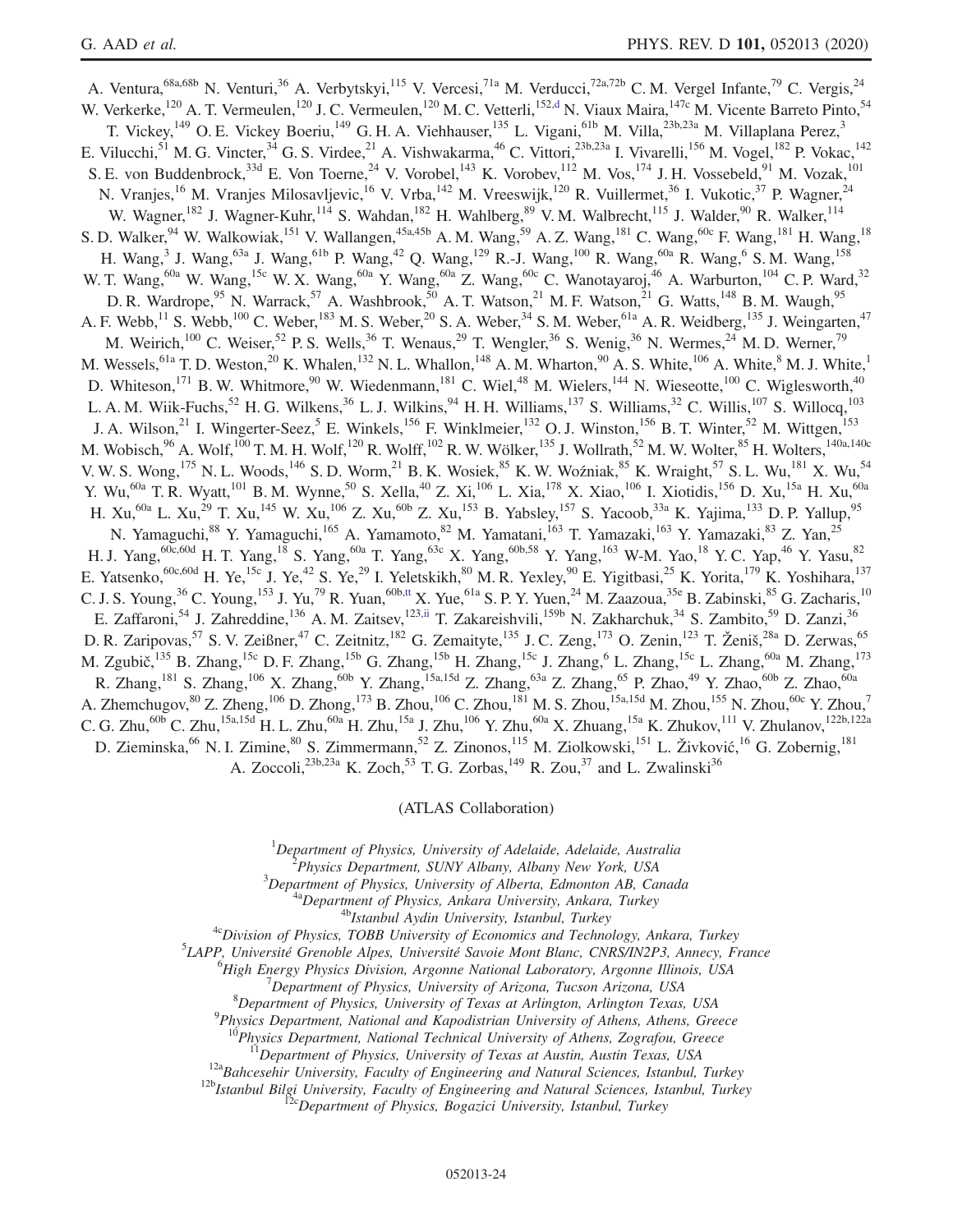A. Ventura,<sup>68a,68b</sup> N. Venturi,<sup>36</sup> A. Verbytskyi,<sup>115</sup> V. Vercesi,<sup>71a</sup> M. Verducci,<sup>72a,72b</sup> C. M. Vergel Infante,<sup>79</sup> C. Vergis,<sup>24</sup> W. Verkerke,<sup>120</sup> A. T. Vermeulen,<sup>120</sup> J. C. Vermeulen,<sup>120</sup> M. C. Vetterli,<sup>152[,d](#page-29-2)</sup> N. Viaux Maira,<sup>147c</sup> M. Vicente Barreto Pinto,<sup>54</sup> T. Vickey,<sup>149</sup> O. E. Vickey Boeriu,<sup>149</sup> G. H. A. Viehhauser,<sup>135</sup> L. Vigani,<sup>61b</sup> M. Villa,<sup>23b,23a</sup> M. Villaplana Perez,<sup>3</sup> E. Vilucchi,<sup>51</sup> M. G. Vincter,<sup>34</sup> G. S. Virdee,<sup>21</sup> A. Vishwakarma,<sup>46</sup> C. Vittori,<sup>23b,23a</sup> I. Vivarelli,<sup>156</sup> M. Vogel,<sup>182</sup> P. Vokac,<sup>142</sup> S. E. von Buddenbrock,<sup>33d</sup> E. Von Toerne,<sup>24</sup> V. Vorobel,<sup>143</sup> K. Vorobev,<sup>112</sup> M. Vos,<sup>174</sup> J. H. Vossebeld,<sup>91</sup> M. Vozak,<sup>101</sup> N. Vranjes,<sup>16</sup> M. Vranjes Milosavljevic,<sup>16</sup> V. Vrba,<sup>142</sup> M. Vreeswijk,<sup>120</sup> R. Vuillermet,<sup>36</sup> I. Vukotic,<sup>37</sup> P. Wagner,<sup>24</sup> W. Wagner,<sup>182</sup> J. Wagner-Kuhr,<sup>114</sup> S. Wahdan,<sup>182</sup> H. Wahlberg,<sup>89</sup> V.M. Walbrecht,<sup>115</sup> J. Walder,<sup>90</sup> R. Walker,<sup>114</sup> S. D. Walker,  $94$  W. Walkowiak,<sup>151</sup> V. Wallangen,<sup>45a,45b</sup> A. M. Wang,<sup>59</sup> A. Z. Wang,<sup>181</sup> C. Wang,<sup>60c</sup> F. Wang,<sup>181</sup> H. Wang,<sup>18</sup> H. Wang,<sup>3</sup> J. Wang,<sup>63a</sup> J. Wang,<sup>61b</sup> P. Wang,<sup>42</sup> Q. Wang,<sup>129</sup> R.-J. Wang,<sup>100</sup> R. Wang,<sup>60a</sup> R. Wang,<sup>6</sup> S. M. Wang,<sup>158</sup> W. T. Wang,<sup>60a</sup> W. Wang,<sup>15c</sup> W. X. Wang,<sup>60a</sup> Y. Wang,<sup>60a</sup> Z. Wang,<sup>60c</sup> C. Wanotayaroj,<sup>46</sup> A. Warburton,<sup>104</sup> C. P. Ward,<sup>32</sup> D. R. Wardrope,  $95$  N. Warrack,  $57$  A. Washbrook,  $50$  A. T. Watson,  $21$  M. F. Watson,  $21$  G. Watts,  $148$  B. M. Waugh,  $95$ A. F. Webb,<sup>11</sup> S. Webb,<sup>100</sup> C. Weber,<sup>183</sup> M. S. Weber,<sup>20</sup> S. A. Weber,<sup>34</sup> S. M. Weber,<sup>61a</sup> A. R. Weidberg,<sup>135</sup> J. Weingarten,<sup>47</sup> M. Weirich,<sup>100</sup> C. Weiser,<sup>52</sup> P. S. Wells,<sup>36</sup> T. Wenaus,<sup>29</sup> T. Wengler,<sup>36</sup> S. Wenig,<sup>36</sup> N. Wermes,<sup>24</sup> M. D. Werner,<sup>79</sup> M. Wessels,  $^{61a}$  T. D. Weston,  $^{20}$  K. Whalen,  $^{132}$  N. L. Whallon,  $^{148}$  A. M. Wharton,  $^{90}$  A. S. White,  $^{106}$  A. White,  $^8$  M. J. White,  $^1$ D. Whiteson,<sup>171</sup> B. W. Whitmore,<sup>90</sup> W. Wiedenmann,<sup>181</sup> C. Wiel,<sup>48</sup> M. Wielers,<sup>144</sup> N. Wieseotte,<sup>100</sup> C. Wiglesworth,<sup>40</sup> L. A. M. Wiik-Fuchs,  $52$  H. G. Wilkens,  $36$  L. J. Wilkins,  $94$  H. H. Williams,  $137$  S. Williams,  $32$  C. Willis,  $107$  S. Willocq,  $103$ J. A. Wilson,<sup>21</sup> I. Wingerter-Seez,<sup>5</sup> E. Winkels,<sup>156</sup> F. Winklmeier,<sup>132</sup> O. J. Winston,<sup>156</sup> B. T. Winter,<sup>52</sup> M. Wittgen,<sup>153</sup> M. Wobisch, $^{96}$  A. Wolf, $^{100}$  T. M. H. Wolf, $^{120}$  R. Wolff, $^{102}$  R. W. Wölker, $^{135}$  J. Wollrath, $^{52}$  M. W. Wolter, $^{85}$  H. Wolters,  $^{140$ a,140c V. W. S. Wong,<sup>175</sup> N. L. Woods,<sup>146</sup> S. D. Worm,<sup>21</sup> B. K. Wosiek,<sup>85</sup> K. W. Woźniak,<sup>85</sup> K. Wraight,<sup>57</sup> S. L. Wu,<sup>181</sup> X. Wu,<sup>54</sup> Y. Wu,<sup>60a</sup> T. R. Wyatt,<sup>101</sup> B. M. Wynne,<sup>50</sup> S. Xella,<sup>40</sup> Z. Xi,<sup>106</sup> L. Xia,<sup>178</sup> X. Xiao,<sup>106</sup> I. Xiotidis,<sup>156</sup> D. Xu,<sup>15a</sup> H. Xu,<sup>60a</sup> H. Xu,<sup>60a</sup> L. Xu,<sup>29</sup> T. Xu,<sup>145</sup> W. Xu,<sup>106</sup> Z. Xu,<sup>60b</sup> Z. Xu,<sup>153</sup> B. Yabsley,<sup>157</sup> S. Yacoob,<sup>33a</sup> K. Yajima,<sup>133</sup> D. P. Yallup,<sup>95</sup> N. Yamaguchi,<sup>88</sup> Y. Yamaguchi,<sup>165</sup> A. Yamamoto,<sup>82</sup> M. Yamatani,<sup>163</sup> T. Yamazaki,<sup>163</sup> Y. Yamazaki,<sup>83</sup> Z. Yan,<sup>25</sup> H. J. Yang,<sup>60c,60d</sup> H. T. Yang,<sup>18</sup> S. Yang,<sup>60a</sup> T. Yang,<sup>63c</sup> X. Yang,<sup>60b,58</sup> Y. Yang,<sup>163</sup> W-M. Yao,<sup>18</sup> Y. C. Yap,<sup>46</sup> Y. Yasu,<sup>82</sup> E. Yatsenko,  $60c,60d$  H. Ye,  $^{15c}$  J. Ye,  $^{42}$  S. Ye,  $^{29}$  I. Yeletskikh,  $^{80}$  M. R. Yexley,  $^{90}$  E. Yigitbasi,  $^{25}$  K. Yorita,  $^{179}$  K. Yoshihara,  $^{137}$ C. J. S. Young,<sup>36</sup> C. Young,<sup>153</sup> J. Yu,<sup>79</sup> R. Yuan,<sup>60b[,tt](#page-29-44)</sup> X. Yue,<sup>61a</sup> S. P. Y. Yuen,<sup>24</sup> M. Zaazoua,<sup>35e</sup> B. Zabinski,<sup>85</sup> G. Zacharis,<sup>10</sup> E. Zaffaroni,<sup>54</sup> J. Zahreddine,<sup>136</sup> A. M. Zaitsev,<sup>123[,ii](#page-29-33)</sup> T. Zakareishvili,<sup>159b</sup> N. Zakharchuk,<sup>34</sup> S. Zambito,<sup>59</sup> D. Zanzi,<sup>36</sup> D. R. Zaripovas,<sup>57</sup> S. V. Zeißner,<sup>47</sup> C. Zeitnitz,<sup>182</sup> G. Zemaityte,<sup>135</sup> J. C. Zeng,<sup>173</sup> O. Zenin,<sup>123</sup> T. Ženiš,<sup>28a</sup> D. Zerwas,<sup>65</sup> M. Zgubič,<sup>135</sup> B. Zhang, <sup>15c</sup> D. F. Zhang, <sup>15b</sup> G. Zhang, <sup>15b</sup> H. Zhang, <sup>15c</sup> J. Zhang, <sup>6</sup> L. Zhang, <sup>15c</sup> L. Zhang, <sup>60a</sup> M. Zhang, <sup>173</sup> R. Zhang,<sup>181</sup> S. Zhang,<sup>106</sup> X. Zhang,<sup>60b</sup> Y. Zhang,<sup>15a,15d</sup> Z. Zhang,<sup>63a</sup> Z. Zhang,<sup>65</sup> P. Zhao,<sup>49</sup> Y. Zhao,<sup>60b</sup> Z. Zhao,<sup>60a</sup> A. Zhemchugov, ${}^{80}$  Z. Zheng, ${}^{106}$  D. Zhong, ${}^{173}$  B. Zhou, ${}^{106}$  C. Zhou, ${}^{181}$  M. S. Zhou, ${}^{15a,15d}$  M. Zhou, ${}^{155}$  N. Zhou, ${}^{60c}$  Y. Zhou, ${}^{7}$ C. G. Zhu,<sup>60b</sup> C. Zhu,<sup>15a,15d</sup> H. L. Zhu,<sup>60a</sup> H. Zhu,<sup>15a</sup> J. Zhu,<sup>106</sup> Y. Zhu,<sup>60a</sup> X. Zhuang,<sup>15a</sup> K. Zhukov,<sup>111</sup> V. Zhulanov,<sup>122b,122a</sup> D. Zieminska,<sup>66</sup> N. I. Zimine,<sup>80</sup> S. Zimmermann,<sup>52</sup> Z. Zinonos,<sup>115</sup> M. Ziolkowski,<sup>151</sup> L. Živković,<sup>16</sup> G. Zobernig,<sup>181</sup> A. Zoccoli,<sup>23b,23a</sup> K. Zoch,<sup>53</sup> T. G. Zorbas,<sup>149</sup> R. Zou,<sup>37</sup> and L. Zwalinski<sup>36</sup>

(ATLAS Collaboration)

<span id="page-24-0"></span><sup>1</sup>Department of Physics, University of Adelaide, Adelaide, Australia<br><sup>2</sup>Physics Department, SUNY Albany, Albany New York, USA

 $P$ *Physics Department, SUNY Albany, Albany New York, USA*  $3$ *Department of Physics, University of Alberta, Edmonton AB, Canada* 

<sup>4a</sup>Department of Physics, Ankara University, Ankara, Turkey<br><sup>4b</sup>Istanbul Aydin University, Istanbul, Turkey<br><sup>4c</sup>Division of Physics, TOBB University of Economics and Technology, Ankara, Turkey

<sup>5</sup>LAPP, Université Grenoble Alpes, Université Savoie Mont Blanc, CNRS/IN2P3, Annecy, France

<sup>6</sup>High Energy Physics Division, Argonne National Laboratory, Argonne Illinois, USA

 $\nu$ Department of Physics, University of Arizona, Tucson Arizona, USA

Department of Physics, University of Texas at Arlington, Arlington Texas, USA <sup>9</sup>

<sup>9</sup> Physics Department, National and Kapodistrian University of Athens, Athens, Greece<br><sup>10</sup> Physics Department, National Technical University of Athens, Zografou, Greece

<sup>11</sup>Department of Physics, University of Texas at Austin, Austin Texas, USA<br><sup>12a</sup>Bahcesehir University, Faculty of Engineering and Natural Sciences, Istanbul, Turkey<br><sup>12b</sup>Istanbul Bilgi University, Faculty of Engineering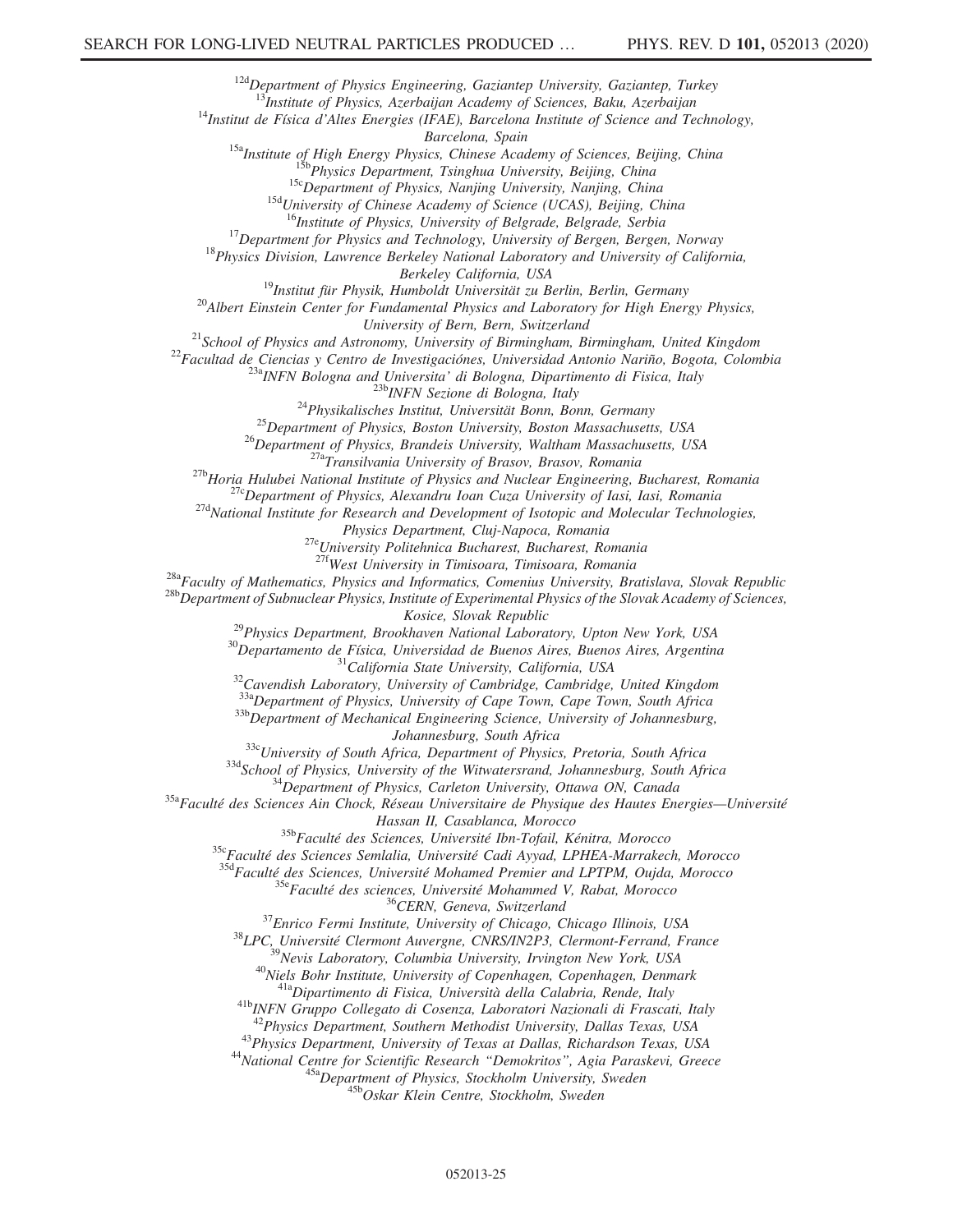<sup>12d</sup>Department of Physics Engineering, Gaziantep University, Gaziantep, Turkey<br><sup>13</sup>Institute of Physics, Azerbaijan Academy of Sciences, Baku, Azerbaijan

<sup>14</sup>Institut de Física d'Altes Energies (IFAE), Barcelona Institute of Science and Technology,<br>Barcelona, Spain

<sup>15a</sup>Institute of High Energy Physics, Chinese Academy of Sciences, Beijing, China<br><sup>15b</sup>Physics Department, Tsinghua University, Beijing, China<br><sup>15c</sup>Department of Physics, Nanjing University, Nanjing, China<br><sup>15d</sup>Universit

<sup>17</sup>Department for Physics and Technology, University of Bergen, Bergen, Norway<br><sup>18</sup>Physics Division, Lawrence Berkeley National Laboratory and University of California,

Berkeley California, USA<br><sup>19</sup>Institut für Physik, Humboldt Universität zu Berlin, Berlin, Germany<br><sup>20</sup>Albert Einstein Center for Fundamental Physics and Laboratory for High Energy Physics,

University of Bern, Bern, Switzerland<br><sup>21</sup>School of Physics and Astronomy, University of Birmingham, Birmingham, United Kingdom<br><sup>22</sup>Facultad de Ciencias y Centro de Investigaciónes, Universidad Antonio Nariño, Bogota, Col

Physics Department, Cluj-Napoca, Romania<br><sup>27e</sup>University Politehnica Bucharest, Bucharest, Romania<br><sup>27f</sup>West University in Timisoara, Timisoara, Romania

<sup>28a</sup>Faculty of Mathematics, Physics and Informatics, Comenius University, Bratislava, Slovak Republic<br><sup>28b</sup>Department of Subnuclear Physics, Institute of Experimental Physics of the Slovak Academy of Sciences,

*Kosice, Slovak Republic*<br><sup>29</sup> Physics Department, Brookhaven National Laboratory, Upton New York, USA<br><sup>30</sup> Departamento de Física, Universidad de Buenos Aires, Buenos Aires, Argentina<br><sup>31</sup> California State University, Ca

 $33b$ Department of Mechanical Engineering Science, University of Johannesburg,<br>Johannesburg, South Africa

<sup>33c</sup>University of South Africa, Department of Physics, Pretoria, South Africa<br><sup>33d</sup>School of Physics, University of the Witwatersrand, Johannesburg, South Africa<br><sup>34</sup>Department of Physics, Carleton University, Ottawa ON,

Hassan II, Casablanca, Morocco<br>
<sup>356</sup>Faculté des Sciences, Université Ibn-Tofail, Kénitra, Morocco<br>
<sup>356</sup>Faculté des Sciences Semlalia, Université Cadi Ayyad, LPHEA-Marrakech, Morocco<br>
<sup>356</sup>Faculté des Sciences, Université

<sup>43</sup>Physics Department, University of Texas at Dallas, Richardson Texas, USA<br><sup>44</sup>National Centre for Scientific Research "Demokritos", Agia Paraskevi, Greece<br><sup>45a</sup>Department of Physics, Stockholm University, Sweden<br><sup>45a</sup>D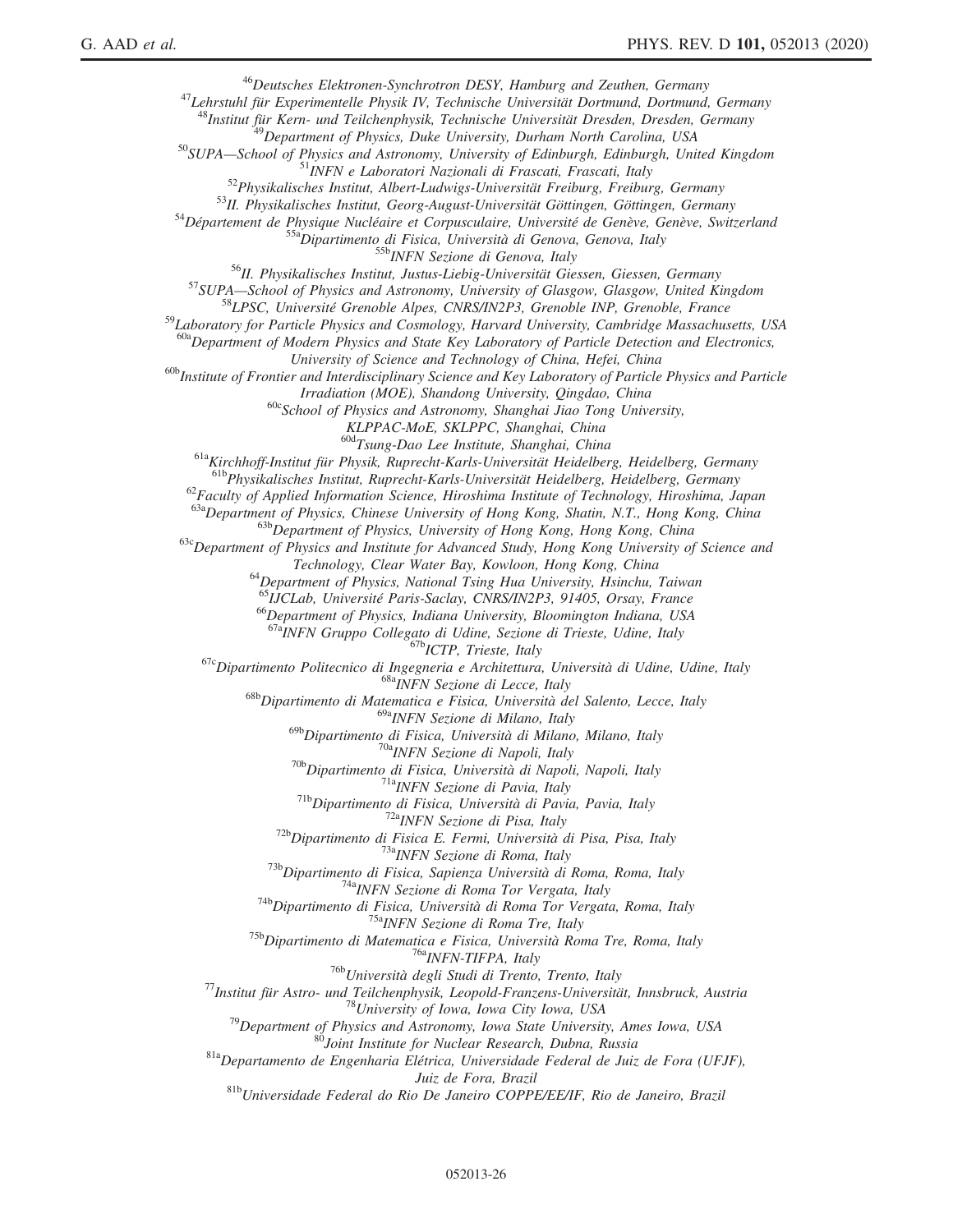<sup>46</sup>Deutsches Elektronen-Synchrotron DESY, Hamburg and Zeuthen, Germany<br><sup>47</sup>Lehrstuhl für Experimentelle Physik IV, Technische Universität Dortmund, Dortmund, Germany<br><sup>48</sup>Institut für Kern- und Teilchenphysik, Technische

<sup>49</sup>Department of Physics, Duke University, Durham North Carolina, USA<br><sup>50</sup>SUPA—School of Physics and Astronomy, University of Edinburgh, Edinburgh, United Kingdom<br><sup>51</sup>INFN e Laboratori Nazionali di Frascati, Frascati, It

<sup>59</sup>Laboratory for Particle Physics and Cosmology, Harvard University, Cambridge Massachusetts, USA

 $^{60}$ Department of Modern Physics and State Key Laboratory of Particle Detection and Electronics,<br>University of Science and Technology of China, Hefei, China

 $^{60b}$ Institute of Frontier and Interdisciplinary Science and Key Laboratory of Particle Physics and Particle

Irradiation (MOE), Shandong University, Qingdao, China  $60c$ School of Physics and Astronomy, Shanghai Jiao Tong University,

KLPPAC-MoE, SKLPPC, Shanghai, China<br><sup>60d</sup>Tsung-Dao Lee Institute, Shanghai, China

<sup>61a</sup>Kirchhoff-Institut für Physik, Ruprecht-Karls-Universität Heidelberg, Heidelberg, Germany<br><sup>61b</sup>Physikalisches Institut, Ruprecht-Karls-Universität Heidelberg, Heidelberg, Germany

 $^{62}$ Faculty of Applied Information Science, Hiroshima Institute of Technology, Hiroshima, Japan

 $^{63a}$ Department of Physics, Chinese University of Hong Kong, Shatin, N.T., Hong Kong, China<br>  $^{63b}$ Department of Physics, University of Hong Kong, Hong Kong, China<br>  $^{63c}$ Department of Physics and Institute for Advanc

 $^{64}$ Department of Physics, National Tsing Hua University, Hsinchu, Taiwan

 $^{65}$ IJCLab, Université Paris-Saclay, CNRS/IN2P3, 91405, Orsay, France  $^{66}$ Department of Physics, Indiana University, Bloomington Indiana, USA

<sup>67a</sup>INFN Gruppo Collegato di Udine, Sezione di Trieste, Udine, Italy<br><sup>67c</sup>Dipartimento Politecnico di Ingegneria e Architettura, Università di Udine, Udine, Italy<br><sup>68c</sup>Dipartimento di Matematica e Fisica, Università del

<sup>69a</sup>INFN Sezione di Milano, Italy<br>
<sup>69b</sup>Dipartimento di Fisica, Università di Milano, Milano, Italy<br>
<sup>70a</sup>INFN Sezione di Napoli, Italy

<sup>70</sup> Dipartimento di Fisica, Università di Napoli, Napoli, Italy<br>
<sup>716</sup> Dipartimento di Fisica, Università di Pavia, Italy<br>
<sup>716</sup> Dipartimento di Fisica, Università di Pavia, Pavia, Italy<br>
<sup>726</sup> Dipartimento di Fisica E.

Juiz de Fora, Brazil 81bUniversidade Federal do Rio De Janeiro COPPE/EE/IF, Rio de Janeiro, Brazil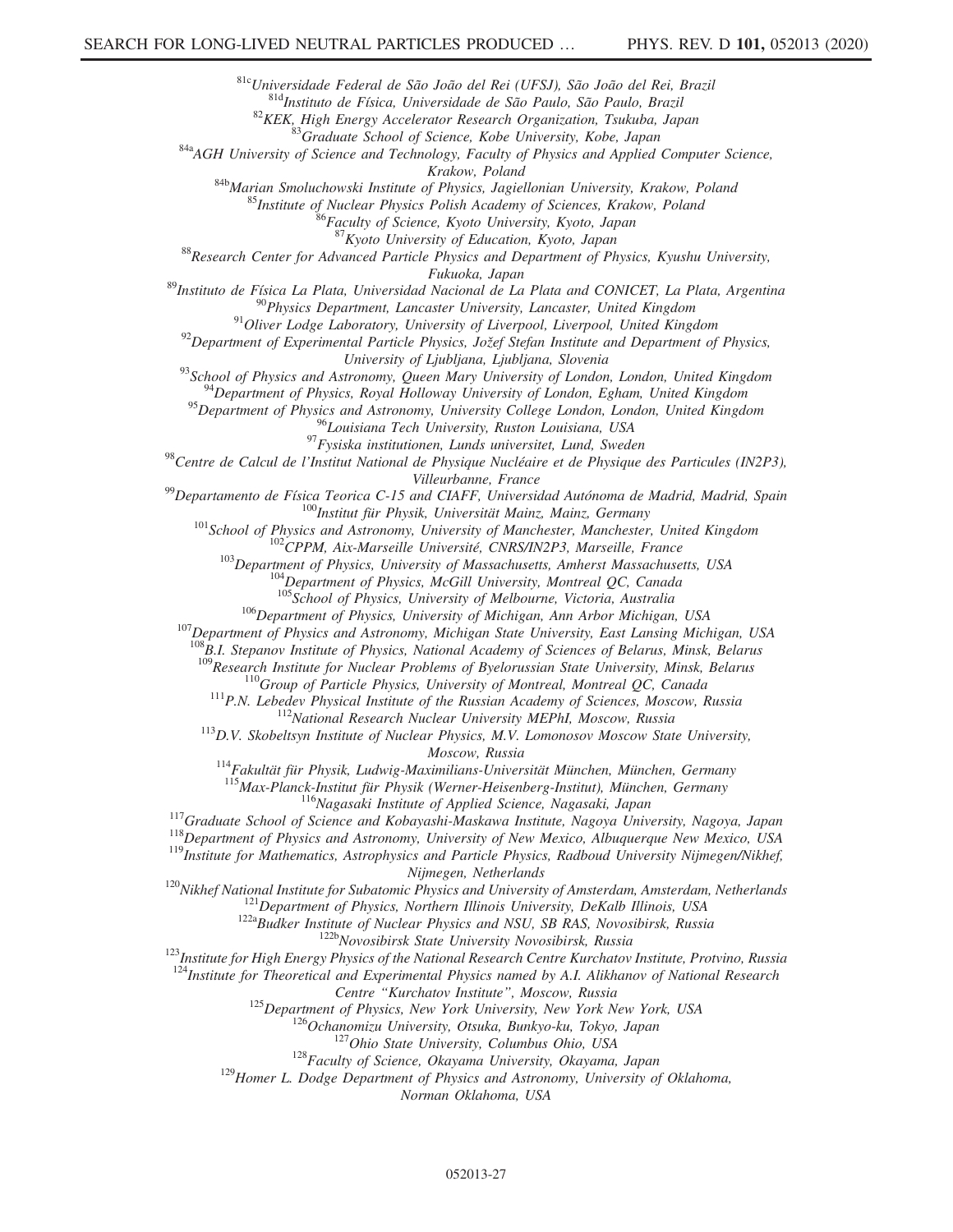<sup>81c</sup>Universidade Federal de São João del Rei (UFSJ), São João del Rei, Brazil<br><sup>81d</sup>Instituto de Física, Universidade de São Paulo, São Paulo, Brazil<br><sup>82</sup>KEK, High Energy Accelerator Research Organization, Tsukuba, Japan<br>

<sup>84b</sup>Marian Smoluchowski Institute of Physics, Jagiellonian University, Krakow, Poland<br><sup>85</sup>Institute of Nuclear Physics Polish Academy of Sciences, Krakow, Poland<br><sup>85</sup>Institute of Nuclear Physics Polish Academy of Sciences

 $88$ Research Center for Advanced Particle Physics and Department of Physics, Kyushu University,

<sup>89</sup>Instituto de Física La Plata, Universidad Nacional de La Plata and CONICET, La Plata, Argentina<br><sup>90</sup>Physics Department, Lancaster University, Lancaster, United Kingdom<br><sup>91</sup>Oliver Lodge Laboratory, University of Liverpo

<sup>93</sup>School of Physics and Astronomy, Queen Mary University of London, London, United Kingdom <sup>94</sup>Department of Physics, Royal Holloway University of London, Egham, United Kingdom

<sup>95</sup>Department of Physics and Astronomy, University College London, London, United Kingdom<br><sup>96</sup>Louisiana Tech University, Ruston Louisiana, USA

<sup>97</sup>Eysiska institutionen, Lunds universitet, Lund, Sweden <sup>98</sup>Centre de Calcul de l'Institut National de Physique Nucléaire et de Physique des Particules (IN2P3),

<sup>99</sup>Departamento de Física Teorica C-15 and CIAFF, Universidad Autónoma de Madrid, Madrid, Spain<br><sup>100</sup>Institut für Physik, Universität Mainz, Mainz, Germany<br><sup>101</sup>School of Physics and Astronomy, University of Manchester,

 $^{106}$ Department of Physics, University of Michigan, Ann Arbor Michigan, USA<br><sup>107</sup>Department of Physics and Astronomy, Michigan State University, East Lansing Michigan, USA

<sup>108</sup>B.I. Stepanov Institute of Physics, National Academy of Sciences of Belarus, Minsk, Belarus

109<br>
Research Institute for Nuclear Problems of Byelorussian State University, Minsk, Belarus<br>
<sup>110</sup>Group of Particle Physics, University of Montreal, Montreal QC, Canada<br>
<sup>111</sup>P.N. Lebedev Physical Institute of the Russia

Moscow, Russia<br><sup>114</sup>Fakultät für Physik, Ludwig-Maximilians-Universität München, München, Germany<br><sup>115</sup>Max-Planck-Institut für Physik (Werner-Heisenberg-Institut), München, Germany

<sup>116</sup>Nagasaki Institute of Applied Science, Nagasaki, Japan<br><sup>117</sup>Graduate School of Science and Kobayashi-Maskawa Institute, Nagoya University, Nagoya, Japan<br><sup>118</sup>Department of Physics and Astronomy, University of New Mex

<sup>120</sup>Nikhef National Institute for Subatomic Physics and University of Amsterdam, Amsterdam, Netherlands<br><sup>121</sup>Department of Physics, Northern Illinois University, DeKalb Illinois, USA<br><sup>122a</sup>Budker Institute of Nuclear Phy

<sup>124</sup>Institute for Theoretical and Experimental Physics named by A.I. Alikhanov of National Research<br>Centre "Kurchatov Institute", Moscow, Russia

<sup>125</sup>Department of Physics, New York University, New York New York, USA<br><sup>126</sup>Ochanomizu University, Otsuka, Bunkyo-ku, Tokyo, Japan<br><sup>127</sup>Ohio State University, Columbus Ohio, USA<br><sup>128</sup>Faculty of Science, Okayama Universit

Norman Oklahoma, USA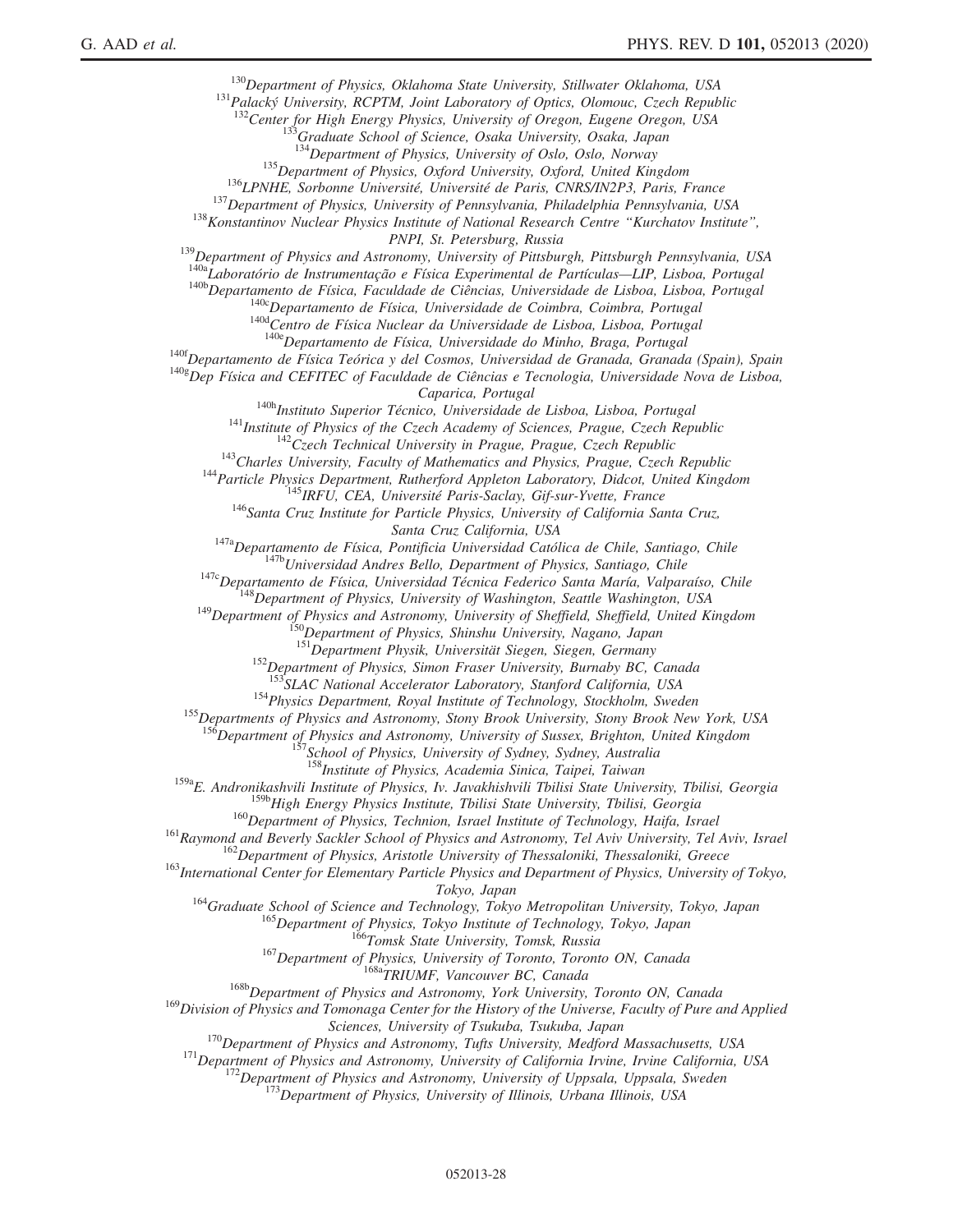$130$ Department of Physics, Oklahoma State University, Stillwater Oklahoma, USA  $131$ Palacký University, RCPTM, Joint Laboratory of Optics, Olomouc, Czech Republic

<sup>132</sup>Center for High Energy Physics, University of Oregon, Eugene Oregon, USA<br><sup>133</sup>Graduate School of Science, Osaka University, Osaka, Japan<br><sup>134</sup>Department of Physics, University of Oslo, Oslo, Norway

<sup>135</sup>Department of Physics, Oxford University, Oxford, United Kingdom<br><sup>136</sup>LPNHE, Sorbonne Université, Université de Paris, CNRS/IN2P3, Paris, France<br><sup>137</sup>Department of Physics, University of Pennsylvania, Philadelphia Pe

<sup>139</sup>Department of Physics and Astronomy, University of Pittsburgh, Pittsburgh Pennsylvania, USA<br><sup>140a</sup>Laboratório de Instrumentação e Física Experimental de Partículas—LIP, Lisboa, Portugal

Departamento de Física, Faculdade de Ciências, Universidade de Lisboa, Lisboa, Portugal<br><sup>1406</sup>Departamento de Física, Universidade de Coimbra, Coimbra, Portugal<br><sup>1406</sup>Centro de Física Nuclear da Universidade de Lisboa, Lis

<sup>140f</sup>Departamento de Física Teórica y del Cosmos, Universidad de Granada, Granada (Spain), Spain

 $140g$ Dep Física and CEFITEC of Faculdade de Ciências e Tecnologia, Universidade Nova de Lisboa,

Caparica, Portugal<br><sup>140h</sup>Instituto Superior Técnico, Universidade de Lisboa, Lisboa, Portugal<br><sup>141</sup>Institute of Physics of the Czech Academy of Sciences, Prague, Czech Republic<br><sup>142</sup>Czech Technical University in Prague, Pr

 $\label{eq:14} Santa~Cruz~ California, USA$ <br>  $\begin{array}{l} \textit{147a} Department of the Física, Pontificia Universidad Católica de Chile, Santiago, Chile \\ \textit{147b} University of Physical Federation, Santiago, Chile \\ \textit{148b} Department of Physics, University of Washington, Seattle Washington, USA \\ \textit{149b} Department of Physics, University of Washington, Seattle Washington, USA \\ \textit{149b} Department of Physics and Astronomy, University of Sheffield, Sheffield, United Kingdom \\ \textit{150b} Department of Physics, Shinshu University, Nagano, Japan \\ \textit{151b} Department Physics, University, Griversity, Region, German \end{array}$ 

<sup>152</sup>Department of Physics, Simon Fraser University, Burnaby BC, Canada<br><sup>153</sup>SLAC National Accelerator Laboratory, Stanford California, USA

<sup>154</sup>Physics Department, Royal Institute of Technology, Stockholm, Sweden<br><sup>155</sup>Departments of Physics and Astronomy, Stony Brook University, Stony Brook New York, USA

<sup>156</sup>Department of Physics and Astronomy, University of Sussex, Brighton, United Kingdom <sup>157</sup>School of Physics, University of Sydney, Sydney, Australia

<sup>158</sup>Institute of Physics, Academia Sinica, Taipei, Taiwan

<sup>159a</sup>E. Andronikashvili Institute of Physics, Iv. Javakhishvili Tbilisi State University, Tbilisi, Georgia<br><sup>159b</sup>High Energy Physics Institute, Tbilisi State University, Tbilisi, Georgia

<sup>161</sup>Raymond and Beverly Sackler School of Physics, Tack Institute of Technology, Haifa, Israel<br><sup>161</sup>Raymond and Beverly Sackler School of Physics and Astronomy, Tel Aviv University, Tel Aviv, Israel<br><sup>162</sup>Department of Ph

Tokyo, Japan<br><sup>164</sup>Graduate School of Science and Technology, Tokyo Metropolitan University, Tokyo, Japan<br><sup>165</sup>Department of Physics, Tokyo Institute of Technology, Tokyo, Japan<br><sup>166</sup>Tomsk State University, Tomsk, Russia<br><sup>1</sup>

<sup>169</sup>Division of Physics and Tomonaga Center for the History of the Universe, Faculty of Pure and Applied

Sciences, University of Tsukuba, Tsukuba, Japan<br><sup>170</sup>Department of Physics and Astronomy, Tufts University, Medford Massachusetts, USA<br><sup>171</sup>Department of Physics and Astronomy, University of California Irvine, Irvine Calif